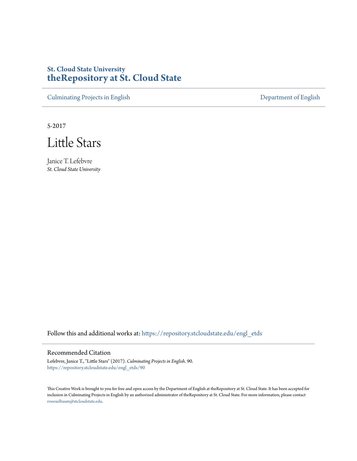# **St. Cloud State University [theRepository at St. Cloud State](https://repository.stcloudstate.edu?utm_source=repository.stcloudstate.edu%2Fengl_etds%2F90&utm_medium=PDF&utm_campaign=PDFCoverPages)**

[Culminating Projects in English](https://repository.stcloudstate.edu/engl_etds?utm_source=repository.stcloudstate.edu%2Fengl_etds%2F90&utm_medium=PDF&utm_campaign=PDFCoverPages) [Department of English](https://repository.stcloudstate.edu/engl?utm_source=repository.stcloudstate.edu%2Fengl_etds%2F90&utm_medium=PDF&utm_campaign=PDFCoverPages)

5-2017

Little Stars

Janice T. Lefebvre *St. Cloud State University*

Follow this and additional works at: [https://repository.stcloudstate.edu/engl\\_etds](https://repository.stcloudstate.edu/engl_etds?utm_source=repository.stcloudstate.edu%2Fengl_etds%2F90&utm_medium=PDF&utm_campaign=PDFCoverPages)

### Recommended Citation

Lefebvre, Janice T., "Little Stars" (2017). *Culminating Projects in English*. 90. [https://repository.stcloudstate.edu/engl\\_etds/90](https://repository.stcloudstate.edu/engl_etds/90?utm_source=repository.stcloudstate.edu%2Fengl_etds%2F90&utm_medium=PDF&utm_campaign=PDFCoverPages)

This Creative Work is brought to you for free and open access by the Department of English at theRepository at St. Cloud State. It has been accepted for inclusion in Culminating Projects in English by an authorized administrator of theRepository at St. Cloud State. For more information, please contact [rswexelbaum@stcloudstate.edu](mailto:rswexelbaum@stcloudstate.edu).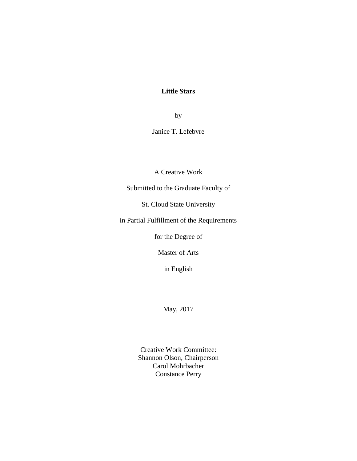## **Little Stars**

by

Janice T. Lefebvre

A Creative Work

Submitted to the Graduate Faculty of

St. Cloud State University

in Partial Fulfillment of the Requirements

for the Degree of

Master of Arts

in English

May, 2017

Creative Work Committee: Shannon Olson, Chairperson Carol Mohrbacher Constance Perry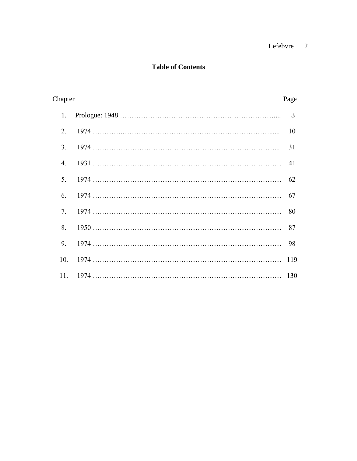# Lefebvre 2

### **Table of Contents**

| Chapter        |  | Page |
|----------------|--|------|
| 1.             |  | 3    |
| 2 <sub>1</sub> |  | 10   |
| $3_{-}$        |  | 31   |
| $4_{\cdot}$    |  | 41   |
| $5_{-}$        |  | 62   |
| 6.             |  | 67   |
| 7.             |  | 80   |
| 8.             |  | 87   |
| 9.             |  | 98   |
| 10.            |  | 119  |
| 11.            |  | 130  |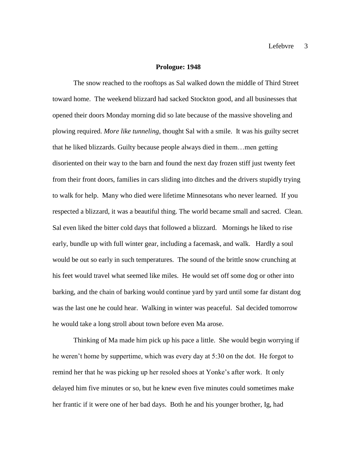#### **Prologue: 1948**

The snow reached to the rooftops as Sal walked down the middle of Third Street toward home. The weekend blizzard had sacked Stockton good, and all businesses that opened their doors Monday morning did so late because of the massive shoveling and plowing required. *More like tunneling*, thought Sal with a smile. It was his guilty secret that he liked blizzards. Guilty because people always died in them…men getting disoriented on their way to the barn and found the next day frozen stiff just twenty feet from their front doors, families in cars sliding into ditches and the drivers stupidly trying to walk for help. Many who died were lifetime Minnesotans who never learned. If you respected a blizzard, it was a beautiful thing. The world became small and sacred. Clean. Sal even liked the bitter cold days that followed a blizzard. Mornings he liked to rise early, bundle up with full winter gear, including a facemask, and walk. Hardly a soul would be out so early in such temperatures. The sound of the brittle snow crunching at his feet would travel what seemed like miles. He would set off some dog or other into barking, and the chain of barking would continue yard by yard until some far distant dog was the last one he could hear. Walking in winter was peaceful. Sal decided tomorrow he would take a long stroll about town before even Ma arose.

Thinking of Ma made him pick up his pace a little. She would begin worrying if he weren't home by suppertime, which was every day at 5:30 on the dot. He forgot to remind her that he was picking up her resoled shoes at Yonke's after work. It only delayed him five minutes or so, but he knew even five minutes could sometimes make her frantic if it were one of her bad days. Both he and his younger brother, Ig, had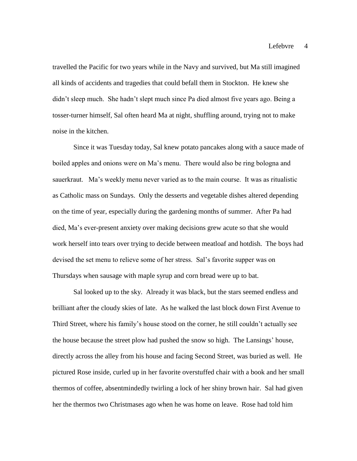travelled the Pacific for two years while in the Navy and survived, but Ma still imagined all kinds of accidents and tragedies that could befall them in Stockton. He knew she didn't sleep much. She hadn't slept much since Pa died almost five years ago. Being a tosser-turner himself, Sal often heard Ma at night, shuffling around, trying not to make noise in the kitchen.

Since it was Tuesday today, Sal knew potato pancakes along with a sauce made of boiled apples and onions were on Ma's menu. There would also be ring bologna and sauerkraut. Ma's weekly menu never varied as to the main course. It was as ritualistic as Catholic mass on Sundays. Only the desserts and vegetable dishes altered depending on the time of year, especially during the gardening months of summer. After Pa had died, Ma's ever-present anxiety over making decisions grew acute so that she would work herself into tears over trying to decide between meatloaf and hotdish. The boys had devised the set menu to relieve some of her stress. Sal's favorite supper was on Thursdays when sausage with maple syrup and corn bread were up to bat.

Sal looked up to the sky. Already it was black, but the stars seemed endless and brilliant after the cloudy skies of late. As he walked the last block down First Avenue to Third Street, where his family's house stood on the corner, he still couldn't actually see the house because the street plow had pushed the snow so high. The Lansings' house, directly across the alley from his house and facing Second Street, was buried as well. He pictured Rose inside, curled up in her favorite overstuffed chair with a book and her small thermos of coffee, absentmindedly twirling a lock of her shiny brown hair. Sal had given her the thermos two Christmases ago when he was home on leave. Rose had told him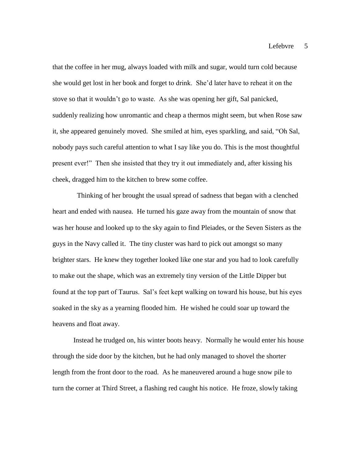that the coffee in her mug, always loaded with milk and sugar, would turn cold because she would get lost in her book and forget to drink. She'd later have to reheat it on the stove so that it wouldn't go to waste. As she was opening her gift, Sal panicked, suddenly realizing how unromantic and cheap a thermos might seem, but when Rose saw it, she appeared genuinely moved. She smiled at him, eyes sparkling, and said, "Oh Sal, nobody pays such careful attention to what I say like you do. This is the most thoughtful present ever!" Then she insisted that they try it out immediately and, after kissing his cheek, dragged him to the kitchen to brew some coffee.

 Thinking of her brought the usual spread of sadness that began with a clenched heart and ended with nausea. He turned his gaze away from the mountain of snow that was her house and looked up to the sky again to find Pleiades, or the Seven Sisters as the guys in the Navy called it. The tiny cluster was hard to pick out amongst so many brighter stars. He knew they together looked like one star and you had to look carefully to make out the shape, which was an extremely tiny version of the Little Dipper but found at the top part of Taurus. Sal's feet kept walking on toward his house, but his eyes soaked in the sky as a yearning flooded him. He wished he could soar up toward the heavens and float away.

Instead he trudged on, his winter boots heavy. Normally he would enter his house through the side door by the kitchen, but he had only managed to shovel the shorter length from the front door to the road. As he maneuvered around a huge snow pile to turn the corner at Third Street, a flashing red caught his notice. He froze, slowly taking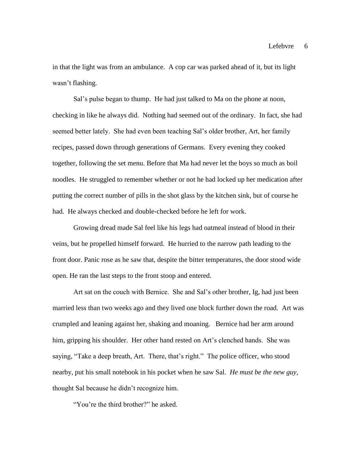in that the light was from an ambulance. A cop car was parked ahead of it, but its light wasn't flashing.

Sal's pulse began to thump. He had just talked to Ma on the phone at noon, checking in like he always did. Nothing had seemed out of the ordinary. In fact, she had seemed better lately. She had even been teaching Sal's older brother, Art, her family recipes, passed down through generations of Germans. Every evening they cooked together, following the set menu. Before that Ma had never let the boys so much as boil noodles. He struggled to remember whether or not he had locked up her medication after putting the correct number of pills in the shot glass by the kitchen sink, but of course he had. He always checked and double-checked before he left for work.

Growing dread made Sal feel like his legs had oatmeal instead of blood in their veins, but he propelled himself forward. He hurried to the narrow path leading to the front door. Panic rose as he saw that, despite the bitter temperatures, the door stood wide open. He ran the last steps to the front stoop and entered.

Art sat on the couch with Bernice. She and Sal's other brother, Ig, had just been married less than two weeks ago and they lived one block further down the road. Art was crumpled and leaning against her, shaking and moaning. Bernice had her arm around him, gripping his shoulder. Her other hand rested on Art's clenched hands. She was saying, "Take a deep breath, Art. There, that's right." The police officer, who stood nearby, put his small notebook in his pocket when he saw Sal. *He must be the new guy*, thought Sal because he didn't recognize him.

"You're the third brother?" he asked.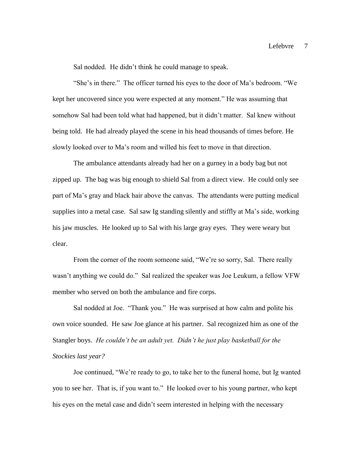Sal nodded. He didn't think he could manage to speak.

"She's in there." The officer turned his eyes to the door of Ma's bedroom. "We kept her uncovered since you were expected at any moment." He was assuming that somehow Sal had been told what had happened, but it didn't matter. Sal knew without being told. He had already played the scene in his head thousands of times before. He slowly looked over to Ma's room and willed his feet to move in that direction.

The ambulance attendants already had her on a gurney in a body bag but not zipped up. The bag was big enough to shield Sal from a direct view. He could only see part of Ma's gray and black hair above the canvas. The attendants were putting medical supplies into a metal case. Sal saw Ig standing silently and stiffly at Ma's side, working his jaw muscles. He looked up to Sal with his large gray eyes. They were weary but clear.

From the corner of the room someone said, "We're so sorry, Sal. There really wasn't anything we could do." Sal realized the speaker was Joe Leukum, a fellow VFW member who served on both the ambulance and fire corps.

Sal nodded at Joe. "Thank you." He was surprised at how calm and polite his own voice sounded. He saw Joe glance at his partner. Sal recognized him as one of the Stangler boys. *He couldn't be an adult yet. Didn't he just play basketball for the Stockies last year?*

Joe continued, "We're ready to go, to take her to the funeral home, but Ig wanted you to see her. That is, if you want to." He looked over to his young partner, who kept his eyes on the metal case and didn't seem interested in helping with the necessary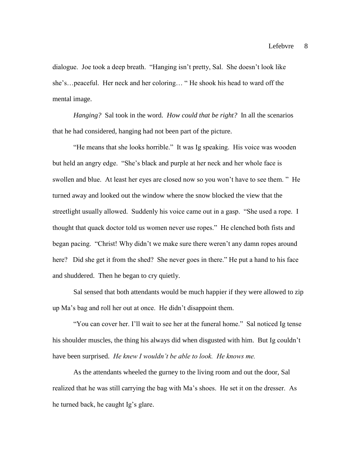dialogue. Joe took a deep breath. "Hanging isn't pretty, Sal. She doesn't look like she's…peaceful. Her neck and her coloring… " He shook his head to ward off the mental image.

*Hanging?* Sal took in the word. *How could that be right?* In all the scenarios that he had considered, hanging had not been part of the picture.

"He means that she looks horrible." It was Ig speaking. His voice was wooden but held an angry edge. "She's black and purple at her neck and her whole face is swollen and blue. At least her eyes are closed now so you won't have to see them. " He turned away and looked out the window where the snow blocked the view that the streetlight usually allowed. Suddenly his voice came out in a gasp. "She used a rope. I thought that quack doctor told us women never use ropes." He clenched both fists and began pacing. "Christ! Why didn't we make sure there weren't any damn ropes around here? Did she get it from the shed? She never goes in there." He put a hand to his face and shuddered. Then he began to cry quietly.

Sal sensed that both attendants would be much happier if they were allowed to zip up Ma's bag and roll her out at once. He didn't disappoint them.

"You can cover her. I'll wait to see her at the funeral home." Sal noticed Ig tense his shoulder muscles, the thing his always did when disgusted with him. But Ig couldn't have been surprised. *He knew I wouldn't be able to look. He knows me.*

As the attendants wheeled the gurney to the living room and out the door, Sal realized that he was still carrying the bag with Ma's shoes. He set it on the dresser. As he turned back, he caught Ig's glare.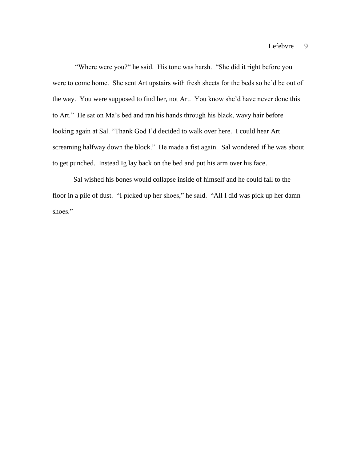"Where were you?" he said. His tone was harsh. "She did it right before you were to come home. She sent Art upstairs with fresh sheets for the beds so he'd be out of the way. You were supposed to find her, not Art. You know she'd have never done this to Art." He sat on Ma's bed and ran his hands through his black, wavy hair before looking again at Sal. "Thank God I'd decided to walk over here. I could hear Art screaming halfway down the block." He made a fist again. Sal wondered if he was about to get punched. Instead Ig lay back on the bed and put his arm over his face.

Sal wished his bones would collapse inside of himself and he could fall to the floor in a pile of dust. "I picked up her shoes," he said. "All I did was pick up her damn shoes."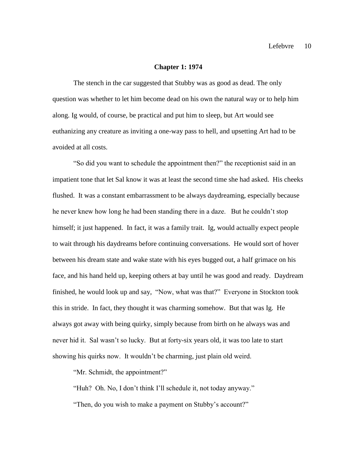#### **Chapter 1: 1974**

The stench in the car suggested that Stubby was as good as dead. The only question was whether to let him become dead on his own the natural way or to help him along. Ig would, of course, be practical and put him to sleep, but Art would see euthanizing any creature as inviting a one-way pass to hell, and upsetting Art had to be avoided at all costs.

"So did you want to schedule the appointment then?" the receptionist said in an impatient tone that let Sal know it was at least the second time she had asked. His cheeks flushed. It was a constant embarrassment to be always daydreaming, especially because he never knew how long he had been standing there in a daze. But he couldn't stop himself; it just happened. In fact, it was a family trait. Ig, would actually expect people to wait through his daydreams before continuing conversations. He would sort of hover between his dream state and wake state with his eyes bugged out, a half grimace on his face, and his hand held up, keeping others at bay until he was good and ready. Daydream finished, he would look up and say, "Now, what was that?" Everyone in Stockton took this in stride. In fact, they thought it was charming somehow. But that was Ig. He always got away with being quirky, simply because from birth on he always was and never hid it. Sal wasn't so lucky. But at forty-six years old, it was too late to start showing his quirks now. It wouldn't be charming, just plain old weird.

"Mr. Schmidt, the appointment?"

"Huh? Oh. No, I don't think I'll schedule it, not today anyway."

"Then, do you wish to make a payment on Stubby's account?"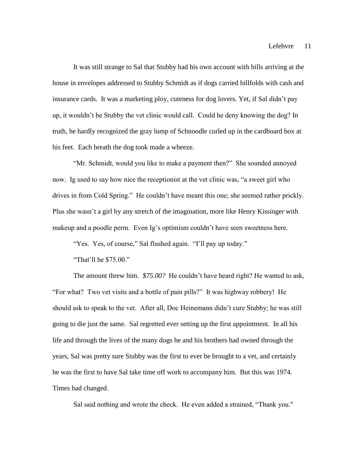It was still strange to Sal that Stubby had his own account with bills arriving at the house in envelopes addressed to Stubby Schmidt as if dogs carried billfolds with cash and insurance cards. It was a marketing ploy, cuteness for dog lovers. Yet, if Sal didn't pay up, it wouldn't be Stubby the vet clinic would call. Could he deny knowing the dog? In truth, he hardly recognized the gray lump of Schnoodle curled up in the cardboard box at his feet. Each breath the dog took made a wheeze.

"Mr. Schmidt, would you like to make a payment then?" She sounded annoyed now. Ig used to say how nice the receptionist at the vet clinic was, "a sweet girl who drives in from Cold Spring." He couldn't have meant this one; she seemed rather prickly. Plus she wasn't a girl by any stretch of the imagination, more like Henry Kissinger with makeup and a poodle perm. Even Ig's optimism couldn't have seen sweetness here.

"Yes. Yes, of course," Sal flushed again. "I'll pay up today."

"That'll be \$75.00."

The amount threw him. *\$75.00?* He couldn't have heard right? He wanted to ask, "For what? Two vet visits and a bottle of pain pills?" It was highway robbery! He should ask to speak to the vet. After all, Doc Heinemann didn't cure Stubby; he was still going to die just the same. Sal regretted ever setting up the first appointment. In all his life and through the lives of the many dogs he and his brothers had owned through the years, Sal was pretty sure Stubby was the first to ever be brought to a vet, and certainly he was the first to have Sal take time off work to accompany him. But this was 1974. Times had changed.

Sal said nothing and wrote the check. He even added a strained, "Thank you."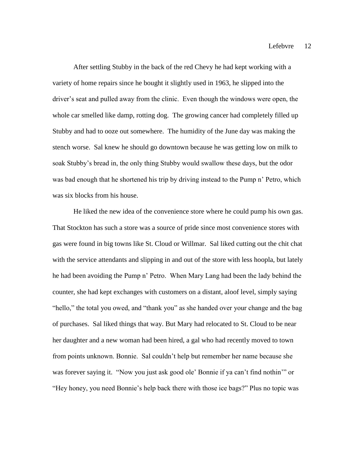After settling Stubby in the back of the red Chevy he had kept working with a variety of home repairs since he bought it slightly used in 1963, he slipped into the driver's seat and pulled away from the clinic. Even though the windows were open, the whole car smelled like damp, rotting dog. The growing cancer had completely filled up Stubby and had to ooze out somewhere. The humidity of the June day was making the stench worse. Sal knew he should go downtown because he was getting low on milk to soak Stubby's bread in, the only thing Stubby would swallow these days, but the odor was bad enough that he shortened his trip by driving instead to the Pump n' Petro, which was six blocks from his house.

He liked the new idea of the convenience store where he could pump his own gas. That Stockton has such a store was a source of pride since most convenience stores with gas were found in big towns like St. Cloud or Willmar. Sal liked cutting out the chit chat with the service attendants and slipping in and out of the store with less hoopla, but lately he had been avoiding the Pump n' Petro. When Mary Lang had been the lady behind the counter, she had kept exchanges with customers on a distant, aloof level, simply saying "hello," the total you owed, and "thank you" as she handed over your change and the bag of purchases. Sal liked things that way. But Mary had relocated to St. Cloud to be near her daughter and a new woman had been hired, a gal who had recently moved to town from points unknown. Bonnie. Sal couldn't help but remember her name because she was forever saying it. "Now you just ask good ole' Bonnie if ya can't find nothin'" or "Hey honey, you need Bonnie's help back there with those ice bags?" Plus no topic was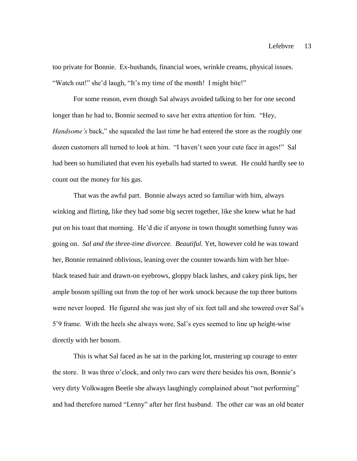too private for Bonnie. Ex-husbands, financial woes, wrinkle creams, physical issues. "Watch out!" she'd laugh, "It's my time of the month! I might bite!"

For some reason, even though Sal always avoided talking to her for one second longer than he had to, Bonnie seemed to save her extra attention for him. "Hey, *Handsome's* back," she squealed the last time he had entered the store as the roughly one dozen customers all turned to look at him. "I haven't seen your cute face in ages!" Sal had been so humiliated that even his eyeballs had started to sweat. He could hardly see to count out the money for his gas.

That was the awful part. Bonnie always acted so familiar with him, always winking and flirting, like they had some big secret together, like she knew what he had put on his toast that morning. He'd die if anyone in town thought something funny was going on. *Sal and the three-time divorcee. Beautiful.* Yet, however cold he was toward her, Bonnie remained oblivious, leaning over the counter towards him with her blueblack teased hair and drawn-on eyebrows, gloppy black lashes, and cakey pink lips, her ample bosom spilling out from the top of her work smock because the top three buttons were never looped. He figured she was just shy of six feet tall and she towered over Sal's 5'9 frame. With the heels she always wore, Sal's eyes seemed to line up height-wise directly with her bosom.

This is what Sal faced as he sat in the parking lot, mustering up courage to enter the store. It was three o'clock, and only two cars were there besides his own, Bonnie's very dirty Volkwagen Beetle she always laughingly complained about "not performing" and had therefore named "Lenny" after her first husband. The other car was an old beater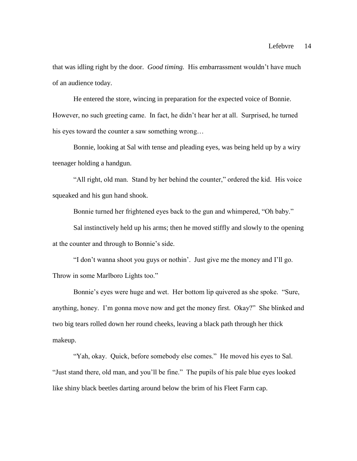that was idling right by the door. *Good timing.* His embarrassment wouldn't have much of an audience today.

He entered the store, wincing in preparation for the expected voice of Bonnie. However, no such greeting came. In fact, he didn't hear her at all. Surprised, he turned his eyes toward the counter a saw something wrong…

Bonnie, looking at Sal with tense and pleading eyes, was being held up by a wiry teenager holding a handgun.

"All right, old man. Stand by her behind the counter," ordered the kid. His voice squeaked and his gun hand shook.

Bonnie turned her frightened eyes back to the gun and whimpered, "Oh baby."

Sal instinctively held up his arms; then he moved stiffly and slowly to the opening at the counter and through to Bonnie's side.

"I don't wanna shoot you guys or nothin'. Just give me the money and I'll go. Throw in some Marlboro Lights too."

Bonnie's eyes were huge and wet. Her bottom lip quivered as she spoke. "Sure, anything, honey. I'm gonna move now and get the money first. Okay?" She blinked and two big tears rolled down her round cheeks, leaving a black path through her thick makeup.

"Yah, okay. Quick, before somebody else comes." He moved his eyes to Sal. "Just stand there, old man, and you'll be fine." The pupils of his pale blue eyes looked like shiny black beetles darting around below the brim of his Fleet Farm cap.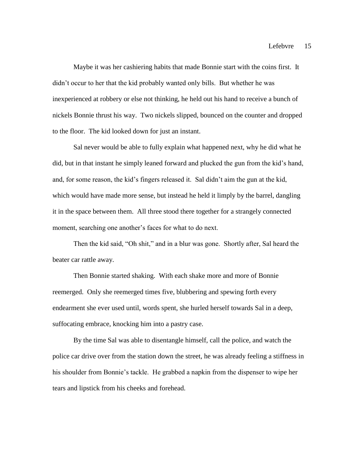Maybe it was her cashiering habits that made Bonnie start with the coins first. It didn't occur to her that the kid probably wanted only bills. But whether he was inexperienced at robbery or else not thinking, he held out his hand to receive a bunch of nickels Bonnie thrust his way. Two nickels slipped, bounced on the counter and dropped to the floor. The kid looked down for just an instant.

Sal never would be able to fully explain what happened next, why he did what he did, but in that instant he simply leaned forward and plucked the gun from the kid's hand, and, for some reason, the kid's fingers released it. Sal didn't aim the gun at the kid, which would have made more sense, but instead he held it limply by the barrel, dangling it in the space between them. All three stood there together for a strangely connected moment, searching one another's faces for what to do next.

Then the kid said, "Oh shit," and in a blur was gone. Shortly after, Sal heard the beater car rattle away.

Then Bonnie started shaking. With each shake more and more of Bonnie reemerged. Only she reemerged times five, blubbering and spewing forth every endearment she ever used until, words spent, she hurled herself towards Sal in a deep, suffocating embrace, knocking him into a pastry case.

By the time Sal was able to disentangle himself, call the police, and watch the police car drive over from the station down the street, he was already feeling a stiffness in his shoulder from Bonnie's tackle. He grabbed a napkin from the dispenser to wipe her tears and lipstick from his cheeks and forehead.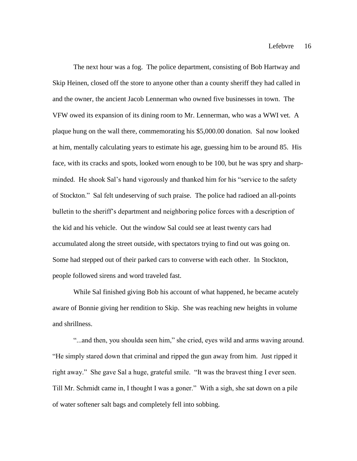The next hour was a fog. The police department, consisting of Bob Hartway and Skip Heinen, closed off the store to anyone other than a county sheriff they had called in and the owner, the ancient Jacob Lennerman who owned five businesses in town. The VFW owed its expansion of its dining room to Mr. Lennerman, who was a WWI vet. A plaque hung on the wall there, commemorating his \$5,000.00 donation. Sal now looked at him, mentally calculating years to estimate his age, guessing him to be around 85. His face, with its cracks and spots, looked worn enough to be 100, but he was spry and sharpminded. He shook Sal's hand vigorously and thanked him for his "service to the safety of Stockton." Sal felt undeserving of such praise. The police had radioed an all-points bulletin to the sheriff's department and neighboring police forces with a description of the kid and his vehicle. Out the window Sal could see at least twenty cars had accumulated along the street outside, with spectators trying to find out was going on. Some had stepped out of their parked cars to converse with each other. In Stockton, people followed sirens and word traveled fast.

While Sal finished giving Bob his account of what happened, he became acutely aware of Bonnie giving her rendition to Skip. She was reaching new heights in volume and shrillness.

"...and then, you shoulda seen him," she cried, eyes wild and arms waving around. "He simply stared down that criminal and ripped the gun away from him. Just ripped it right away." She gave Sal a huge, grateful smile. "It was the bravest thing I ever seen. Till Mr. Schmidt came in, I thought I was a goner." With a sigh, she sat down on a pile of water softener salt bags and completely fell into sobbing.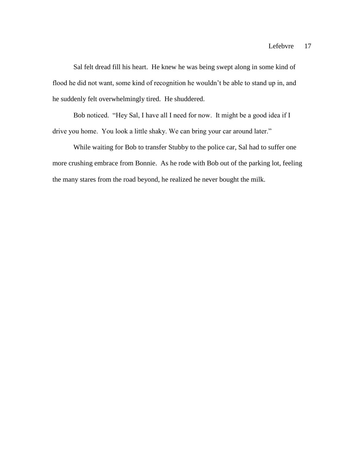Sal felt dread fill his heart. He knew he was being swept along in some kind of flood he did not want, some kind of recognition he wouldn't be able to stand up in, and he suddenly felt overwhelmingly tired. He shuddered.

Bob noticed. "Hey Sal, I have all I need for now. It might be a good idea if I drive you home. You look a little shaky. We can bring your car around later."

While waiting for Bob to transfer Stubby to the police car, Sal had to suffer one more crushing embrace from Bonnie. As he rode with Bob out of the parking lot, feeling the many stares from the road beyond, he realized he never bought the milk.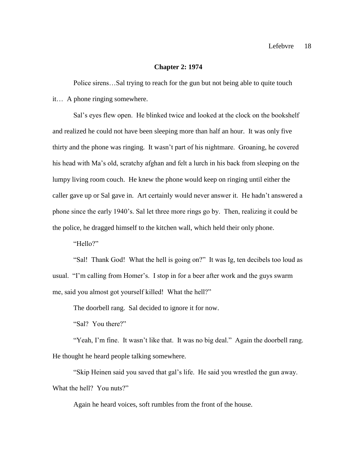### **Chapter 2: 1974**

Police sirens…Sal trying to reach for the gun but not being able to quite touch it… A phone ringing somewhere.

Sal's eyes flew open. He blinked twice and looked at the clock on the bookshelf and realized he could not have been sleeping more than half an hour. It was only five thirty and the phone was ringing. It wasn't part of his nightmare. Groaning, he covered his head with Ma's old, scratchy afghan and felt a lurch in his back from sleeping on the lumpy living room couch. He knew the phone would keep on ringing until either the caller gave up or Sal gave in. Art certainly would never answer it. He hadn't answered a phone since the early 1940's. Sal let three more rings go by. Then, realizing it could be the police, he dragged himself to the kitchen wall, which held their only phone.

"Hello?"

"Sal! Thank God! What the hell is going on?" It was Ig, ten decibels too loud as usual. "I'm calling from Homer's. I stop in for a beer after work and the guys swarm me, said you almost got yourself killed! What the hell?"

The doorbell rang. Sal decided to ignore it for now.

"Sal? You there?"

"Yeah, I'm fine. It wasn't like that. It was no big deal." Again the doorbell rang. He thought he heard people talking somewhere.

"Skip Heinen said you saved that gal's life. He said you wrestled the gun away. What the hell? You nuts?"

Again he heard voices, soft rumbles from the front of the house.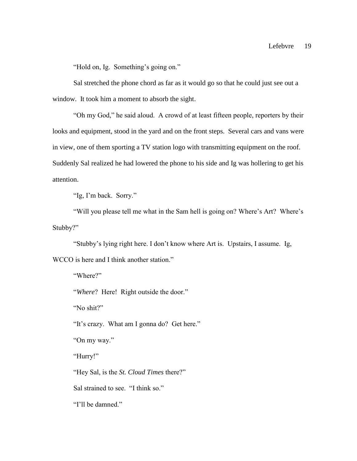"Hold on, Ig. Something's going on."

Sal stretched the phone chord as far as it would go so that he could just see out a window. It took him a moment to absorb the sight.

"Oh my God," he said aloud. A crowd of at least fifteen people, reporters by their looks and equipment, stood in the yard and on the front steps. Several cars and vans were in view, one of them sporting a TV station logo with transmitting equipment on the roof. Suddenly Sal realized he had lowered the phone to his side and Ig was hollering to get his attention.

"Ig, I'm back. Sorry."

"Will you please tell me what in the Sam hell is going on? Where's Art? Where's Stubby?"

"Stubby's lying right here. I don't know where Art is. Upstairs, I assume. Ig, WCCO is here and I think another station."

"Where?"

"*Where*? Here! Right outside the door."

"No shit?"

"It's crazy. What am I gonna do? Get here."

"On my way."

"Hurry!"

"Hey Sal, is the *St. Cloud Times* there?"

Sal strained to see. "I think so."

"I'll be damned."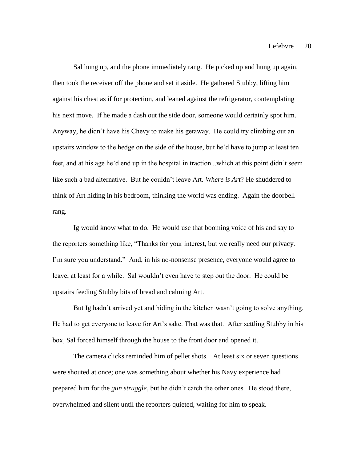Sal hung up, and the phone immediately rang. He picked up and hung up again, then took the receiver off the phone and set it aside. He gathered Stubby, lifting him against his chest as if for protection, and leaned against the refrigerator, contemplating his next move. If he made a dash out the side door, someone would certainly spot him. Anyway, he didn't have his Chevy to make his getaway. He could try climbing out an upstairs window to the hedge on the side of the house, but he'd have to jump at least ten feet, and at his age he'd end up in the hospital in traction...which at this point didn't seem like such a bad alternative. But he couldn't leave Art. *Where is Art*? He shuddered to think of Art hiding in his bedroom, thinking the world was ending. Again the doorbell rang.

Ig would know what to do. He would use that booming voice of his and say to the reporters something like, "Thanks for your interest, but we really need our privacy. I'm sure you understand." And, in his no-nonsense presence, everyone would agree to leave, at least for a while. Sal wouldn't even have to step out the door. He could be upstairs feeding Stubby bits of bread and calming Art.

But Ig hadn't arrived yet and hiding in the kitchen wasn't going to solve anything. He had to get everyone to leave for Art's sake. That was that. After settling Stubby in his box, Sal forced himself through the house to the front door and opened it.

The camera clicks reminded him of pellet shots. At least six or seven questions were shouted at once; one was something about whether his Navy experience had prepared him for the *gun struggle*, but he didn't catch the other ones. He stood there, overwhelmed and silent until the reporters quieted, waiting for him to speak.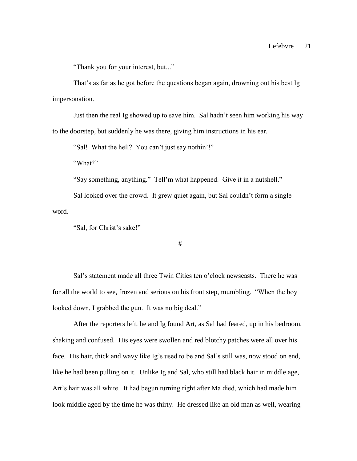"Thank you for your interest, but..."

That's as far as he got before the questions began again, drowning out his best Ig impersonation.

Just then the real Ig showed up to save him. Sal hadn't seen him working his way to the doorstep, but suddenly he was there, giving him instructions in his ear.

"Sal! What the hell? You can't just say nothin'!"

"What?"

"Say something, anything." Tell'm what happened. Give it in a nutshell." Sal looked over the crowd. It grew quiet again, but Sal couldn't form a single word.

"Sal, for Christ's sake!"

#

Sal's statement made all three Twin Cities ten o'clock newscasts. There he was for all the world to see, frozen and serious on his front step, mumbling. "When the boy looked down, I grabbed the gun. It was no big deal."

After the reporters left, he and Ig found Art, as Sal had feared, up in his bedroom, shaking and confused. His eyes were swollen and red blotchy patches were all over his face. His hair, thick and wavy like Ig's used to be and Sal's still was, now stood on end, like he had been pulling on it. Unlike Ig and Sal, who still had black hair in middle age, Art's hair was all white. It had begun turning right after Ma died, which had made him look middle aged by the time he was thirty. He dressed like an old man as well, wearing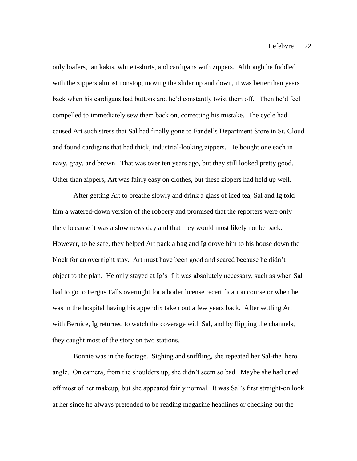only loafers, tan kakis, white t-shirts, and cardigans with zippers. Although he fuddled with the zippers almost nonstop, moving the slider up and down, it was better than years back when his cardigans had buttons and he'd constantly twist them off. Then he'd feel compelled to immediately sew them back on, correcting his mistake. The cycle had caused Art such stress that Sal had finally gone to Fandel's Department Store in St. Cloud and found cardigans that had thick, industrial-looking zippers. He bought one each in navy, gray, and brown. That was over ten years ago, but they still looked pretty good. Other than zippers, Art was fairly easy on clothes, but these zippers had held up well.

After getting Art to breathe slowly and drink a glass of iced tea, Sal and Ig told him a watered-down version of the robbery and promised that the reporters were only there because it was a slow news day and that they would most likely not be back. However, to be safe, they helped Art pack a bag and Ig drove him to his house down the block for an overnight stay. Art must have been good and scared because he didn't object to the plan. He only stayed at Ig's if it was absolutely necessary, such as when Sal had to go to Fergus Falls overnight for a boiler license recertification course or when he was in the hospital having his appendix taken out a few years back. After settling Art with Bernice, Ig returned to watch the coverage with Sal, and by flipping the channels, they caught most of the story on two stations.

Bonnie was in the footage. Sighing and sniffling, she repeated her Sal-the–hero angle. On camera, from the shoulders up, she didn't seem so bad. Maybe she had cried off most of her makeup, but she appeared fairly normal. It was Sal's first straight-on look at her since he always pretended to be reading magazine headlines or checking out the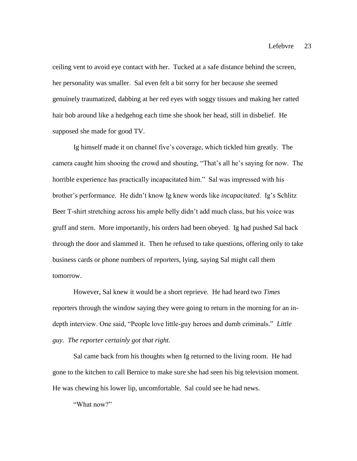ceiling vent to avoid eye contact with her. Tucked at a safe distance behind the screen, her personality was smaller. Sal even felt a bit sorry for her because she seemed genuinely traumatized, dabbing at her red eyes with soggy tissues and making her ratted hair bob around like a hedgehog each time she shook her head, still in disbelief. He supposed she made for good TV.

Ig himself made it on channel five's coverage, which tickled him greatly. The camera caught him shooing the crowd and shouting, "That's all he's saying for now. The horrible experience has practically incapacitated him." Sal was impressed with his brother's performance. He didn't know Ig knew words like *incapacitated*. Ig's Schlitz Beer T-shirt stretching across his ample belly didn't add much class, but his voice was gruff and stern. More importantly, his orders had been obeyed. Ig had pushed Sal back through the door and slammed it. Then he refused to take questions, offering only to take business cards or phone numbers of reporters, lying, saying Sal might call them tomorrow.

However, Sal knew it would be a short reprieve. He had heard two *Times* reporters through the window saying they were going to return in the morning for an indepth interview. One said, "People love little-guy heroes and dumb criminals." *Little guy. The reporter certainly got that right.*

Sal came back from his thoughts when Ig returned to the living room. He had gone to the kitchen to call Bernice to make sure she had seen his big television moment. He was chewing his lower lip, uncomfortable. Sal could see he had news.

"What now?"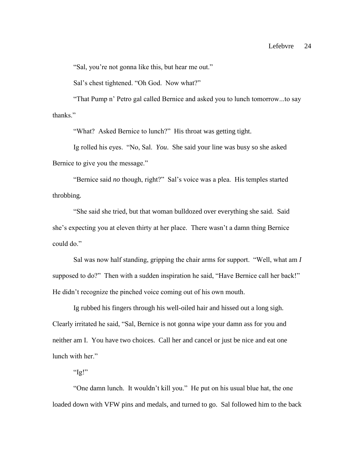"Sal, you're not gonna like this, but hear me out."

Sal's chest tightened. "Oh God. Now what?"

"That Pump n' Petro gal called Bernice and asked you to lunch tomorrow...to say thanks."

"What? Asked Bernice to lunch?" His throat was getting tight.

Ig rolled his eyes. "No, Sal. *You*. She said your line was busy so she asked Bernice to give you the message."

"Bernice said *no* though, right?" Sal's voice was a plea. His temples started throbbing.

"She said she tried, but that woman bulldozed over everything she said. Said she's expecting you at eleven thirty at her place. There wasn't a damn thing Bernice could do."

Sal was now half standing, gripping the chair arms for support. "Well, what am *I*  supposed to do?" Then with a sudden inspiration he said, "Have Bernice call her back!" He didn't recognize the pinched voice coming out of his own mouth.

Ig rubbed his fingers through his well-oiled hair and hissed out a long sigh. Clearly irritated he said, "Sal, Bernice is not gonna wipe your damn ass for you and neither am I. You have two choices. Call her and cancel or just be nice and eat one lunch with her."

" $[q]$ "

"One damn lunch. It wouldn't kill you." He put on his usual blue hat, the one loaded down with VFW pins and medals, and turned to go. Sal followed him to the back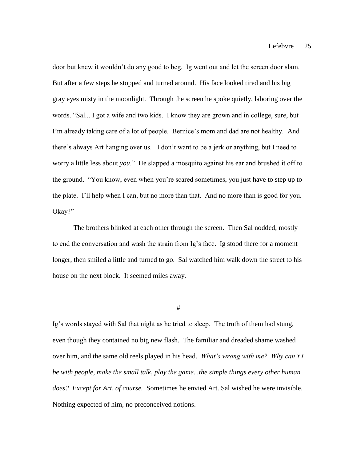door but knew it wouldn't do any good to beg. Ig went out and let the screen door slam. But after a few steps he stopped and turned around. His face looked tired and his big gray eyes misty in the moonlight. Through the screen he spoke quietly, laboring over the words. "Sal... I got a wife and two kids. I know they are grown and in college, sure, but I'm already taking care of a lot of people. Bernice's mom and dad are not healthy. And there's always Art hanging over us. I don't want to be a jerk or anything, but I need to worry a little less about *you*." He slapped a mosquito against his ear and brushed it off to the ground. "You know, even when you're scared sometimes, you just have to step up to the plate. I'll help when I can, but no more than that. And no more than is good for you. Okay?"

The brothers blinked at each other through the screen. Then Sal nodded, mostly to end the conversation and wash the strain from Ig's face. Ig stood there for a moment longer, then smiled a little and turned to go. Sal watched him walk down the street to his house on the next block. It seemed miles away.

#

Ig's words stayed with Sal that night as he tried to sleep. The truth of them had stung, even though they contained no big new flash. The familiar and dreaded shame washed over him, and the same old reels played in his head. *What's wrong with me? Why can't I be with people, make the small talk, play the game...the simple things every other human does? Except for Art, of course.* Sometimes he envied Art. Sal wished he were invisible. Nothing expected of him, no preconceived notions.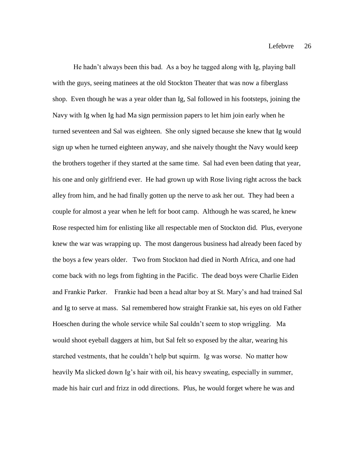He hadn't always been this bad. As a boy he tagged along with Ig, playing ball with the guys, seeing matinees at the old Stockton Theater that was now a fiberglass shop. Even though he was a year older than Ig, Sal followed in his footsteps, joining the Navy with Ig when Ig had Ma sign permission papers to let him join early when he turned seventeen and Sal was eighteen. She only signed because she knew that Ig would sign up when he turned eighteen anyway, and she naively thought the Navy would keep the brothers together if they started at the same time. Sal had even been dating that year, his one and only girlfriend ever. He had grown up with Rose living right across the back alley from him, and he had finally gotten up the nerve to ask her out. They had been a couple for almost a year when he left for boot camp. Although he was scared, he knew Rose respected him for enlisting like all respectable men of Stockton did. Plus, everyone knew the war was wrapping up. The most dangerous business had already been faced by the boys a few years older. Two from Stockton had died in North Africa, and one had come back with no legs from fighting in the Pacific. The dead boys were Charlie Eiden and Frankie Parker. Frankie had been a head altar boy at St. Mary's and had trained Sal and Ig to serve at mass. Sal remembered how straight Frankie sat, his eyes on old Father Hoeschen during the whole service while Sal couldn't seem to stop wriggling. Ma would shoot eyeball daggers at him, but Sal felt so exposed by the altar, wearing his starched vestments, that he couldn't help but squirm. Ig was worse. No matter how heavily Ma slicked down Ig's hair with oil, his heavy sweating, especially in summer, made his hair curl and frizz in odd directions. Plus, he would forget where he was and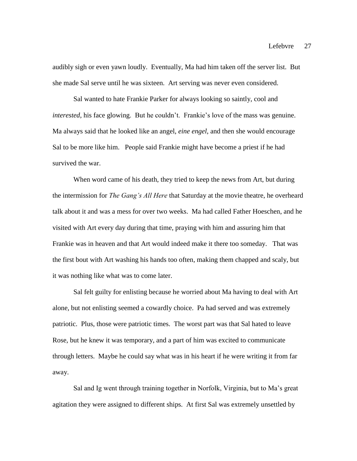audibly sigh or even yawn loudly. Eventually, Ma had him taken off the server list. But she made Sal serve until he was sixteen. Art serving was never even considered.

Sal wanted to hate Frankie Parker for always looking so saintly, cool and *interested*, his face glowing. But he couldn't. Frankie's love of the mass was genuine. Ma always said that he looked like an angel, *eine engel*, and then she would encourage Sal to be more like him. People said Frankie might have become a priest if he had survived the war.

When word came of his death, they tried to keep the news from Art, but during the intermission for *The Gang's All Here* that Saturday at the movie theatre, he overheard talk about it and was a mess for over two weeks. Ma had called Father Hoeschen, and he visited with Art every day during that time, praying with him and assuring him that Frankie was in heaven and that Art would indeed make it there too someday. That was the first bout with Art washing his hands too often, making them chapped and scaly, but it was nothing like what was to come later.

Sal felt guilty for enlisting because he worried about Ma having to deal with Art alone, but not enlisting seemed a cowardly choice. Pa had served and was extremely patriotic. Plus, those were patriotic times. The worst part was that Sal hated to leave Rose, but he knew it was temporary, and a part of him was excited to communicate through letters. Maybe he could say what was in his heart if he were writing it from far away.

Sal and Ig went through training together in Norfolk, Virginia, but to Ma's great agitation they were assigned to different ships. At first Sal was extremely unsettled by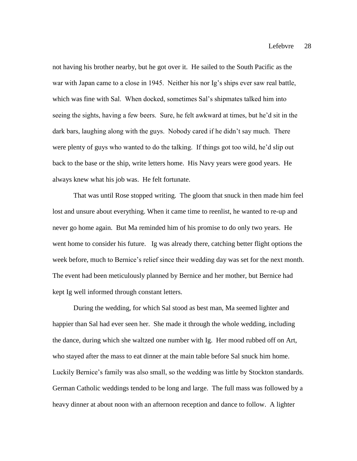not having his brother nearby, but he got over it. He sailed to the South Pacific as the war with Japan came to a close in 1945. Neither his nor Ig's ships ever saw real battle, which was fine with Sal. When docked, sometimes Sal's shipmates talked him into seeing the sights, having a few beers. Sure, he felt awkward at times, but he'd sit in the dark bars, laughing along with the guys. Nobody cared if he didn't say much. There were plenty of guys who wanted to do the talking. If things got too wild, he'd slip out back to the base or the ship, write letters home. His Navy years were good years. He always knew what his job was. He felt fortunate.

That was until Rose stopped writing. The gloom that snuck in then made him feel lost and unsure about everything. When it came time to reenlist, he wanted to re-up and never go home again. But Ma reminded him of his promise to do only two years. He went home to consider his future. Ig was already there, catching better flight options the week before, much to Bernice's relief since their wedding day was set for the next month. The event had been meticulously planned by Bernice and her mother, but Bernice had kept Ig well informed through constant letters.

During the wedding, for which Sal stood as best man, Ma seemed lighter and happier than Sal had ever seen her. She made it through the whole wedding, including the dance, during which she waltzed one number with Ig. Her mood rubbed off on Art, who stayed after the mass to eat dinner at the main table before Sal snuck him home. Luckily Bernice's family was also small, so the wedding was little by Stockton standards. German Catholic weddings tended to be long and large. The full mass was followed by a heavy dinner at about noon with an afternoon reception and dance to follow. A lighter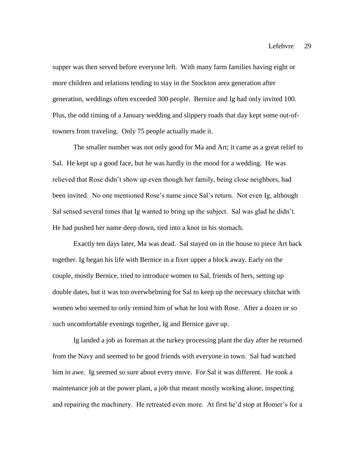supper was then served before everyone left. With many farm families having eight or more children and relations tending to stay in the Stockton area generation after generation, weddings often exceeded 300 people. Bernice and Ig had only invited 100. Plus, the odd timing of a January wedding and slippery roads that day kept some out-oftowners from traveling. Only 75 people actually made it.

The smaller number was not only good for Ma and Art; it came as a great relief to Sal. He kept up a good face, but he was hardly in the mood for a wedding. He was relieved that Rose didn't show up even though her family, being close neighbors, had been invited. No one mentioned Rose's name since Sal's return. Not even Ig, although Sal sensed several times that Ig wanted to bring up the subject. Sal was glad he didn't. He had pushed her name deep down, tied into a knot in his stomach.

Exactly ten days later, Ma was dead. Sal stayed on in the house to piece Art back together. Ig began his life with Bernice in a fixer upper a block away. Early on the couple, mostly Bernice, tried to introduce women to Sal, friends of hers, setting up double dates, but it was too overwhelming for Sal to keep up the necessary chitchat with women who seemed to only remind him of what he lost with Rose. After a dozen or so such uncomfortable evenings together, Ig and Bernice gave up.

Ig landed a job as foreman at the turkey processing plant the day after he returned from the Navy and seemed to be good friends with everyone in town. Sal had watched him in awe. Ig seemed so sure about every move. For Sal it was different. He took a maintenance job at the power plant, a job that meant mostly working alone, inspecting and repairing the machinery. He retreated even more. At first he'd stop at Homer's for a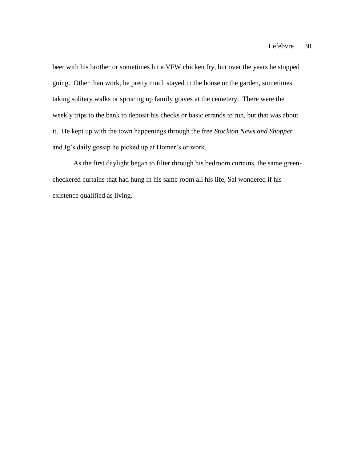beer with his brother or sometimes hit a VFW chicken fry, but over the years he stopped going. Other than work, he pretty much stayed in the house or the garden, sometimes taking solitary walks or sprucing up family graves at the cemetery. There were the weekly trips to the bank to deposit his checks or basic errands to run, but that was about it. He kept up with the town happenings through the free *Stockton News and Shopper*  and Ig's daily gossip he picked up at Homer's or work.

As the first daylight began to filter through his bedroom curtains, the same greencheckered curtains that had hung in his same room all his life, Sal wondered if his existence qualified as living.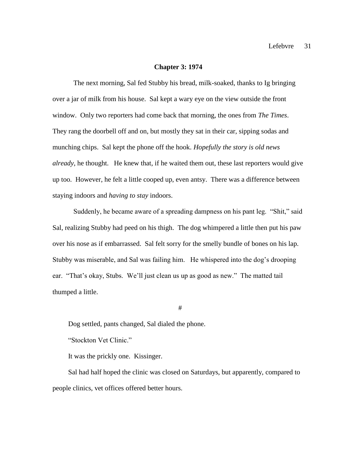#### **Chapter 3: 1974**

The next morning, Sal fed Stubby his bread, milk-soaked, thanks to Ig bringing over a jar of milk from his house. Sal kept a wary eye on the view outside the front window. Only two reporters had come back that morning, the ones from *The Times*. They rang the doorbell off and on, but mostly they sat in their car, sipping sodas and munching chips. Sal kept the phone off the hook. *Hopefully the story is old news already*, he thought. He knew that, if he waited them out, these last reporters would give up too. However, he felt a little cooped up, even antsy. There was a difference between staying indoors and *having to stay* indoors.

Suddenly, he became aware of a spreading dampness on his pant leg. "Shit," said Sal, realizing Stubby had peed on his thigh. The dog whimpered a little then put his paw over his nose as if embarrassed. Sal felt sorry for the smelly bundle of bones on his lap. Stubby was miserable, and Sal was failing him. He whispered into the dog's drooping ear. "That's okay, Stubs. We'll just clean us up as good as new." The matted tail thumped a little.

#

Dog settled, pants changed, Sal dialed the phone.

"Stockton Vet Clinic."

It was the prickly one. Kissinger.

Sal had half hoped the clinic was closed on Saturdays, but apparently, compared to people clinics, vet offices offered better hours.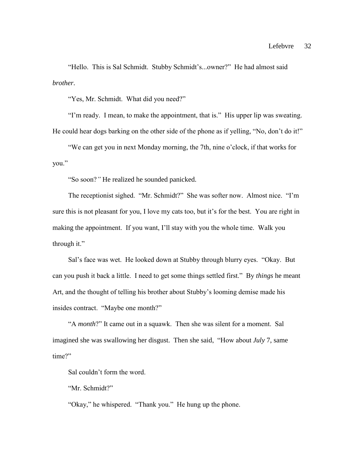"Hello. This is Sal Schmidt. Stubby Schmidt's...owner?" He had almost said *brother*.

"Yes, Mr. Schmidt. What did you need?"

"I'm ready. I mean, to make the appointment, that is." His upper lip was sweating. He could hear dogs barking on the other side of the phone as if yelling, "No, don't do it!"

"We can get you in next Monday morning, the 7th, nine o'clock, if that works for you."

"So soon?*"* He realized he sounded panicked.

The receptionist sighed. "Mr. Schmidt?" She was softer now. Almost nice. "I'm sure this is not pleasant for you, I love my cats too, but it's for the best. You are right in making the appointment. If you want, I'll stay with you the whole time. Walk you through it."

Sal's face was wet. He looked down at Stubby through blurry eyes. "Okay. But can you push it back a little. I need to get some things settled first." By *things* he meant Art, and the thought of telling his brother about Stubby's looming demise made his insides contract. "Maybe one month?"

"A *month*?" It came out in a squawk. Then she was silent for a moment. Sal imagined she was swallowing her disgust. Then she said, "How about *July* 7, same time?"

Sal couldn't form the word.

"Mr. Schmidt?"

"Okay," he whispered. "Thank you." He hung up the phone.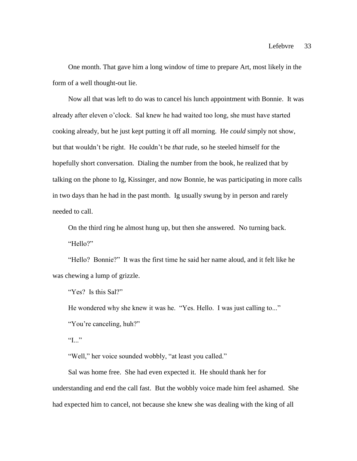One month. That gave him a long window of time to prepare Art, most likely in the form of a well thought-out lie.

Now all that was left to do was to cancel his lunch appointment with Bonnie. It was already after eleven o'clock. Sal knew he had waited too long, she must have started cooking already, but he just kept putting it off all morning. He *could* simply not show, but that wouldn't be right. He couldn't be *that* rude, so he steeled himself for the hopefully short conversation. Dialing the number from the book, he realized that by talking on the phone to Ig*,* Kissinger, and now Bonnie, he was participating in more calls in two days than he had in the past month. Ig usually swung by in person and rarely needed to call.

On the third ring he almost hung up, but then she answered. No turning back. "Hello?"

"Hello? Bonnie?" It was the first time he said her name aloud, and it felt like he was chewing a lump of grizzle.

"Yes? Is this Sal?"

He wondered why she knew it was he. "Yes. Hello. I was just calling to..."

"You're canceling, huh?"

 $T_{\rm L}$ .

"Well," her voice sounded wobbly, "at least you called."

Sal was home free. She had even expected it. He should thank her for understanding and end the call fast. But the wobbly voice made him feel ashamed. She had expected him to cancel, not because she knew she was dealing with the king of all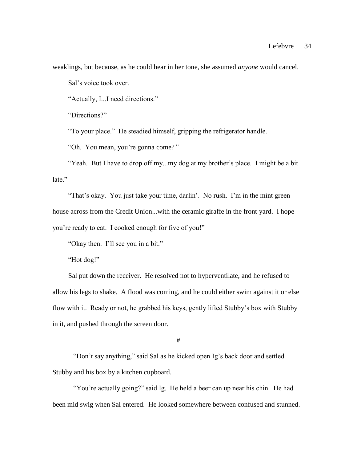weaklings, but because, as he could hear in her tone, she assumed *anyone* would cancel.

Sal's voice took over.

"Actually, I...I need directions."

"Directions?"

"To your place." He steadied himself, gripping the refrigerator handle.

"Oh. You mean, you're gonna come?*"*

"Yeah. But I have to drop off my...my dog at my brother's place. I might be a bit late."

"That's okay. You just take your time, darlin'. No rush. I'm in the mint green house across from the Credit Union...with the ceramic giraffe in the front yard. I hope you're ready to eat. I cooked enough for five of you!"

"Okay then. I'll see you in a bit."

"Hot dog!"

Sal put down the receiver. He resolved not to hyperventilate, and he refused to allow his legs to shake. A flood was coming, and he could either swim against it or else flow with it. Ready or not, he grabbed his keys, gently lifted Stubby's box with Stubby in it, and pushed through the screen door.

#

"Don't say anything," said Sal as he kicked open Ig's back door and settled Stubby and his box by a kitchen cupboard.

"You're actually going?" said Ig. He held a beer can up near his chin. He had been mid swig when Sal entered. He looked somewhere between confused and stunned.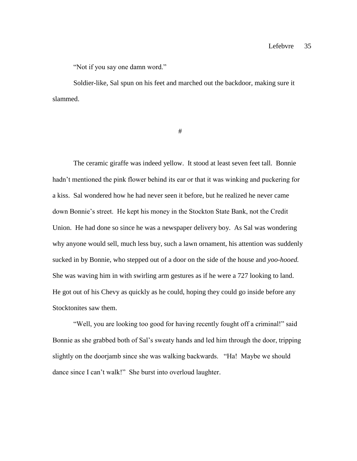"Not if you say one damn word."

Soldier-like, Sal spun on his feet and marched out the backdoor, making sure it slammed.

#

The ceramic giraffe was indeed yellow. It stood at least seven feet tall. Bonnie hadn't mentioned the pink flower behind its ear or that it was winking and puckering for a kiss. Sal wondered how he had never seen it before, but he realized he never came down Bonnie's street. He kept his money in the Stockton State Bank, not the Credit Union. He had done so since he was a newspaper delivery boy. As Sal was wondering why anyone would sell, much less buy, such a lawn ornament, his attention was suddenly sucked in by Bonnie, who stepped out of a door on the side of the house and *yoo-hooed.* She was waving him in with swirling arm gestures as if he were a 727 looking to land. He got out of his Chevy as quickly as he could, hoping they could go inside before any Stocktonites saw them.

"Well, you are looking too good for having recently fought off a criminal!" said Bonnie as she grabbed both of Sal's sweaty hands and led him through the door, tripping slightly on the doorjamb since she was walking backwards. "Ha! Maybe we should dance since I can't walk!" She burst into overloud laughter.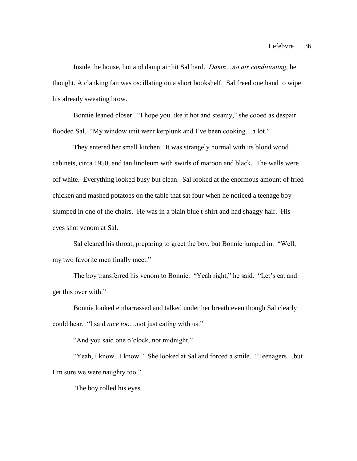Inside the house, hot and damp air hit Sal hard. *Damn…no air conditioning*, he thought. A clanking fan was oscillating on a short bookshelf. Sal freed one hand to wipe his already sweating brow.

Bonnie leaned closer. "I hope you like it hot and steamy," she cooed as despair flooded Sal. "My window unit went kerplunk and I've been cooking…a lot."

They entered her small kitchen. It was strangely normal with its blond wood cabinets, circa 1950, and tan linoleum with swirls of maroon and black. The walls were off white. Everything looked busy but clean. Sal looked at the enormous amount of fried chicken and mashed potatoes on the table that sat four when he noticed a teenage boy slumped in one of the chairs. He was in a plain blue t-shirt and had shaggy hair. His eyes shot venom at Sal.

Sal cleared his throat, preparing to greet the boy, but Bonnie jumped in. "Well, my two favorite men finally meet."

The boy transferred his venom to Bonnie. "Yeah right," he said. "Let's eat and get this over with."

Bonnie looked embarrassed and talked under her breath even though Sal clearly could hear. "I said *nice too*…not just eating with us."

"And you said one o'clock, not midnight."

"Yeah, I know. I know." She looked at Sal and forced a smile. "Teenagers…but I'm sure we were naughty too."

The boy rolled his eyes.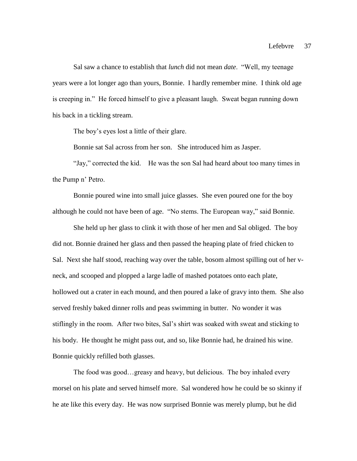Sal saw a chance to establish that *lunch* did not mean *date*. "Well, my teenage years were a lot longer ago than yours, Bonnie. I hardly remember mine. I think old age is creeping in." He forced himself to give a pleasant laugh. Sweat began running down his back in a tickling stream.

The boy's eyes lost a little of their glare.

Bonnie sat Sal across from her son. She introduced him as Jasper.

"Jay," corrected the kid. He was the son Sal had heard about too many times in the Pump n' Petro.

Bonnie poured wine into small juice glasses. She even poured one for the boy although he could not have been of age. "No stems. The European way," said Bonnie.

She held up her glass to clink it with those of her men and Sal obliged. The boy did not. Bonnie drained her glass and then passed the heaping plate of fried chicken to Sal. Next she half stood, reaching way over the table, bosom almost spilling out of her vneck, and scooped and plopped a large ladle of mashed potatoes onto each plate, hollowed out a crater in each mound, and then poured a lake of gravy into them. She also served freshly baked dinner rolls and peas swimming in butter. No wonder it was stiflingly in the room. After two bites, Sal's shirt was soaked with sweat and sticking to his body. He thought he might pass out, and so, like Bonnie had, he drained his wine. Bonnie quickly refilled both glasses.

The food was good…greasy and heavy, but delicious. The boy inhaled every morsel on his plate and served himself more. Sal wondered how he could be so skinny if he ate like this every day. He was now surprised Bonnie was merely plump, but he did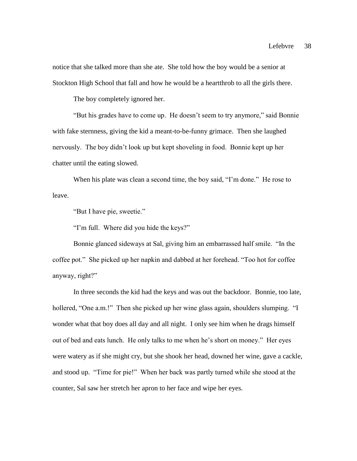notice that she talked more than she ate. She told how the boy would be a senior at Stockton High School that fall and how he would be a heartthrob to all the girls there.

The boy completely ignored her.

"But his grades have to come up. He doesn't seem to try anymore," said Bonnie with fake sternness, giving the kid a meant-to-be-funny grimace. Then she laughed nervously. The boy didn't look up but kept shoveling in food. Bonnie kept up her chatter until the eating slowed.

When his plate was clean a second time, the boy said, "I'm done." He rose to leave.

"But I have pie, sweetie."

"I'm full. Where did you hide the keys?"

Bonnie glanced sideways at Sal, giving him an embarrassed half smile. "In the coffee pot." She picked up her napkin and dabbed at her forehead. "Too hot for coffee anyway, right?"

In three seconds the kid had the keys and was out the backdoor. Bonnie, too late, hollered, "One a.m.!" Then she picked up her wine glass again, shoulders slumping. "I wonder what that boy does all day and all night. I only see him when he drags himself out of bed and eats lunch. He only talks to me when he's short on money." Her eyes were watery as if she might cry, but she shook her head, downed her wine, gave a cackle, and stood up. "Time for pie!" When her back was partly turned while she stood at the counter, Sal saw her stretch her apron to her face and wipe her eyes.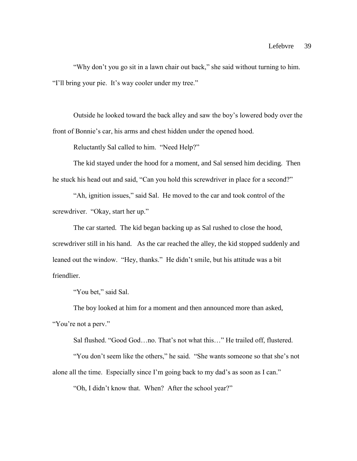"Why don't you go sit in a lawn chair out back," she said without turning to him. "I'll bring your pie. It's way cooler under my tree."

Outside he looked toward the back alley and saw the boy's lowered body over the front of Bonnie's car, his arms and chest hidden under the opened hood.

Reluctantly Sal called to him. "Need Help?"

The kid stayed under the hood for a moment, and Sal sensed him deciding. Then he stuck his head out and said, "Can you hold this screwdriver in place for a second?"

"Ah, ignition issues," said Sal. He moved to the car and took control of the screwdriver. "Okay, start her up."

The car started. The kid began backing up as Sal rushed to close the hood, screwdriver still in his hand. As the car reached the alley, the kid stopped suddenly and leaned out the window. "Hey, thanks." He didn't smile, but his attitude was a bit friendlier.

"You bet," said Sal.

The boy looked at him for a moment and then announced more than asked, "You're not a perv."

Sal flushed. "Good God…no. That's not what this…" He trailed off, flustered.

"You don't seem like the others," he said. "She wants someone so that she's not alone all the time. Especially since I'm going back to my dad's as soon as I can."

"Oh, I didn't know that. When? After the school year?"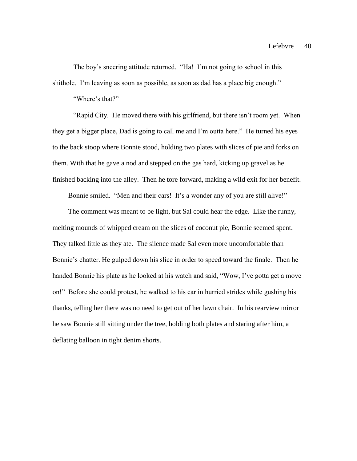The boy's sneering attitude returned. "Ha! I'm not going to school in this shithole. I'm leaving as soon as possible, as soon as dad has a place big enough."

"Where's that?"

"Rapid City. He moved there with his girlfriend, but there isn't room yet. When they get a bigger place, Dad is going to call me and I'm outta here." He turned his eyes to the back stoop where Bonnie stood, holding two plates with slices of pie and forks on them. With that he gave a nod and stepped on the gas hard, kicking up gravel as he finished backing into the alley. Then he tore forward, making a wild exit for her benefit.

Bonnie smiled. "Men and their cars! It's a wonder any of you are still alive!"

The comment was meant to be light, but Sal could hear the edge. Like the runny, melting mounds of whipped cream on the slices of coconut pie, Bonnie seemed spent. They talked little as they ate. The silence made Sal even more uncomfortable than Bonnie's chatter. He gulped down his slice in order to speed toward the finale. Then he handed Bonnie his plate as he looked at his watch and said, "Wow, I've gotta get a move on!" Before she could protest, he walked to his car in hurried strides while gushing his thanks, telling her there was no need to get out of her lawn chair. In his rearview mirror he saw Bonnie still sitting under the tree, holding both plates and staring after him, a deflating balloon in tight denim shorts.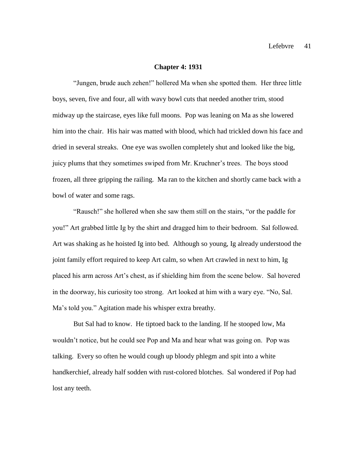## **Chapter 4: 1931**

"Jungen, brude auch zehen!" hollered Ma when she spotted them. Her three little boys, seven, five and four, all with wavy bowl cuts that needed another trim, stood midway up the staircase, eyes like full moons. Pop was leaning on Ma as she lowered him into the chair. His hair was matted with blood, which had trickled down his face and dried in several streaks. One eye was swollen completely shut and looked like the big, juicy plums that they sometimes swiped from Mr. Kruchner's trees. The boys stood frozen, all three gripping the railing. Ma ran to the kitchen and shortly came back with a bowl of water and some rags.

"Rausch!" she hollered when she saw them still on the stairs, "or the paddle for you!" Art grabbed little Ig by the shirt and dragged him to their bedroom. Sal followed. Art was shaking as he hoisted Ig into bed. Although so young, Ig already understood the joint family effort required to keep Art calm, so when Art crawled in next to him, Ig placed his arm across Art's chest, as if shielding him from the scene below. Sal hovered in the doorway, his curiosity too strong. Art looked at him with a wary eye. "No, Sal. Ma's told you." Agitation made his whisper extra breathy.

But Sal had to know. He tiptoed back to the landing. If he stooped low, Ma wouldn't notice, but he could see Pop and Ma and hear what was going on. Pop was talking. Every so often he would cough up bloody phlegm and spit into a white handkerchief, already half sodden with rust-colored blotches. Sal wondered if Pop had lost any teeth.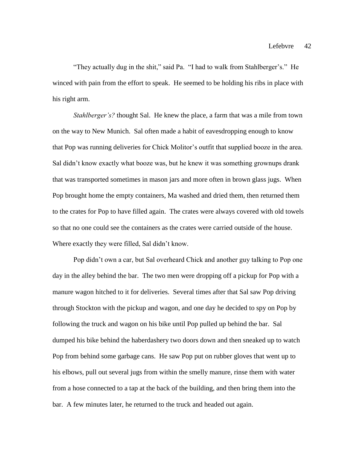"They actually dug in the shit," said Pa. "I had to walk from Stahlberger's." He winced with pain from the effort to speak. He seemed to be holding his ribs in place with his right arm.

*Stahlberger's?* thought Sal. He knew the place, a farm that was a mile from town on the way to New Munich. Sal often made a habit of eavesdropping enough to know that Pop was running deliveries for Chick Molitor's outfit that supplied booze in the area. Sal didn't know exactly what booze was, but he knew it was something grownups drank that was transported sometimes in mason jars and more often in brown glass jugs. When Pop brought home the empty containers, Ma washed and dried them, then returned them to the crates for Pop to have filled again. The crates were always covered with old towels so that no one could see the containers as the crates were carried outside of the house. Where exactly they were filled, Sal didn't know.

Pop didn't own a car, but Sal overheard Chick and another guy talking to Pop one day in the alley behind the bar. The two men were dropping off a pickup for Pop with a manure wagon hitched to it for deliveries. Several times after that Sal saw Pop driving through Stockton with the pickup and wagon, and one day he decided to spy on Pop by following the truck and wagon on his bike until Pop pulled up behind the bar. Sal dumped his bike behind the haberdashery two doors down and then sneaked up to watch Pop from behind some garbage cans. He saw Pop put on rubber gloves that went up to his elbows, pull out several jugs from within the smelly manure, rinse them with water from a hose connected to a tap at the back of the building, and then bring them into the bar. A few minutes later, he returned to the truck and headed out again.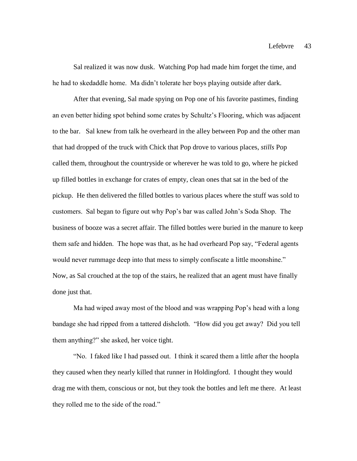Sal realized it was now dusk. Watching Pop had made him forget the time, and he had to skedaddle home. Ma didn't tolerate her boys playing outside after dark.

After that evening, Sal made spying on Pop one of his favorite pastimes, finding an even better hiding spot behind some crates by Schultz's Flooring, which was adjacent to the bar. Sal knew from talk he overheard in the alley between Pop and the other man that had dropped of the truck with Chick that Pop drove to various places, *stills* Pop called them, throughout the countryside or wherever he was told to go, where he picked up filled bottles in exchange for crates of empty, clean ones that sat in the bed of the pickup. He then delivered the filled bottles to various places where the stuff was sold to customers. Sal began to figure out why Pop's bar was called John's Soda Shop. The business of booze was a secret affair. The filled bottles were buried in the manure to keep them safe and hidden. The hope was that, as he had overheard Pop say, "Federal agents would never rummage deep into that mess to simply confiscate a little moonshine." Now, as Sal crouched at the top of the stairs, he realized that an agent must have finally done just that.

Ma had wiped away most of the blood and was wrapping Pop's head with a long bandage she had ripped from a tattered dishcloth. "How did you get away? Did you tell them anything?" she asked, her voice tight.

"No. I faked like I had passed out. I think it scared them a little after the hoopla they caused when they nearly killed that runner in Holdingford. I thought they would drag me with them, conscious or not, but they took the bottles and left me there. At least they rolled me to the side of the road."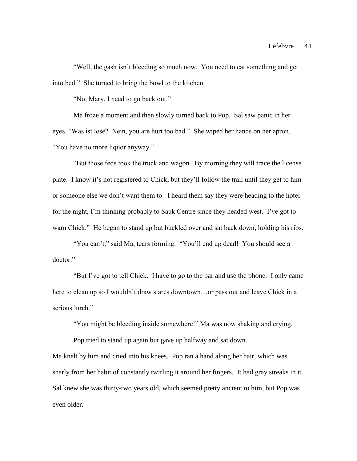"Well, the gash isn't bleeding so much now. You need to eat something and get into bed." She turned to bring the bowl to the kitchen.

"No, Mary, I need to go back out."

Ma froze a moment and then slowly turned back to Pop. Sal saw panic in her eyes. "Was ist lose? Nein, you are hurt too bad." She wiped her hands on her apron. "You have no more liquor anyway."

"But those feds took the truck and wagon. By morning they will trace the license plate. I know it's not registered to Chick, but they'll follow the trail until they get to him or someone else we don't want them to. I heard them say they were heading to the hotel for the night, I'm thinking probably to Sauk Centre since they headed west. I've got to warn Chick." He began to stand up but buckled over and sat back down, holding his ribs.

"You can't," said Ma, tears forming. "You'll end up dead! You should see a doctor."

"But I've got to tell Chick. I have to go to the bar and use the phone. I only came here to clean up so I wouldn't draw stares downtown...or pass out and leave Chick in a serious lurch."

"You might be bleeding inside somewhere!" Ma was now shaking and crying.

Pop tried to stand up again but gave up halfway and sat down.

Ma knelt by him and cried into his knees. Pop ran a hand along her hair, which was snarly from her habit of constantly twirling it around her fingers. It had gray streaks in it. Sal knew she was thirty-two years old, which seemed pretty ancient to him, but Pop was even older.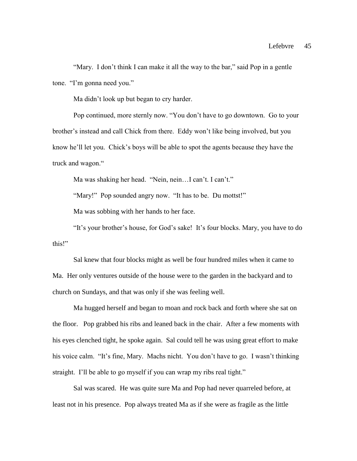"Mary. I don't think I can make it all the way to the bar," said Pop in a gentle tone. "I'm gonna need you."

Ma didn't look up but began to cry harder.

Pop continued, more sternly now. "You don't have to go downtown. Go to your brother's instead and call Chick from there. Eddy won't like being involved, but you know he'll let you. Chick's boys will be able to spot the agents because they have the truck and wagon."

Ma was shaking her head. "Nein, nein…I can't. I can't."

"Mary!" Pop sounded angry now. "It has to be. Du mottst!"

Ma was sobbing with her hands to her face.

"It's your brother's house, for God's sake! It's four blocks. Mary, you have to do this!"

Sal knew that four blocks might as well be four hundred miles when it came to Ma. Her only ventures outside of the house were to the garden in the backyard and to church on Sundays, and that was only if she was feeling well.

Ma hugged herself and began to moan and rock back and forth where she sat on the floor. Pop grabbed his ribs and leaned back in the chair. After a few moments with his eyes clenched tight, he spoke again. Sal could tell he was using great effort to make his voice calm. "It's fine, Mary. Machs nicht. You don't have to go. I wasn't thinking straight. I'll be able to go myself if you can wrap my ribs real tight."

Sal was scared. He was quite sure Ma and Pop had never quarreled before, at least not in his presence. Pop always treated Ma as if she were as fragile as the little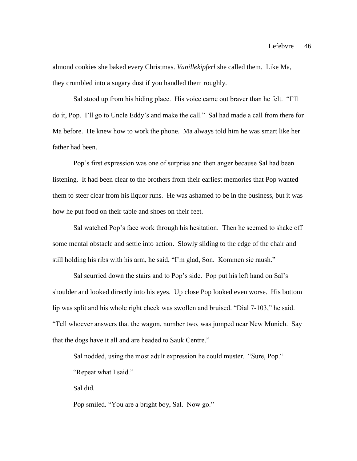almond cookies she baked every Christmas. *Vanillekipferl* she called them. Like Ma, they crumbled into a sugary dust if you handled them roughly.

Sal stood up from his hiding place. His voice came out braver than he felt. "I'll do it, Pop. I'll go to Uncle Eddy's and make the call." Sal had made a call from there for Ma before. He knew how to work the phone. Ma always told him he was smart like her father had been.

Pop's first expression was one of surprise and then anger because Sal had been listening. It had been clear to the brothers from their earliest memories that Pop wanted them to steer clear from his liquor runs. He was ashamed to be in the business, but it was how he put food on their table and shoes on their feet.

Sal watched Pop's face work through his hesitation. Then he seemed to shake off some mental obstacle and settle into action. Slowly sliding to the edge of the chair and still holding his ribs with his arm, he said, "I'm glad, Son. Kommen sie raush."

Sal scurried down the stairs and to Pop's side. Pop put his left hand on Sal's shoulder and looked directly into his eyes. Up close Pop looked even worse. His bottom lip was split and his whole right cheek was swollen and bruised. "Dial 7-103," he said. "Tell whoever answers that the wagon, number two, was jumped near New Munich. Say that the dogs have it all and are headed to Sauk Centre."

Sal nodded, using the most adult expression he could muster. "Sure, Pop." "Repeat what I said."

Sal did.

Pop smiled. "You are a bright boy, Sal. Now go."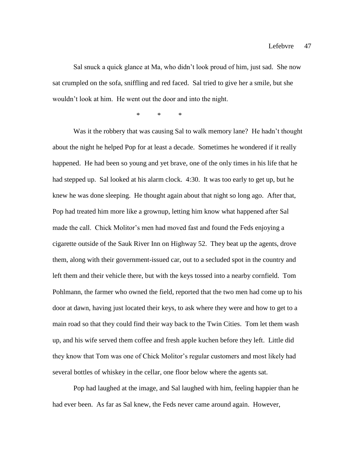Sal snuck a quick glance at Ma, who didn't look proud of him, just sad. She now sat crumpled on the sofa, sniffling and red faced. Sal tried to give her a smile, but she wouldn't look at him. He went out the door and into the night.

\* \* \*

Was it the robbery that was causing Sal to walk memory lane? He hadn't thought about the night he helped Pop for at least a decade. Sometimes he wondered if it really happened. He had been so young and yet brave, one of the only times in his life that he had stepped up. Sal looked at his alarm clock. 4:30. It was too early to get up, but he knew he was done sleeping. He thought again about that night so long ago. After that, Pop had treated him more like a grownup, letting him know what happened after Sal made the call. Chick Molitor's men had moved fast and found the Feds enjoying a cigarette outside of the Sauk River Inn on Highway 52. They beat up the agents, drove them, along with their government-issued car, out to a secluded spot in the country and left them and their vehicle there, but with the keys tossed into a nearby cornfield. Tom Pohlmann, the farmer who owned the field, reported that the two men had come up to his door at dawn, having just located their keys, to ask where they were and how to get to a main road so that they could find their way back to the Twin Cities. Tom let them wash up, and his wife served them coffee and fresh apple kuchen before they left. Little did they know that Tom was one of Chick Molitor's regular customers and most likely had several bottles of whiskey in the cellar, one floor below where the agents sat.

Pop had laughed at the image, and Sal laughed with him, feeling happier than he had ever been. As far as Sal knew, the Feds never came around again. However,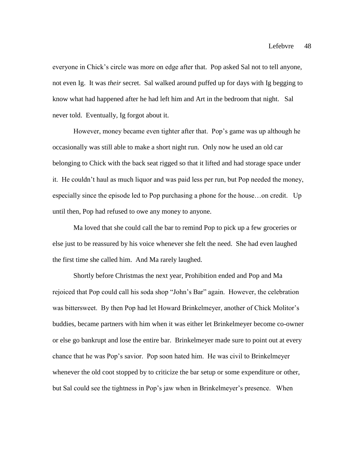everyone in Chick's circle was more on edge after that. Pop asked Sal not to tell anyone, not even Ig. It was *their* secret. Sal walked around puffed up for days with Ig begging to know what had happened after he had left him and Art in the bedroom that night. Sal never told. Eventually, Ig forgot about it.

However, money became even tighter after that. Pop's game was up although he occasionally was still able to make a short night run. Only now he used an old car belonging to Chick with the back seat rigged so that it lifted and had storage space under it. He couldn't haul as much liquor and was paid less per run, but Pop needed the money, especially since the episode led to Pop purchasing a phone for the house…on credit. Up until then, Pop had refused to owe any money to anyone.

Ma loved that she could call the bar to remind Pop to pick up a few groceries or else just to be reassured by his voice whenever she felt the need. She had even laughed the first time she called him. And Ma rarely laughed.

Shortly before Christmas the next year, Prohibition ended and Pop and Ma rejoiced that Pop could call his soda shop "John's Bar" again. However, the celebration was bittersweet. By then Pop had let Howard Brinkelmeyer, another of Chick Molitor's buddies, became partners with him when it was either let Brinkelmeyer become co-owner or else go bankrupt and lose the entire bar. Brinkelmeyer made sure to point out at every chance that he was Pop's savior. Pop soon hated him. He was civil to Brinkelmeyer whenever the old coot stopped by to criticize the bar setup or some expenditure or other, but Sal could see the tightness in Pop's jaw when in Brinkelmeyer's presence. When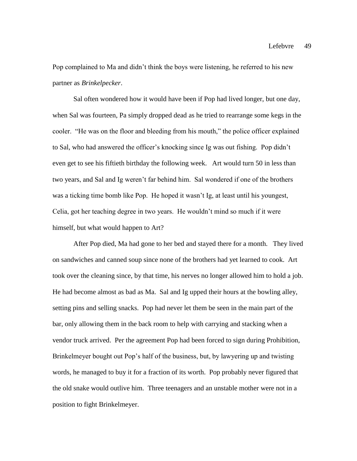Pop complained to Ma and didn't think the boys were listening, he referred to his new partner as *Brinkelpecker*.

Sal often wondered how it would have been if Pop had lived longer, but one day, when Sal was fourteen, Pa simply dropped dead as he tried to rearrange some kegs in the cooler. "He was on the floor and bleeding from his mouth," the police officer explained to Sal, who had answered the officer's knocking since Ig was out fishing. Pop didn't even get to see his fiftieth birthday the following week. Art would turn 50 in less than two years, and Sal and Ig weren't far behind him. Sal wondered if one of the brothers was a ticking time bomb like Pop. He hoped it wasn't Ig, at least until his youngest, Celia, got her teaching degree in two years. He wouldn't mind so much if it were himself, but what would happen to Art?

After Pop died, Ma had gone to her bed and stayed there for a month. They lived on sandwiches and canned soup since none of the brothers had yet learned to cook. Art took over the cleaning since, by that time, his nerves no longer allowed him to hold a job. He had become almost as bad as Ma. Sal and Ig upped their hours at the bowling alley, setting pins and selling snacks. Pop had never let them be seen in the main part of the bar, only allowing them in the back room to help with carrying and stacking when a vendor truck arrived. Per the agreement Pop had been forced to sign during Prohibition, Brinkelmeyer bought out Pop's half of the business, but, by lawyering up and twisting words, he managed to buy it for a fraction of its worth. Pop probably never figured that the old snake would outlive him. Three teenagers and an unstable mother were not in a position to fight Brinkelmeyer.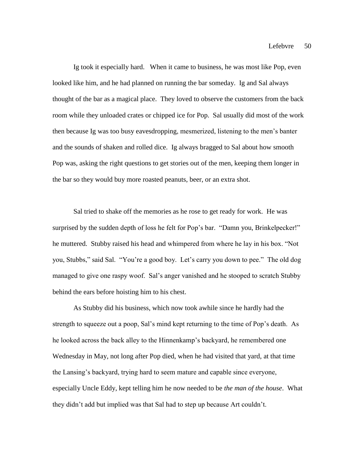Ig took it especially hard. When it came to business, he was most like Pop, even looked like him, and he had planned on running the bar someday. Ig and Sal always thought of the bar as a magical place. They loved to observe the customers from the back room while they unloaded crates or chipped ice for Pop. Sal usually did most of the work then because Ig was too busy eavesdropping, mesmerized, listening to the men's banter and the sounds of shaken and rolled dice. Ig always bragged to Sal about how smooth Pop was, asking the right questions to get stories out of the men, keeping them longer in the bar so they would buy more roasted peanuts, beer, or an extra shot.

Sal tried to shake off the memories as he rose to get ready for work. He was surprised by the sudden depth of loss he felt for Pop's bar. "Damn you, Brinkelpecker!" he muttered. Stubby raised his head and whimpered from where he lay in his box. "Not you, Stubbs," said Sal. "You're a good boy. Let's carry you down to pee." The old dog managed to give one raspy woof. Sal's anger vanished and he stooped to scratch Stubby behind the ears before hoisting him to his chest.

As Stubby did his business, which now took awhile since he hardly had the strength to squeeze out a poop, Sal's mind kept returning to the time of Pop's death. As he looked across the back alley to the Hinnenkamp's backyard, he remembered one Wednesday in May, not long after Pop died, when he had visited that yard, at that time the Lansing's backyard, trying hard to seem mature and capable since everyone, especially Uncle Eddy, kept telling him he now needed to be *the man of the house*. What they didn't add but implied was that Sal had to step up because Art couldn't.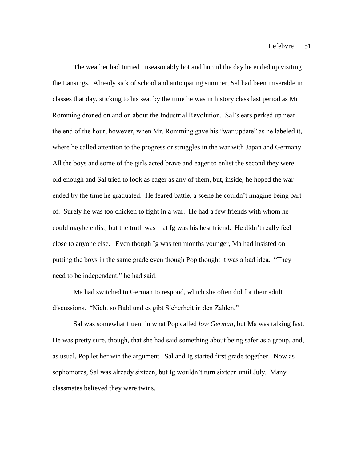The weather had turned unseasonably hot and humid the day he ended up visiting the Lansings. Already sick of school and anticipating summer, Sal had been miserable in classes that day, sticking to his seat by the time he was in history class last period as Mr. Romming droned on and on about the Industrial Revolution. Sal's ears perked up near the end of the hour, however, when Mr. Romming gave his "war update" as he labeled it, where he called attention to the progress or struggles in the war with Japan and Germany. All the boys and some of the girls acted brave and eager to enlist the second they were old enough and Sal tried to look as eager as any of them, but, inside, he hoped the war ended by the time he graduated. He feared battle, a scene he couldn't imagine being part of. Surely he was too chicken to fight in a war. He had a few friends with whom he could maybe enlist, but the truth was that Ig was his best friend. He didn't really feel close to anyone else. Even though Ig was ten months younger, Ma had insisted on putting the boys in the same grade even though Pop thought it was a bad idea. "They need to be independent," he had said.

Ma had switched to German to respond, which she often did for their adult discussions. "Nicht so Bald und es gibt Sicherheit in den Zahlen."

Sal was somewhat fluent in what Pop called *low German*, but Ma was talking fast. He was pretty sure, though, that she had said something about being safer as a group, and, as usual, Pop let her win the argument. Sal and Ig started first grade together. Now as sophomores, Sal was already sixteen, but Ig wouldn't turn sixteen until July. Many classmates believed they were twins.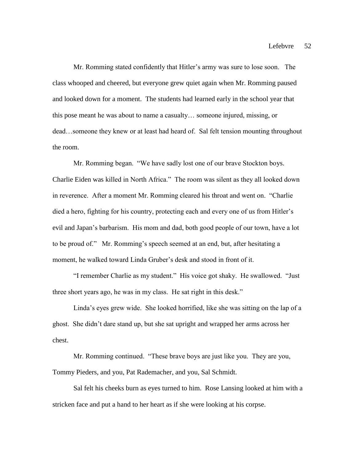Mr. Romming stated confidently that Hitler's army was sure to lose soon. The class whooped and cheered, but everyone grew quiet again when Mr. Romming paused and looked down for a moment. The students had learned early in the school year that this pose meant he was about to name a casualty… someone injured, missing, or dead…someone they knew or at least had heard of. Sal felt tension mounting throughout the room.

Mr. Romming began. "We have sadly lost one of our brave Stockton boys. Charlie Eiden was killed in North Africa." The room was silent as they all looked down in reverence. After a moment Mr. Romming cleared his throat and went on. "Charlie died a hero, fighting for his country, protecting each and every one of us from Hitler's evil and Japan's barbarism. His mom and dad, both good people of our town, have a lot to be proud of." Mr. Romming's speech seemed at an end, but, after hesitating a moment, he walked toward Linda Gruber's desk and stood in front of it.

"I remember Charlie as my student." His voice got shaky. He swallowed. "Just three short years ago, he was in my class. He sat right in this desk."

Linda's eyes grew wide. She looked horrified, like she was sitting on the lap of a ghost. She didn't dare stand up, but she sat upright and wrapped her arms across her chest.

Mr. Romming continued. "These brave boys are just like you. They are you, Tommy Pieders, and you, Pat Rademacher, and you, Sal Schmidt.

Sal felt his cheeks burn as eyes turned to him. Rose Lansing looked at him with a stricken face and put a hand to her heart as if she were looking at his corpse.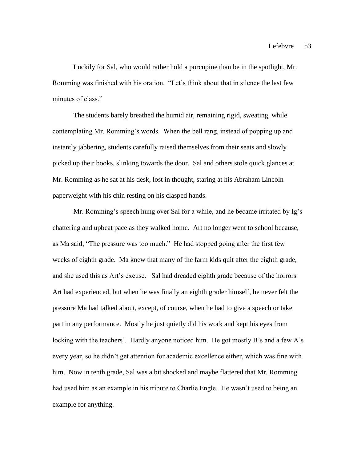Luckily for Sal, who would rather hold a porcupine than be in the spotlight, Mr. Romming was finished with his oration. "Let's think about that in silence the last few minutes of class."

The students barely breathed the humid air, remaining rigid, sweating, while contemplating Mr. Romming's words. When the bell rang, instead of popping up and instantly jabbering, students carefully raised themselves from their seats and slowly picked up their books, slinking towards the door. Sal and others stole quick glances at Mr. Romming as he sat at his desk, lost in thought, staring at his Abraham Lincoln paperweight with his chin resting on his clasped hands.

Mr. Romming's speech hung over Sal for a while, and he became irritated by Ig's chattering and upbeat pace as they walked home. Art no longer went to school because, as Ma said, "The pressure was too much." He had stopped going after the first few weeks of eighth grade. Ma knew that many of the farm kids quit after the eighth grade, and she used this as Art's excuse. Sal had dreaded eighth grade because of the horrors Art had experienced, but when he was finally an eighth grader himself, he never felt the pressure Ma had talked about, except, of course, when he had to give a speech or take part in any performance. Mostly he just quietly did his work and kept his eyes from locking with the teachers'. Hardly anyone noticed him. He got mostly B's and a few A's every year, so he didn't get attention for academic excellence either, which was fine with him. Now in tenth grade, Sal was a bit shocked and maybe flattered that Mr. Romming had used him as an example in his tribute to Charlie Engle. He wasn't used to being an example for anything.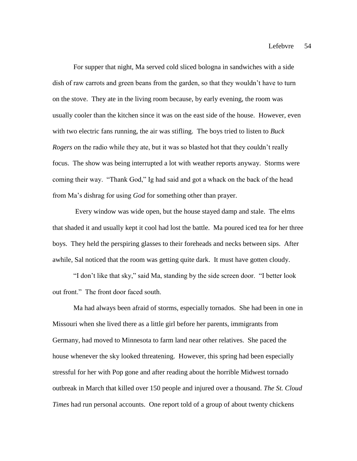For supper that night, Ma served cold sliced bologna in sandwiches with a side dish of raw carrots and green beans from the garden, so that they wouldn't have to turn on the stove. They ate in the living room because, by early evening, the room was usually cooler than the kitchen since it was on the east side of the house. However, even with two electric fans running, the air was stifling. The boys tried to listen to *Buck Rogers* on the radio while they ate, but it was so blasted hot that they couldn't really focus. The show was being interrupted a lot with weather reports anyway. Storms were coming their way. "Thank God," Ig had said and got a whack on the back of the head from Ma's dishrag for using *God* for something other than prayer.

Every window was wide open, but the house stayed damp and stale. The elms that shaded it and usually kept it cool had lost the battle. Ma poured iced tea for her three boys. They held the perspiring glasses to their foreheads and necks between sips. After awhile, Sal noticed that the room was getting quite dark. It must have gotten cloudy.

"I don't like that sky," said Ma, standing by the side screen door. "I better look out front." The front door faced south.

Ma had always been afraid of storms, especially tornados. She had been in one in Missouri when she lived there as a little girl before her parents, immigrants from Germany, had moved to Minnesota to farm land near other relatives. She paced the house whenever the sky looked threatening. However, this spring had been especially stressful for her with Pop gone and after reading about the horrible Midwest tornado outbreak in March that killed over 150 people and injured over a thousand. *The St. Cloud Times* had run personal accounts. One report told of a group of about twenty chickens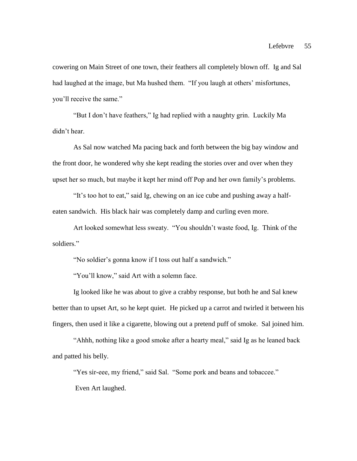cowering on Main Street of one town, their feathers all completely blown off. Ig and Sal had laughed at the image, but Ma hushed them. "If you laugh at others' misfortunes, you'll receive the same."

"But I don't have feathers," Ig had replied with a naughty grin. Luckily Ma didn't hear.

As Sal now watched Ma pacing back and forth between the big bay window and the front door, he wondered why she kept reading the stories over and over when they upset her so much, but maybe it kept her mind off Pop and her own family's problems.

"It's too hot to eat," said Ig, chewing on an ice cube and pushing away a halfeaten sandwich. His black hair was completely damp and curling even more.

Art looked somewhat less sweaty. "You shouldn't waste food, Ig. Think of the soldiers."

"No soldier's gonna know if I toss out half a sandwich."

"You'll know," said Art with a solemn face.

Ig looked like he was about to give a crabby response, but both he and Sal knew better than to upset Art, so he kept quiet. He picked up a carrot and twirled it between his fingers, then used it like a cigarette, blowing out a pretend puff of smoke. Sal joined him.

"Ahhh, nothing like a good smoke after a hearty meal," said Ig as he leaned back and patted his belly.

"Yes sir-eee, my friend," said Sal. "Some pork and beans and tobaccee."

Even Art laughed.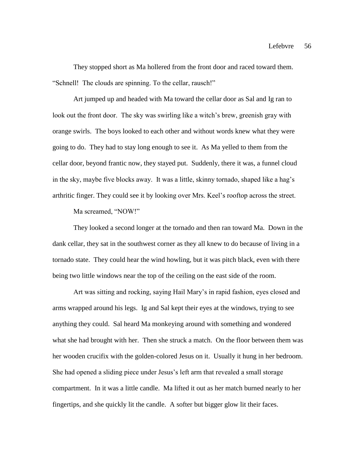They stopped short as Ma hollered from the front door and raced toward them. "Schnell! The clouds are spinning. To the cellar, rausch!"

Art jumped up and headed with Ma toward the cellar door as Sal and Ig ran to look out the front door. The sky was swirling like a witch's brew, greenish gray with orange swirls. The boys looked to each other and without words knew what they were going to do. They had to stay long enough to see it. As Ma yelled to them from the cellar door, beyond frantic now, they stayed put. Suddenly, there it was, a funnel cloud in the sky, maybe five blocks away. It was a little, skinny tornado, shaped like a hag's arthritic finger. They could see it by looking over Mrs. Keel's rooftop across the street.

Ma screamed, "NOW!"

They looked a second longer at the tornado and then ran toward Ma. Down in the dank cellar, they sat in the southwest corner as they all knew to do because of living in a tornado state. They could hear the wind howling, but it was pitch black, even with there being two little windows near the top of the ceiling on the east side of the room.

Art was sitting and rocking, saying Hail Mary's in rapid fashion, eyes closed and arms wrapped around his legs. Ig and Sal kept their eyes at the windows, trying to see anything they could. Sal heard Ma monkeying around with something and wondered what she had brought with her. Then she struck a match. On the floor between them was her wooden crucifix with the golden-colored Jesus on it. Usually it hung in her bedroom. She had opened a sliding piece under Jesus's left arm that revealed a small storage compartment. In it was a little candle. Ma lifted it out as her match burned nearly to her fingertips, and she quickly lit the candle. A softer but bigger glow lit their faces.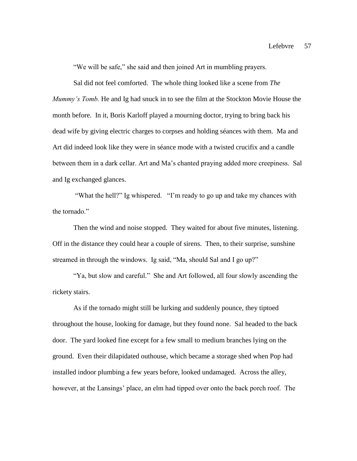"We will be safe," she said and then joined Art in mumbling prayers.

Sal did not feel comforted. The whole thing looked like a scene from *The Mummy's Tomb.* He and Ig had snuck in to see the film at the Stockton Movie House the month before. In it, Boris Karloff played a mourning doctor, trying to bring back his dead wife by giving electric charges to corpses and holding séances with them. Ma and Art did indeed look like they were in séance mode with a twisted crucifix and a candle between them in a dark cellar. Art and Ma's chanted praying added more creepiness. Sal and Ig exchanged glances.

"What the hell?" Ig whispered. "I'm ready to go up and take my chances with the tornado."

Then the wind and noise stopped. They waited for about five minutes, listening. Off in the distance they could hear a couple of sirens. Then, to their surprise, sunshine streamed in through the windows. Ig said, "Ma, should Sal and I go up?"

"Ya, but slow and careful." She and Art followed, all four slowly ascending the rickety stairs.

As if the tornado might still be lurking and suddenly pounce, they tiptoed throughout the house, looking for damage, but they found none. Sal headed to the back door. The yard looked fine except for a few small to medium branches lying on the ground. Even their dilapidated outhouse, which became a storage shed when Pop had installed indoor plumbing a few years before, looked undamaged. Across the alley, however, at the Lansings' place, an elm had tipped over onto the back porch roof. The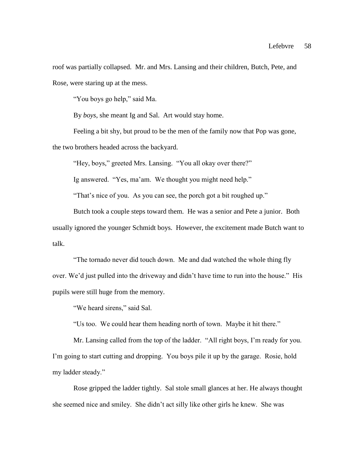roof was partially collapsed. Mr. and Mrs. Lansing and their children, Butch, Pete, and Rose, were staring up at the mess.

"You boys go help," said Ma.

By *boys*, she meant Ig and Sal. Art would stay home.

Feeling a bit shy, but proud to be the men of the family now that Pop was gone, the two brothers headed across the backyard.

"Hey, boys," greeted Mrs. Lansing. "You all okay over there?"

Ig answered. "Yes, ma'am. We thought you might need help."

"That's nice of you. As you can see, the porch got a bit roughed up."

Butch took a couple steps toward them. He was a senior and Pete a junior. Both usually ignored the younger Schmidt boys. However, the excitement made Butch want to talk.

"The tornado never did touch down. Me and dad watched the whole thing fly over. We'd just pulled into the driveway and didn't have time to run into the house." His pupils were still huge from the memory.

"We heard sirens," said Sal.

"Us too. We could hear them heading north of town. Maybe it hit there."

Mr. Lansing called from the top of the ladder. "All right boys, I'm ready for you. I'm going to start cutting and dropping. You boys pile it up by the garage. Rosie, hold my ladder steady."

Rose gripped the ladder tightly. Sal stole small glances at her. He always thought she seemed nice and smiley. She didn't act silly like other girls he knew. She was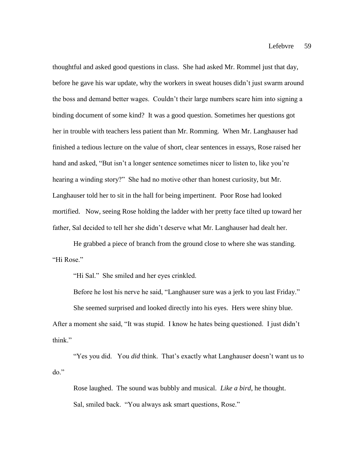thoughtful and asked good questions in class. She had asked Mr. Rommel just that day, before he gave his war update, why the workers in sweat houses didn't just swarm around the boss and demand better wages. Couldn't their large numbers scare him into signing a binding document of some kind? It was a good question. Sometimes her questions got her in trouble with teachers less patient than Mr. Romming. When Mr. Langhauser had finished a tedious lecture on the value of short, clear sentences in essays, Rose raised her hand and asked, "But isn't a longer sentence sometimes nicer to listen to, like you're hearing a winding story?" She had no motive other than honest curiosity, but Mr. Langhauser told her to sit in the hall for being impertinent. Poor Rose had looked mortified. Now, seeing Rose holding the ladder with her pretty face tilted up toward her father, Sal decided to tell her she didn't deserve what Mr. Langhauser had dealt her.

He grabbed a piece of branch from the ground close to where she was standing. "Hi Rose."

"Hi Sal." She smiled and her eyes crinkled.

Before he lost his nerve he said, "Langhauser sure was a jerk to you last Friday."

She seemed surprised and looked directly into his eyes. Hers were shiny blue.

After a moment she said, "It was stupid. I know he hates being questioned. I just didn't think"

"Yes you did. You *did* think. That's exactly what Langhauser doesn't want us to do."

Rose laughed. The sound was bubbly and musical. *Like a bird*, he thought. Sal, smiled back. "You always ask smart questions, Rose."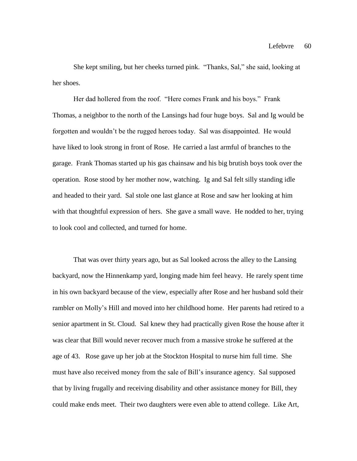She kept smiling, but her cheeks turned pink. "Thanks, Sal," she said, looking at her shoes.

Her dad hollered from the roof. "Here comes Frank and his boys." Frank Thomas, a neighbor to the north of the Lansings had four huge boys. Sal and Ig would be forgotten and wouldn't be the rugged heroes today. Sal was disappointed. He would have liked to look strong in front of Rose. He carried a last armful of branches to the garage. Frank Thomas started up his gas chainsaw and his big brutish boys took over the operation. Rose stood by her mother now, watching. Ig and Sal felt silly standing idle and headed to their yard. Sal stole one last glance at Rose and saw her looking at him with that thoughtful expression of hers. She gave a small wave. He nodded to her, trying to look cool and collected, and turned for home.

That was over thirty years ago, but as Sal looked across the alley to the Lansing backyard, now the Hinnenkamp yard, longing made him feel heavy. He rarely spent time in his own backyard because of the view, especially after Rose and her husband sold their rambler on Molly's Hill and moved into her childhood home. Her parents had retired to a senior apartment in St. Cloud. Sal knew they had practically given Rose the house after it was clear that Bill would never recover much from a massive stroke he suffered at the age of 43. Rose gave up her job at the Stockton Hospital to nurse him full time. She must have also received money from the sale of Bill's insurance agency. Sal supposed that by living frugally and receiving disability and other assistance money for Bill, they could make ends meet. Their two daughters were even able to attend college. Like Art,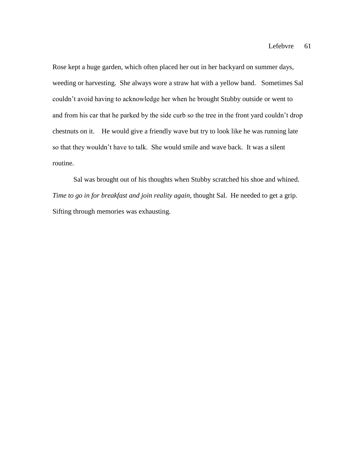Rose kept a huge garden, which often placed her out in her backyard on summer days, weeding or harvesting. She always wore a straw hat with a yellow band. Sometimes Sal couldn't avoid having to acknowledge her when he brought Stubby outside or went to and from his car that he parked by the side curb so the tree in the front yard couldn't drop chestnuts on it. He would give a friendly wave but try to look like he was running late so that they wouldn't have to talk. She would smile and wave back. It was a silent routine.

Sal was brought out of his thoughts when Stubby scratched his shoe and whined. *Time to go in for breakfast and join reality again*, thought Sal. He needed to get a grip. Sifting through memories was exhausting.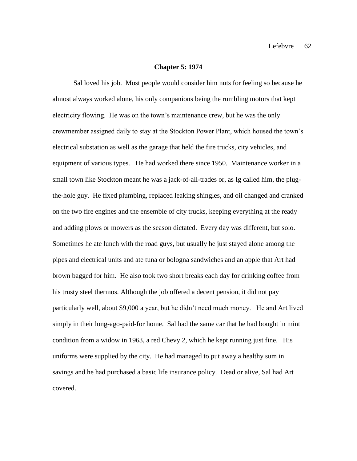## **Chapter 5: 1974**

Sal loved his job. Most people would consider him nuts for feeling so because he almost always worked alone, his only companions being the rumbling motors that kept electricity flowing. He was on the town's maintenance crew, but he was the only crewmember assigned daily to stay at the Stockton Power Plant, which housed the town's electrical substation as well as the garage that held the fire trucks, city vehicles, and equipment of various types. He had worked there since 1950. Maintenance worker in a small town like Stockton meant he was a jack-of-all-trades or, as Ig called him, the plugthe-hole guy. He fixed plumbing, replaced leaking shingles, and oil changed and cranked on the two fire engines and the ensemble of city trucks, keeping everything at the ready and adding plows or mowers as the season dictated. Every day was different, but solo. Sometimes he ate lunch with the road guys, but usually he just stayed alone among the pipes and electrical units and ate tuna or bologna sandwiches and an apple that Art had brown bagged for him. He also took two short breaks each day for drinking coffee from his trusty steel thermos. Although the job offered a decent pension, it did not pay particularly well, about \$9,000 a year, but he didn't need much money. He and Art lived simply in their long-ago-paid-for home. Sal had the same car that he had bought in mint condition from a widow in 1963, a red Chevy 2, which he kept running just fine. His uniforms were supplied by the city. He had managed to put away a healthy sum in savings and he had purchased a basic life insurance policy. Dead or alive, Sal had Art covered.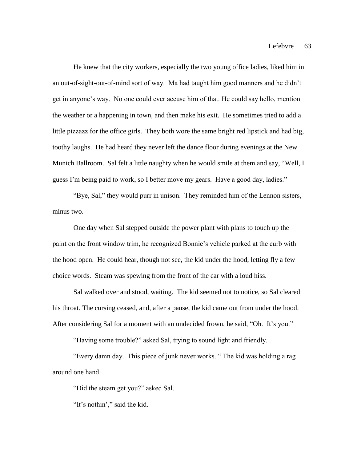He knew that the city workers, especially the two young office ladies, liked him in an out-of-sight-out-of-mind sort of way. Ma had taught him good manners and he didn't get in anyone's way. No one could ever accuse him of that. He could say hello, mention the weather or a happening in town, and then make his exit. He sometimes tried to add a little pizzazz for the office girls. They both wore the same bright red lipstick and had big, toothy laughs. He had heard they never left the dance floor during evenings at the New Munich Ballroom. Sal felt a little naughty when he would smile at them and say, "Well, I guess I'm being paid to work, so I better move my gears. Have a good day, ladies."

"Bye, Sal," they would purr in unison. They reminded him of the Lennon sisters, minus two.

One day when Sal stepped outside the power plant with plans to touch up the paint on the front window trim, he recognized Bonnie's vehicle parked at the curb with the hood open. He could hear, though not see, the kid under the hood, letting fly a few choice words. Steam was spewing from the front of the car with a loud hiss.

Sal walked over and stood, waiting. The kid seemed not to notice, so Sal cleared his throat. The cursing ceased, and, after a pause, the kid came out from under the hood. After considering Sal for a moment with an undecided frown, he said, "Oh. It's you."

"Having some trouble?" asked Sal, trying to sound light and friendly.

"Every damn day. This piece of junk never works. " The kid was holding a rag around one hand.

"Did the steam get you?" asked Sal.

"It's nothin'," said the kid.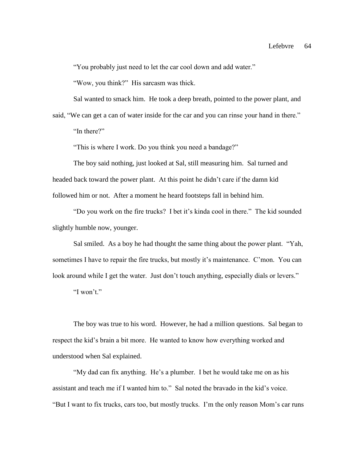"You probably just need to let the car cool down and add water."

"Wow, you think?" His sarcasm was thick.

Sal wanted to smack him. He took a deep breath, pointed to the power plant, and

said, "We can get a can of water inside for the car and you can rinse your hand in there." "In there?"

"This is where I work. Do you think you need a bandage?"

The boy said nothing, just looked at Sal, still measuring him. Sal turned and headed back toward the power plant. At this point he didn't care if the damn kid followed him or not. After a moment he heard footsteps fall in behind him.

"Do you work on the fire trucks? I bet it's kinda cool in there." The kid sounded slightly humble now, younger.

Sal smiled. As a boy he had thought the same thing about the power plant. "Yah, sometimes I have to repair the fire trucks, but mostly it's maintenance. C'mon. You can look around while I get the water. Just don't touch anything, especially dials or levers."

"I won't."

The boy was true to his word. However, he had a million questions. Sal began to respect the kid's brain a bit more. He wanted to know how everything worked and understood when Sal explained.

"My dad can fix anything. He's a plumber. I bet he would take me on as his assistant and teach me if I wanted him to." Sal noted the bravado in the kid's voice. "But I want to fix trucks, cars too, but mostly trucks. I'm the only reason Mom's car runs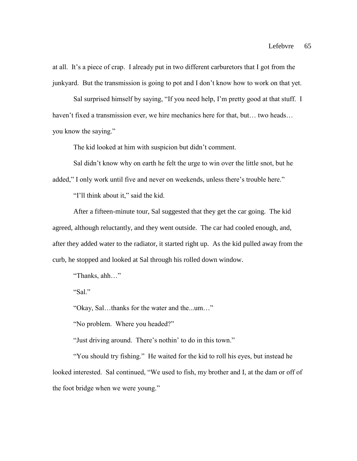at all. It's a piece of crap. I already put in two different carburetors that I got from the junkyard. But the transmission is going to pot and I don't know how to work on that yet.

Sal surprised himself by saying, "If you need help, I'm pretty good at that stuff. I haven't fixed a transmission ever, we hire mechanics here for that, but... two heads... you know the saying."

The kid looked at him with suspicion but didn't comment.

Sal didn't know why on earth he felt the urge to win over the little snot, but he added," I only work until five and never on weekends, unless there's trouble here."

"I'll think about it," said the kid.

After a fifteen-minute tour, Sal suggested that they get the car going. The kid agreed, although reluctantly, and they went outside. The car had cooled enough, and, after they added water to the radiator, it started right up. As the kid pulled away from the curb, he stopped and looked at Sal through his rolled down window.

"Thanks, ahh…"

"Sal."

"Okay, Sal…thanks for the water and the...um…"

"No problem. Where you headed?"

"Just driving around. There's nothin' to do in this town."

"You should try fishing." He waited for the kid to roll his eyes, but instead he looked interested. Sal continued, "We used to fish, my brother and I, at the dam or off of the foot bridge when we were young."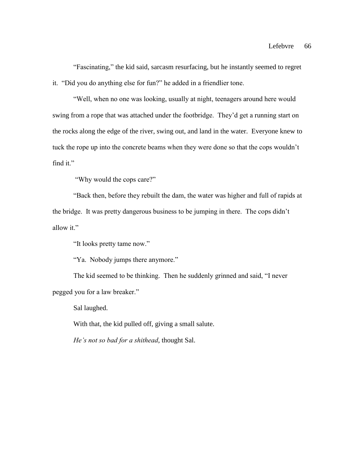"Fascinating," the kid said, sarcasm resurfacing, but he instantly seemed to regret it. "Did you do anything else for fun?" he added in a friendlier tone.

"Well, when no one was looking, usually at night, teenagers around here would swing from a rope that was attached under the footbridge. They'd get a running start on the rocks along the edge of the river, swing out, and land in the water. Everyone knew to tuck the rope up into the concrete beams when they were done so that the cops wouldn't find it."

"Why would the cops care?"

"Back then, before they rebuilt the dam, the water was higher and full of rapids at the bridge. It was pretty dangerous business to be jumping in there. The cops didn't allow it."

"It looks pretty tame now."

"Ya. Nobody jumps there anymore."

The kid seemed to be thinking. Then he suddenly grinned and said, "I never pegged you for a law breaker."

Sal laughed.

With that, the kid pulled off, giving a small salute.

*He's not so bad for a shithead*, thought Sal.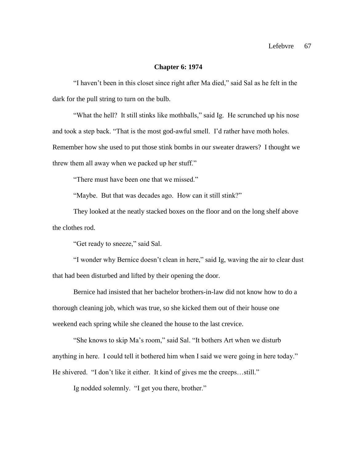## **Chapter 6: 1974**

"I haven't been in this closet since right after Ma died," said Sal as he felt in the dark for the pull string to turn on the bulb.

"What the hell? It still stinks like mothballs," said Ig. He scrunched up his nose and took a step back. "That is the most god-awful smell. I'd rather have moth holes. Remember how she used to put those stink bombs in our sweater drawers? I thought we threw them all away when we packed up her stuff."

"There must have been one that we missed."

"Maybe. But that was decades ago. How can it still stink?"

They looked at the neatly stacked boxes on the floor and on the long shelf above the clothes rod.

"Get ready to sneeze," said Sal.

"I wonder why Bernice doesn't clean in here," said Ig, waving the air to clear dust that had been disturbed and lifted by their opening the door.

Bernice had insisted that her bachelor brothers-in-law did not know how to do a thorough cleaning job, which was true, so she kicked them out of their house one weekend each spring while she cleaned the house to the last crevice.

"She knows to skip Ma's room," said Sal. "It bothers Art when we disturb anything in here. I could tell it bothered him when I said we were going in here today." He shivered. "I don't like it either. It kind of gives me the creeps…still."

Ig nodded solemnly. "I get you there, brother."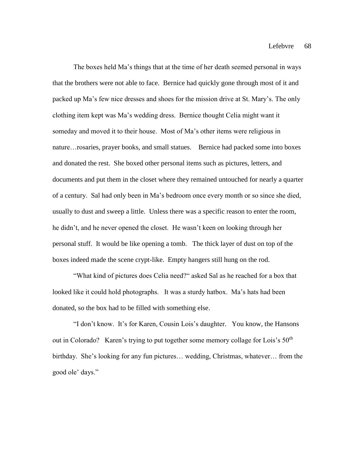The boxes held Ma's things that at the time of her death seemed personal in ways that the brothers were not able to face. Bernice had quickly gone through most of it and packed up Ma's few nice dresses and shoes for the mission drive at St. Mary's. The only clothing item kept was Ma's wedding dress. Bernice thought Celia might want it someday and moved it to their house. Most of Ma's other items were religious in nature…rosaries, prayer books, and small statues. Bernice had packed some into boxes and donated the rest. She boxed other personal items such as pictures, letters, and documents and put them in the closet where they remained untouched for nearly a quarter of a century. Sal had only been in Ma's bedroom once every month or so since she died, usually to dust and sweep a little. Unless there was a specific reason to enter the room, he didn't, and he never opened the closet. He wasn't keen on looking through her personal stuff. It would be like opening a tomb. The thick layer of dust on top of the boxes indeed made the scene crypt-like. Empty hangers still hung on the rod.

"What kind of pictures does Celia need?" asked Sal as he reached for a box that looked like it could hold photographs. It was a sturdy hatbox. Ma's hats had been donated, so the box had to be filled with something else.

"I don't know. It's for Karen, Cousin Lois's daughter. You know, the Hansons out in Colorado? Karen's trying to put together some memory collage for Lois's  $50<sup>th</sup>$ birthday. She's looking for any fun pictures… wedding, Christmas, whatever… from the good ole' days."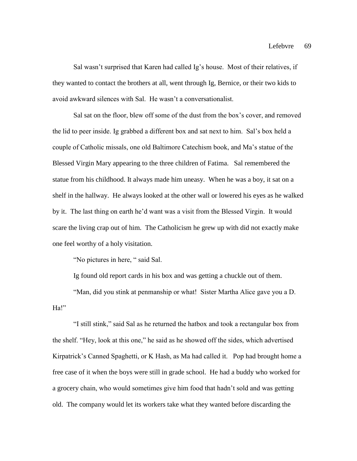Sal wasn't surprised that Karen had called Ig's house. Most of their relatives, if they wanted to contact the brothers at all, went through Ig, Bernice, or their two kids to avoid awkward silences with Sal. He wasn't a conversationalist.

Sal sat on the floor, blew off some of the dust from the box's cover, and removed the lid to peer inside. Ig grabbed a different box and sat next to him. Sal's box held a couple of Catholic missals, one old Baltimore Catechism book, and Ma's statue of the Blessed Virgin Mary appearing to the three children of Fatima. Sal remembered the statue from his childhood. It always made him uneasy. When he was a boy, it sat on a shelf in the hallway. He always looked at the other wall or lowered his eyes as he walked by it. The last thing on earth he'd want was a visit from the Blessed Virgin. It would scare the living crap out of him. The Catholicism he grew up with did not exactly make one feel worthy of a holy visitation.

"No pictures in here, " said Sal.

Ig found old report cards in his box and was getting a chuckle out of them.

"Man, did you stink at penmanship or what! Sister Martha Alice gave you a D. Ha!"

"I still stink," said Sal as he returned the hatbox and took a rectangular box from the shelf. "Hey, look at this one," he said as he showed off the sides, which advertised Kirpatrick's Canned Spaghetti, or K Hash, as Ma had called it. Pop had brought home a free case of it when the boys were still in grade school. He had a buddy who worked for a grocery chain, who would sometimes give him food that hadn't sold and was getting old. The company would let its workers take what they wanted before discarding the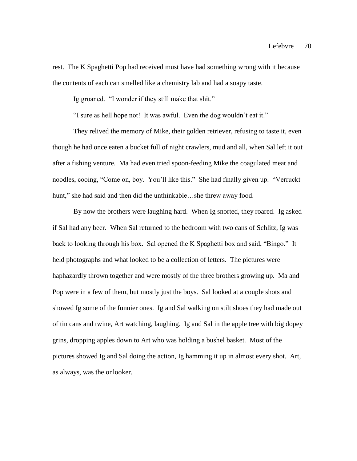rest. The K Spaghetti Pop had received must have had something wrong with it because the contents of each can smelled like a chemistry lab and had a soapy taste.

Ig groaned. "I wonder if they still make that shit."

"I sure as hell hope not! It was awful. Even the dog wouldn't eat it."

They relived the memory of Mike, their golden retriever, refusing to taste it, even though he had once eaten a bucket full of night crawlers, mud and all, when Sal left it out after a fishing venture. Ma had even tried spoon-feeding Mike the coagulated meat and noodles, cooing, "Come on, boy. You'll like this." She had finally given up. "Verruckt hunt," she had said and then did the unthinkable...she threw away food.

By now the brothers were laughing hard. When Ig snorted, they roared. Ig asked if Sal had any beer. When Sal returned to the bedroom with two cans of Schlitz, Ig was back to looking through his box. Sal opened the K Spaghetti box and said, "Bingo." It held photographs and what looked to be a collection of letters. The pictures were haphazardly thrown together and were mostly of the three brothers growing up. Ma and Pop were in a few of them, but mostly just the boys. Sal looked at a couple shots and showed Ig some of the funnier ones. Ig and Sal walking on stilt shoes they had made out of tin cans and twine, Art watching, laughing. Ig and Sal in the apple tree with big dopey grins, dropping apples down to Art who was holding a bushel basket. Most of the pictures showed Ig and Sal doing the action, Ig hamming it up in almost every shot. Art, as always, was the onlooker.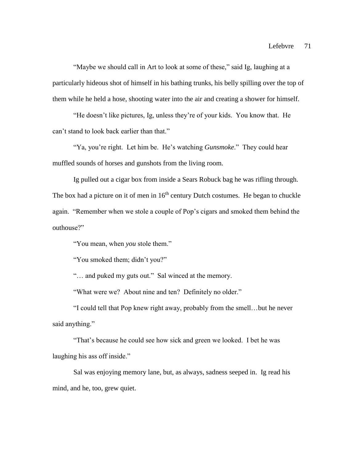"Maybe we should call in Art to look at some of these," said Ig, laughing at a particularly hideous shot of himself in his bathing trunks, his belly spilling over the top of them while he held a hose, shooting water into the air and creating a shower for himself.

"He doesn't like pictures, Ig, unless they're of your kids. You know that. He can't stand to look back earlier than that."

"Ya, you're right. Let him be. He's watching *Gunsmoke*." They could hear muffled sounds of horses and gunshots from the living room.

Ig pulled out a cigar box from inside a Sears Robuck bag he was rifling through. The box had a picture on it of men in  $16<sup>th</sup>$  century Dutch costumes. He began to chuckle again. "Remember when we stole a couple of Pop's cigars and smoked them behind the outhouse?"

"You mean, when *you* stole them."

"You smoked them; didn't you?"

"… and puked my guts out." Sal winced at the memory.

"What were we? About nine and ten? Definitely no older."

"I could tell that Pop knew right away, probably from the smell…but he never said anything."

"That's because he could see how sick and green we looked. I bet he was laughing his ass off inside."

Sal was enjoying memory lane, but, as always, sadness seeped in. Ig read his mind, and he, too, grew quiet.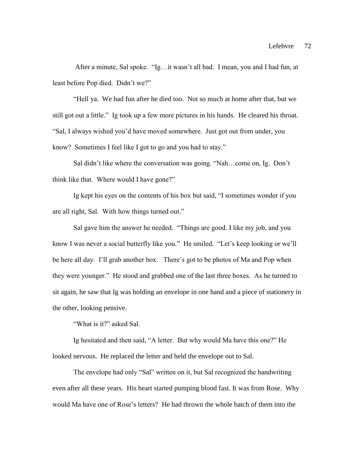After a minute, Sal spoke. "Ig…it wasn't all bad. I mean, you and I had fun, at least before Pop died. Didn't we?"

"Hell ya. We had fun after he died too. Not so much at home after that, but we still got out a little." Ig took up a few more pictures in his hands. He cleared his throat. "Sal, I always wished you'd have moved somewhere. Just got out from under, you know? Sometimes I feel like I got to go and you had to stay."

Sal didn't like where the conversation was going. "Nah…come on, Ig. Don't think like that. Where would I have gone?"

Ig kept his eyes on the contents of his box but said, "I sometimes wonder if you are all right, Sal. With how things turned out."

Sal gave him the answer he needed. "Things are good. I like my job, and you know I was never a social butterfly like you." He smiled. "Let's keep looking or we'll be here all day. I'll grab another box. There's got to be photos of Ma and Pop when they were younger." He stood and grabbed one of the last three boxes. As he turned to sit again, he saw that Ig was holding an envelope in one hand and a piece of stationery in the other, looking pensive.

"What is it?" asked Sal.

Ig hesitated and then said, "A letter. But why would Ma have this one?" He looked nervous. He replaced the letter and held the envelope out to Sal.

The envelope had only "Sal" written on it, but Sal recognized the handwriting even after all these years. His heart started pumping blood fast. It was from Rose. Why would Ma have one of Rose's letters? He had thrown the whole batch of them into the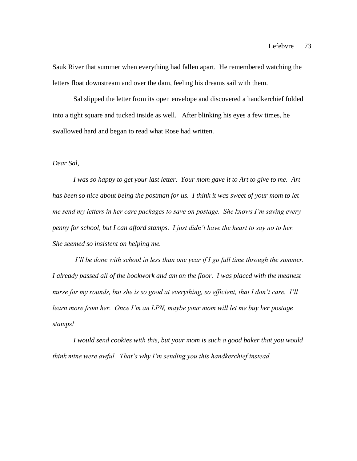Sauk River that summer when everything had fallen apart. He remembered watching the letters float downstream and over the dam, feeling his dreams sail with them.

Sal slipped the letter from its open envelope and discovered a handkerchief folded into a tight square and tucked inside as well. After blinking his eyes a few times, he swallowed hard and began to read what Rose had written.

# *Dear Sal,*

*I was so happy to get your last letter. Your mom gave it to Art to give to me. Art has been so nice about being the postman for us. I think it was sweet of your mom to let me send my letters in her care packages to save on postage. She knows I'm saving every penny for school, but I can afford stamps. I just didn't have the heart to say no to her. She seemed so insistent on helping me.* 

*I'll be done with school in less than one year if I go full time through the summer. I already passed all of the bookwork and am on the floor. I was placed with the meanest nurse for my rounds, but she is so good at everything, so efficient, that I don't care. I'll learn more from her. Once I'm an LPN, maybe your mom will let me buy her postage stamps!* 

*I would send cookies with this, but your mom is such a good baker that you would think mine were awful. That's why I'm sending you this handkerchief instead.*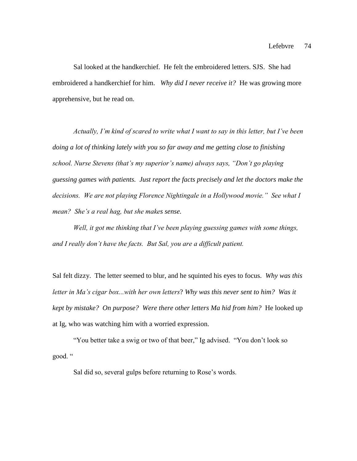Sal looked at the handkerchief. He felt the embroidered letters. SJS. She had embroidered a handkerchief for him. *Why did I never receive it?* He was growing more apprehensive, but he read on.

*Actually, I'm kind of scared to write what I want to say in this letter, but I've been doing a lot of thinking lately with you so far away and me getting close to finishing school. Nurse Stevens (that's my superior's name) always says, "Don't go playing guessing games with patients. Just report the facts precisely and let the doctors make the decisions. We are not playing Florence Nightingale in a Hollywood movie." See what I mean? She's a real hag, but she makes sense.*

*Well, it got me thinking that I've been playing guessing games with some things, and I really don't have the facts. But Sal, you are a difficult patient.*

Sal felt dizzy. The letter seemed to blur, and he squinted his eyes to focus. *Why was this letter in Ma's cigar box...with her own letters*? *Why was this never sent to him? Was it kept by mistake? On purpose? Were there other letters Ma hid from him?* He looked up at Ig, who was watching him with a worried expression.

"You better take a swig or two of that beer," Ig advised. "You don't look so good. "

Sal did so, several gulps before returning to Rose's words.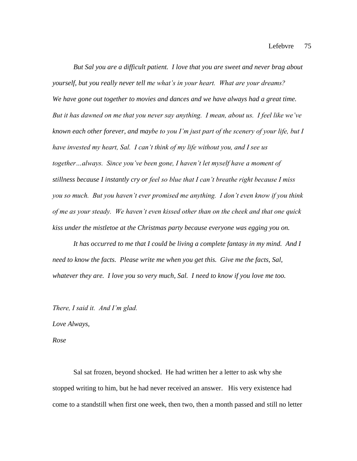*But Sal you are a difficult patient. I love that you are sweet and never brag about yourself, but you really never tell me what's in your heart. What are your dreams? We have gone out together to movies and dances and we have always had a great time. But it has dawned on me that you never say anything. I mean, about us. I feel like we've known each other forever, and maybe to you I'm just part of the scenery of your life, but I have invested my heart, Sal. I can't think of my life without you, and I see us together…always. Since you've been gone, I haven't let myself have a moment of stillness because I instantly cry or feel so blue that I can't breathe right because I miss you so much. But you haven't ever promised me anything. I don't even know if you think of me as your steady. We haven't even kissed other than on the cheek and that one quick kiss under the mistletoe at the Christmas party because everyone was egging you on.* 

*It has occurred to me that I could be living a complete fantasy in my mind. And I need to know the facts. Please write me when you get this. Give me the facts, Sal, whatever they are. I love you so very much, Sal. I need to know if you love me too.* 

*There, I said it. And I'm glad.*

*Love Always,*

*Rose*

Sal sat frozen, beyond shocked. He had written her a letter to ask why she stopped writing to him, but he had never received an answer. His very existence had come to a standstill when first one week, then two, then a month passed and still no letter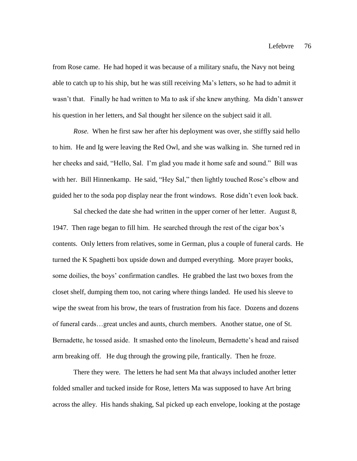from Rose came. He had hoped it was because of a military snafu, the Navy not being able to catch up to his ship, but he was still receiving Ma's letters, so he had to admit it wasn't that. Finally he had written to Ma to ask if she knew anything. Ma didn't answer his question in her letters, and Sal thought her silence on the subject said it all.

*Rose.* When he first saw her after his deployment was over, she stiffly said hello to him. He and Ig were leaving the Red Owl, and she was walking in. She turned red in her cheeks and said, "Hello, Sal. I'm glad you made it home safe and sound." Bill was with her. Bill Hinnenkamp. He said, "Hey Sal," then lightly touched Rose's elbow and guided her to the soda pop display near the front windows. Rose didn't even look back.

Sal checked the date she had written in the upper corner of her letter. August 8, 1947. Then rage began to fill him. He searched through the rest of the cigar box's contents. Only letters from relatives, some in German, plus a couple of funeral cards. He turned the K Spaghetti box upside down and dumped everything. More prayer books, some doilies, the boys' confirmation candles. He grabbed the last two boxes from the closet shelf, dumping them too, not caring where things landed. He used his sleeve to wipe the sweat from his brow, the tears of frustration from his face. Dozens and dozens of funeral cards…great uncles and aunts, church members. Another statue, one of St. Bernadette, he tossed aside. It smashed onto the linoleum, Bernadette's head and raised arm breaking off. He dug through the growing pile, frantically. Then he froze.

There they were. The letters he had sent Ma that always included another letter folded smaller and tucked inside for Rose, letters Ma was supposed to have Art bring across the alley. His hands shaking, Sal picked up each envelope, looking at the postage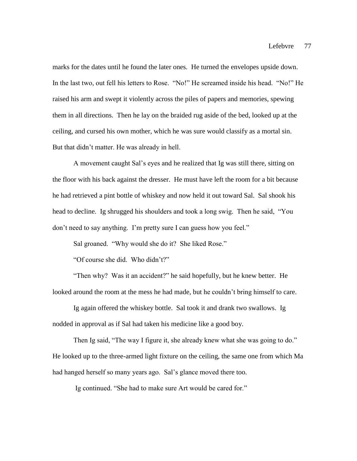marks for the dates until he found the later ones. He turned the envelopes upside down. In the last two, out fell his letters to Rose. "No!" He screamed inside his head. "No!" He raised his arm and swept it violently across the piles of papers and memories, spewing them in all directions. Then he lay on the braided rug aside of the bed, looked up at the ceiling, and cursed his own mother, which he was sure would classify as a mortal sin. But that didn't matter. He was already in hell.

A movement caught Sal's eyes and he realized that Ig was still there, sitting on the floor with his back against the dresser. He must have left the room for a bit because he had retrieved a pint bottle of whiskey and now held it out toward Sal. Sal shook his head to decline. Ig shrugged his shoulders and took a long swig. Then he said, "You don't need to say anything. I'm pretty sure I can guess how you feel."

Sal groaned. "Why would she do it? She liked Rose."

"Of course she did. Who didn't?"

"Then why? Was it an accident?" he said hopefully, but he knew better. He looked around the room at the mess he had made, but he couldn't bring himself to care.

Ig again offered the whiskey bottle. Sal took it and drank two swallows. Ig nodded in approval as if Sal had taken his medicine like a good boy.

Then Ig said, "The way I figure it, she already knew what she was going to do." He looked up to the three-armed light fixture on the ceiling, the same one from which Ma had hanged herself so many years ago. Sal's glance moved there too.

Ig continued. "She had to make sure Art would be cared for."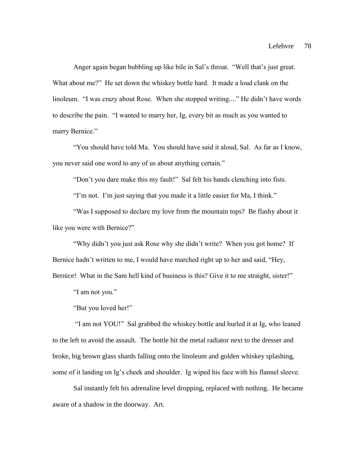Anger again began bubbling up like bile in Sal's throat. "Well that's just great. What about me?" He set down the whiskey bottle hard. It made a loud clank on the linoleum. "I was crazy about Rose. When she stopped writing...." He didn't have words to describe the pain. "I wanted to marry her, Ig, every bit as much as you wanted to marry Bernice."

"You should have told Ma. You should have said it aloud, Sal. As far as I know, you never said one word to any of us about anything certain."

"Don't you dare make this my fault!" Sal felt his hands clenching into fists.

"I'm not. I'm just saying that you made it a little easier for Ma, I think."

"Was I supposed to declare my love from the mountain tops? Be flashy about it like you were with Bernice?"

"Why didn't you just ask Rose why she didn't write? When you got home? If Bernice hadn't written to me, I would have marched right up to her and said, "Hey, Bernice! What in the Sam hell kind of business is this? Give it to me straight, sister!"

"I am not you."

"But you loved her!"

"I am not YOU!" Sal grabbed the whiskey bottle and hurled it at Ig, who leaned to the left to avoid the assault. The bottle hit the metal radiator next to the dresser and broke, big brown glass shards falling onto the linoleum and golden whiskey splashing, some of it landing on Ig's cheek and shoulder. Ig wiped his face with his flannel sleeve.

Sal instantly felt his adrenaline level dropping, replaced with nothing. He became aware of a shadow in the doorway. Art.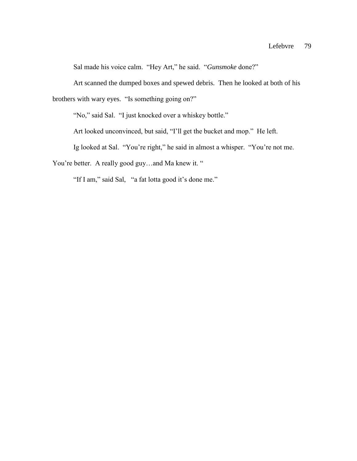Sal made his voice calm. "Hey Art," he said. "*Gunsmoke* done?"

Art scanned the dumped boxes and spewed debris. Then he looked at both of his brothers with wary eyes. "Is something going on?"

"No," said Sal. "I just knocked over a whiskey bottle."

Art looked unconvinced, but said, "I'll get the bucket and mop." He left.

Ig looked at Sal. "You're right," he said in almost a whisper. "You're not me.

You're better. A really good guy...and Ma knew it. "

"If I am," said Sal, "a fat lotta good it's done me."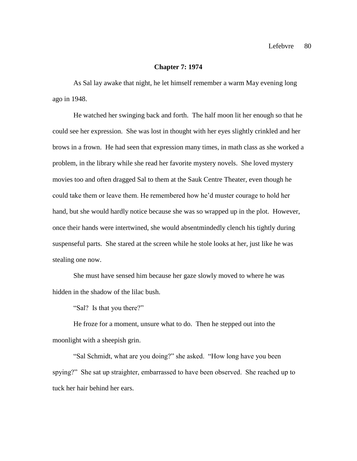## **Chapter 7: 1974**

As Sal lay awake that night, he let himself remember a warm May evening long ago in 1948.

He watched her swinging back and forth. The half moon lit her enough so that he could see her expression. She was lost in thought with her eyes slightly crinkled and her brows in a frown. He had seen that expression many times, in math class as she worked a problem, in the library while she read her favorite mystery novels. She loved mystery movies too and often dragged Sal to them at the Sauk Centre Theater, even though he could take them or leave them. He remembered how he'd muster courage to hold her hand, but she would hardly notice because she was so wrapped up in the plot. However, once their hands were intertwined, she would absentmindedly clench his tightly during suspenseful parts. She stared at the screen while he stole looks at her, just like he was stealing one now.

She must have sensed him because her gaze slowly moved to where he was hidden in the shadow of the lilac bush.

"Sal? Is that you there?"

He froze for a moment, unsure what to do. Then he stepped out into the moonlight with a sheepish grin.

"Sal Schmidt, what are you doing?" she asked. "How long have you been spying?" She sat up straighter, embarrassed to have been observed. She reached up to tuck her hair behind her ears.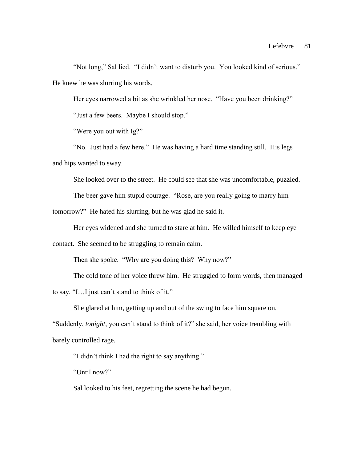"Not long," Sal lied. "I didn't want to disturb you. You looked kind of serious." He knew he was slurring his words.

Her eyes narrowed a bit as she wrinkled her nose. "Have you been drinking?"

"Just a few beers. Maybe I should stop."

"Were you out with Ig?"

"No. Just had a few here." He was having a hard time standing still. His legs and hips wanted to sway.

She looked over to the street. He could see that she was uncomfortable, puzzled.

The beer gave him stupid courage. "Rose, are you really going to marry him tomorrow?" He hated his slurring, but he was glad he said it.

Her eyes widened and she turned to stare at him. He willed himself to keep eye contact. She seemed to be struggling to remain calm.

Then she spoke. "Why are you doing this? Why now?"

The cold tone of her voice threw him. He struggled to form words, then managed to say, "I…I just can't stand to think of it."

She glared at him, getting up and out of the swing to face him square on.

"Suddenly, *tonight,* you can't stand to think of it?" she said, her voice trembling with barely controlled rage.

"I didn't think I had the right to say anything."

"Until now?"

Sal looked to his feet, regretting the scene he had begun.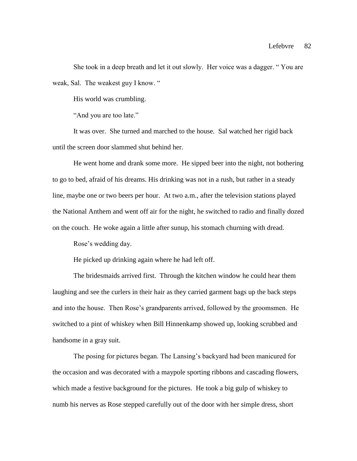She took in a deep breath and let it out slowly. Her voice was a dagger. " You are weak, Sal. The weakest guy I know. "

His world was crumbling.

"And you are too late."

It was over. She turned and marched to the house. Sal watched her rigid back until the screen door slammed shut behind her.

He went home and drank some more. He sipped beer into the night, not bothering to go to bed, afraid of his dreams. His drinking was not in a rush, but rather in a steady line, maybe one or two beers per hour. At two a.m., after the television stations played the National Anthem and went off air for the night, he switched to radio and finally dozed on the couch. He woke again a little after sunup, his stomach churning with dread.

Rose's wedding day.

He picked up drinking again where he had left off.

The bridesmaids arrived first. Through the kitchen window he could hear them laughing and see the curlers in their hair as they carried garment bags up the back steps and into the house. Then Rose's grandparents arrived, followed by the groomsmen. He switched to a pint of whiskey when Bill Hinnenkamp showed up, looking scrubbed and handsome in a gray suit.

The posing for pictures began. The Lansing's backyard had been manicured for the occasion and was decorated with a maypole sporting ribbons and cascading flowers, which made a festive background for the pictures. He took a big gulp of whiskey to numb his nerves as Rose stepped carefully out of the door with her simple dress, short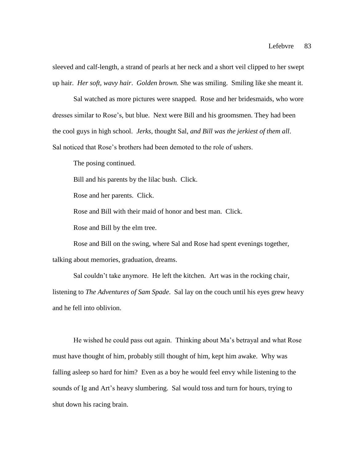sleeved and calf-length, a strand of pearls at her neck and a short veil clipped to her swept up hair. *Her soft, wavy hair*. *Golden brown.* She was smiling. Smiling like she meant it.

Sal watched as more pictures were snapped. Rose and her bridesmaids, who wore dresses similar to Rose's, but blue. Next were Bill and his groomsmen. They had been the cool guys in high school. *Jerks*, thought Sal, *and Bill was the jerkiest of them all*. Sal noticed that Rose's brothers had been demoted to the role of ushers.

The posing continued.

Bill and his parents by the lilac bush. Click.

Rose and her parents. Click.

Rose and Bill with their maid of honor and best man. Click.

Rose and Bill by the elm tree.

Rose and Bill on the swing, where Sal and Rose had spent evenings together, talking about memories, graduation, dreams.

Sal couldn't take anymore. He left the kitchen. Art was in the rocking chair, listening to *The Adventures of Sam Spade*. Sal lay on the couch until his eyes grew heavy and he fell into oblivion.

He wished he could pass out again. Thinking about Ma's betrayal and what Rose must have thought of him, probably still thought of him, kept him awake. Why was falling asleep so hard for him? Even as a boy he would feel envy while listening to the sounds of Ig and Art's heavy slumbering. Sal would toss and turn for hours, trying to shut down his racing brain.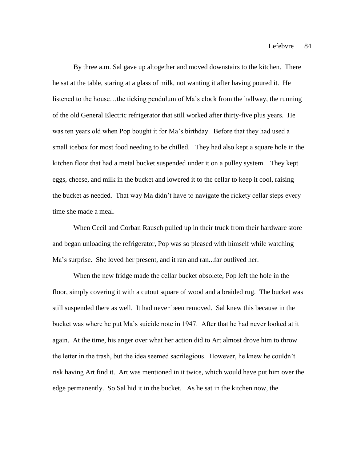By three a.m. Sal gave up altogether and moved downstairs to the kitchen. There he sat at the table, staring at a glass of milk, not wanting it after having poured it. He listened to the house…the ticking pendulum of Ma's clock from the hallway, the running of the old General Electric refrigerator that still worked after thirty-five plus years. He was ten years old when Pop bought it for Ma's birthday. Before that they had used a small icebox for most food needing to be chilled. They had also kept a square hole in the kitchen floor that had a metal bucket suspended under it on a pulley system. They kept eggs, cheese, and milk in the bucket and lowered it to the cellar to keep it cool, raising the bucket as needed. That way Ma didn't have to navigate the rickety cellar steps every time she made a meal.

When Cecil and Corban Rausch pulled up in their truck from their hardware store and began unloading the refrigerator, Pop was so pleased with himself while watching Ma's surprise. She loved her present, and it ran and ran...far outlived her.

When the new fridge made the cellar bucket obsolete, Pop left the hole in the floor, simply covering it with a cutout square of wood and a braided rug. The bucket was still suspended there as well. It had never been removed. Sal knew this because in the bucket was where he put Ma's suicide note in 1947. After that he had never looked at it again. At the time, his anger over what her action did to Art almost drove him to throw the letter in the trash, but the idea seemed sacrilegious. However, he knew he couldn't risk having Art find it. Art was mentioned in it twice, which would have put him over the edge permanently. So Sal hid it in the bucket. As he sat in the kitchen now, the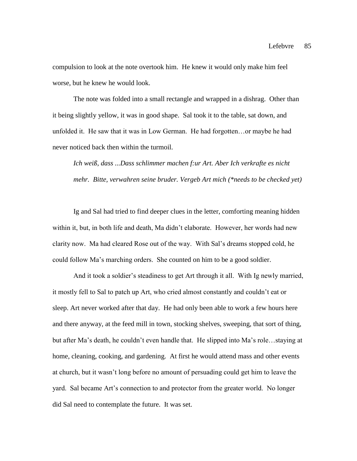compulsion to look at the note overtook him. He knew it would only make him feel worse, but he knew he would look.

The note was folded into a small rectangle and wrapped in a dishrag. Other than it being slightly yellow, it was in good shape. Sal took it to the table, sat down, and unfolded it. He saw that it was in Low German. He had forgotten…or maybe he had never noticed back then within the turmoil.

*[Ich](http://www.dict.cc/deutsch-englisch/Ich.html) [weiß,](http://www.dict.cc/deutsch-englisch/wei%C3%9F.html) [dass](http://www.dict.cc/deutsch-englisch/dass.html) [...D](http://www.dict.cc/deutsch-englisch/....html)ass schlimmer machen f:ur Art. Aber [Ich](http://www.dict.cc/deutsch-englisch/Ich.html) [verkrafte](http://www.dict.cc/deutsch-englisch/verkrafte.html) [es](http://www.dict.cc/deutsch-englisch/es.html) [nicht](http://www.dict.cc/deutsch-englisch/nicht.html) [mehr.](http://www.dict.cc/deutsch-englisch/mehr..html) Bitte, [verwahren](http://www.dict.cc/deutsch-englisch/verwahren.html) seine bruder. Vergeb Art mich (\*needs to be checked yet)*

Ig and Sal had tried to find deeper clues in the letter, comforting meaning hidden within it, but, in both life and death, Ma didn't elaborate. However, her words had new clarity now. Ma had cleared Rose out of the way. With Sal's dreams stopped cold, he could follow Ma's marching orders. She counted on him to be a good soldier.

And it took a soldier's steadiness to get Art through it all. With Ig newly married, it mostly fell to Sal to patch up Art, who cried almost constantly and couldn't eat or sleep. Art never worked after that day. He had only been able to work a few hours here and there anyway, at the feed mill in town, stocking shelves, sweeping, that sort of thing, but after Ma's death, he couldn't even handle that. He slipped into Ma's role…staying at home, cleaning, cooking, and gardening. At first he would attend mass and other events at church, but it wasn't long before no amount of persuading could get him to leave the yard. Sal became Art's connection to and protector from the greater world. No longer did Sal need to contemplate the future. It was set.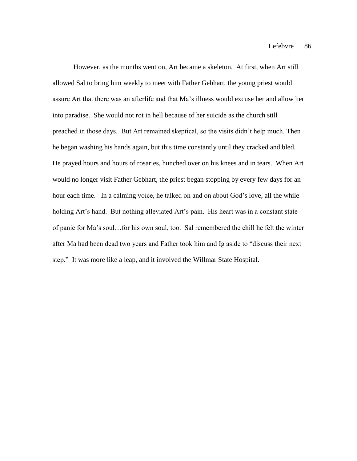However, as the months went on, Art became a skeleton. At first, when Art still allowed Sal to bring him weekly to meet with Father Gebhart, the young priest would assure Art that there was an afterlife and that Ma's illness would excuse her and allow her into paradise. She would not rot in hell because of her suicide as the church still preached in those days. But Art remained skeptical, so the visits didn't help much. Then he began washing his hands again, but this time constantly until they cracked and bled. He prayed hours and hours of rosaries, hunched over on his knees and in tears. When Art would no longer visit Father Gebhart, the priest began stopping by every few days for an hour each time. In a calming voice, he talked on and on about God's love, all the while holding Art's hand. But nothing alleviated Art's pain. His heart was in a constant state of panic for Ma's soul…for his own soul, too. Sal remembered the chill he felt the winter after Ma had been dead two years and Father took him and Ig aside to "discuss their next step." It was more like a leap, and it involved the Willmar State Hospital.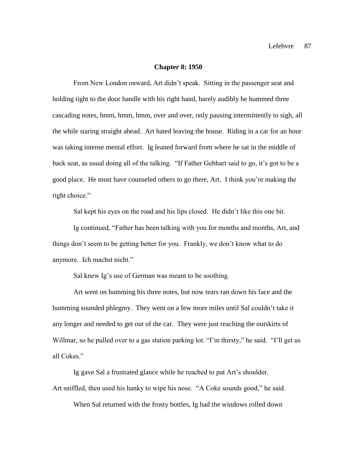#### **Chapter 8: 1950**

From New London onward, Art didn't speak. Sitting in the passenger seat and holding tight to the door handle with his right hand, barely audibly he hummed three cascading notes, hmm, hmm, hmm, over and over, only pausing intermittently to sigh, all the while staring straight ahead. Art hated leaving the house. Riding in a car for an hour was taking intense mental effort. Ig leaned forward from where he sat in the middle of back seat, as usual doing all of the talking. "If Father Gebhart said to go, it's got to be a good place. He must have counseled others to go there, Art. I think you're making the right choice."

Sal kept his eyes on the road and his lips closed. He didn't like this one bit.

Ig continued, "Father has been talking with you for months and months, Art, and things don't seem to be getting better for you. Frankly, we don't know what to do anymore. Ich machst nicht."

Sal knew Ig's use of German was meant to be soothing.

Art went on humming his three notes, but now tears ran down his face and the humming sounded phlegmy. They went on a few more miles until Sal couldn't take it any longer and needed to get out of the car. They were just reaching the outskirts of Willmar, so he pulled over to a gas station parking lot. "I'm thirsty," he said. "I'll get us all Cokes."

Ig gave Sal a frustrated glance while he reached to pat Art's shoulder. Art sniffled, then used his hanky to wipe his nose. "A Coke sounds good," he said.

When Sal returned with the frosty bottles, Ig had the windows rolled down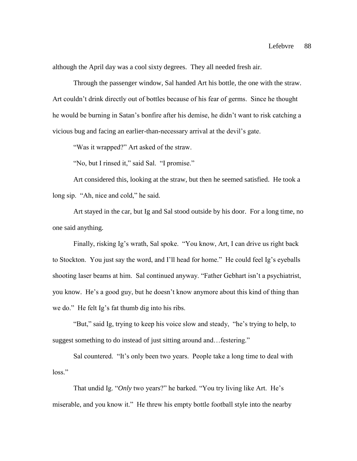although the April day was a cool sixty degrees. They all needed fresh air.

Through the passenger window, Sal handed Art his bottle, the one with the straw. Art couldn't drink directly out of bottles because of his fear of germs. Since he thought he would be burning in Satan's bonfire after his demise, he didn't want to risk catching a vicious bug and facing an earlier-than-necessary arrival at the devil's gate.

"Was it wrapped?" Art asked of the straw.

"No, but I rinsed it," said Sal. "I promise."

Art considered this, looking at the straw, but then he seemed satisfied. He took a long sip. "Ah, nice and cold," he said.

Art stayed in the car, but Ig and Sal stood outside by his door. For a long time, no one said anything.

Finally, risking Ig's wrath, Sal spoke. "You know, Art, I can drive us right back to Stockton. You just say the word, and I'll head for home." He could feel Ig's eyeballs shooting laser beams at him. Sal continued anyway. "Father Gebhart isn't a psychiatrist, you know. He's a good guy, but he doesn't know anymore about this kind of thing than we do." He felt Ig's fat thumb dig into his ribs.

"But," said Ig, trying to keep his voice slow and steady, "he's trying to help, to suggest something to do instead of just sitting around and…festering."

Sal countered. "It's only been two years. People take a long time to deal with loss."

That undid Ig. "*Only* two years?" he barked. "You try living like Art. He's miserable, and you know it." He threw his empty bottle football style into the nearby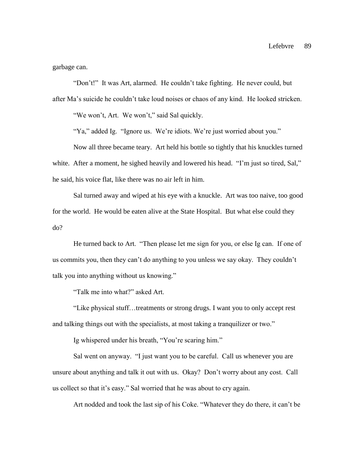garbage can.

"Don't!" It was Art, alarmed. He couldn't take fighting. He never could, but after Ma's suicide he couldn't take loud noises or chaos of any kind. He looked stricken.

"We won't, Art. We won't," said Sal quickly.

"Ya," added Ig. "Ignore us. We're idiots. We're just worried about you."

Now all three became teary. Art held his bottle so tightly that his knuckles turned white. After a moment, he sighed heavily and lowered his head. "I'm just so tired, Sal," he said, his voice flat, like there was no air left in him.

Sal turned away and wiped at his eye with a knuckle. Art was too naive, too good for the world. He would be eaten alive at the State Hospital. But what else could they do?

He turned back to Art. "Then please let me sign for you, or else Ig can. If one of us commits you, then they can't do anything to you unless we say okay. They couldn't talk you into anything without us knowing."

"Talk me into what?" asked Art.

"Like physical stuff…treatments or strong drugs. I want you to only accept rest and talking things out with the specialists, at most taking a tranquilizer or two."

Ig whispered under his breath, "You're scaring him."

Sal went on anyway. "I just want you to be careful. Call us whenever you are unsure about anything and talk it out with us. Okay? Don't worry about any cost. Call us collect so that it's easy." Sal worried that he was about to cry again.

Art nodded and took the last sip of his Coke. "Whatever they do there, it can't be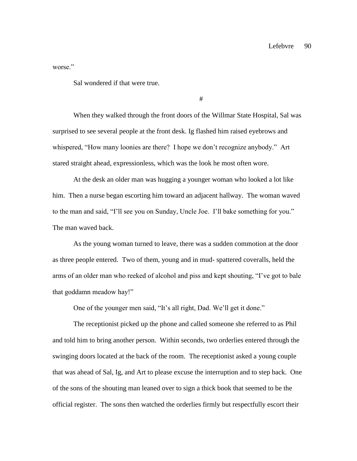worse."

Sal wondered if that were true.

#

When they walked through the front doors of the Willmar State Hospital, Sal was surprised to see several people at the front desk. Ig flashed him raised eyebrows and whispered, "How many loonies are there? I hope we don't recognize anybody." Art stared straight ahead, expressionless, which was the look he most often wore.

At the desk an older man was hugging a younger woman who looked a lot like him. Then a nurse began escorting him toward an adjacent hallway. The woman waved to the man and said, "I'll see you on Sunday, Uncle Joe. I'll bake something for you." The man waved back.

As the young woman turned to leave, there was a sudden commotion at the door as three people entered. Two of them, young and in mud- spattered coveralls, held the arms of an older man who reeked of alcohol and piss and kept shouting, "I've got to bale that goddamn meadow hay!"

One of the younger men said, "It's all right, Dad. We'll get it done."

The receptionist picked up the phone and called someone she referred to as Phil and told him to bring another person. Within seconds, two orderlies entered through the swinging doors located at the back of the room. The receptionist asked a young couple that was ahead of Sal, Ig, and Art to please excuse the interruption and to step back. One of the sons of the shouting man leaned over to sign a thick book that seemed to be the official register. The sons then watched the orderlies firmly but respectfully escort their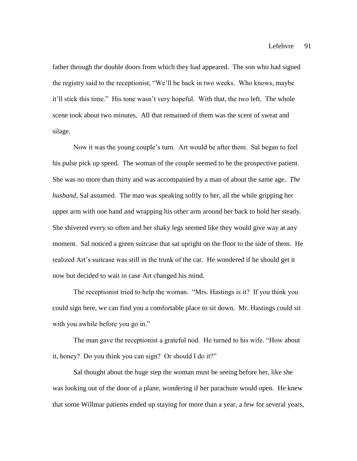father through the double doors from which they had appeared. The son who had signed the registry said to the receptionist, "We'll be back in two weeks. Who knows, maybe it'll stick this time." His tone wasn't very hopeful. With that, the two left. The whole scene took about two minutes. All that remained of them was the scent of sweat and silage.

Now it was the young couple's turn. Art would be after them. Sal began to feel his pulse pick up speed. The woman of the couple seemed to be the prospective patient. She was no more than thirty and was accompanied by a man of about the same age. *The husband*, Sal assumed. The man was speaking softly to her, all the while gripping her upper arm with one hand and wrapping his other arm around her back to hold her steady. She shivered every so often and her shaky legs seemed like they would give way at any moment. Sal noticed a green suitcase that sat upright on the floor to the side of them. He realized Art's suitcase was still in the trunk of the car. He wondered if he should get it now but decided to wait in case Art changed his mind.

The receptionist tried to help the woman. "Mrs. Hastings is it? If you think you could sign here, we can find you a comfortable place to sit down. Mr. Hastings could sit with you awhile before you go in."

The man gave the receptionist a grateful nod. He turned to his wife. "How about it, honey? Do you think you can sign? Or should I do it?"

Sal thought about the huge step the woman must be seeing before her, like she was looking out of the door of a plane, wondering if her parachute would open. He knew that some Willmar patients ended up staying for more than a year, a few for several years,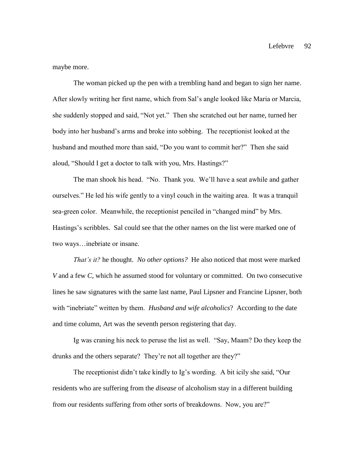Lefebvre 92

maybe more.

The woman picked up the pen with a trembling hand and began to sign her name. After slowly writing her first name, which from Sal's angle looked like Maria or Marcia, she suddenly stopped and said, "Not yet." Then she scratched out her name, turned her body into her husband's arms and broke into sobbing. The receptionist looked at the husband and mouthed more than said, "Do you want to commit her?" Then she said aloud, "Should I get a doctor to talk with you, Mrs. Hastings?"

The man shook his head. "No. Thank you. We'll have a seat awhile and gather ourselves." He led his wife gently to a vinyl couch in the waiting area. It was a tranquil sea-green color. Meanwhile, the receptionist penciled in "changed mind" by Mrs. Hastings's scribbles. Sal could see that the other names on the list were marked one of two ways…inebriate or insane.

*That's it?* he thought. *No other options?* He also noticed that most were marked *V* and a few *C*, which he assumed stood for voluntary or committed. On two consecutive lines he saw signatures with the same last name, Paul Lipsner and Francine Lipsner, both with "inebriate" written by them. *Husband and wife alcoholics*? According to the date and time column, Art was the seventh person registering that day.

Ig was craning his neck to peruse the list as well. "Say, Maam? Do they keep the drunks and the others separate? They're not all together are they?"

The receptionist didn't take kindly to Ig's wording. A bit icily she said, "Our residents who are suffering from the *disease* of alcoholism stay in a different building from our residents suffering from other sorts of breakdowns. Now, you are?"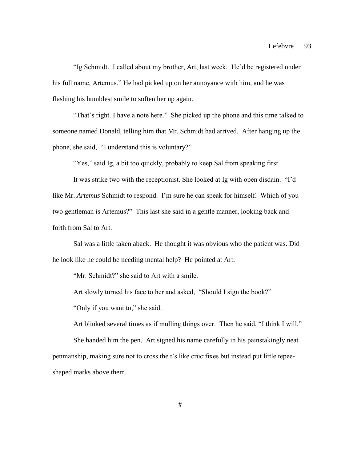"Ig Schmidt. I called about my brother, Art, last week. He'd be registered under his full name, Artemus." He had picked up on her annoyance with him, and he was flashing his humblest smile to soften her up again.

"That's right. I have a note here." She picked up the phone and this time talked to someone named Donald, telling him that Mr. Schmidt had arrived. After hanging up the phone, she said, "I understand this is voluntary?"

"Yes," said Ig, a bit too quickly, probably to keep Sal from speaking first.

It was strike two with the receptionist. She looked at Ig with open disdain. "I'd like Mr. *Artemus* Schmidt to respond. I'm sure he can speak for himself. Which of you two gentleman is Artemus?" This last she said in a gentle manner, looking back and forth from Sal to Art.

Sal was a little taken aback. He thought it was obvious who the patient was. Did he look like he could be needing mental help? He pointed at Art.

"Mr. Schmidt?" she said to Art with a smile.

Art slowly turned his face to her and asked, "Should I sign the book?"

"Only if you want to," she said.

Art blinked several times as if mulling things over. Then he said, "I think I will."

She handed him the pen. Art signed his name carefully in his painstakingly neat penmanship, making sure not to cross the t's like crucifixes but instead put little tepeeshaped marks above them.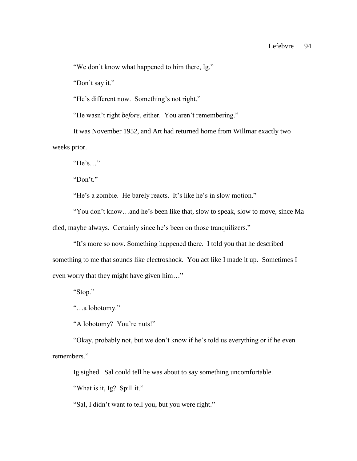"We don't know what happened to him there, Ig."

"Don't say it."

"He's different now. Something's not right."

"He wasn't right *before*, either. You aren't remembering."

It was November 1952, and Art had returned home from Willmar exactly two weeks prior.

"He's…"

"Don't."

"He's a zombie. He barely reacts. It's like he's in slow motion."

"You don't know…and he's been like that, slow to speak, slow to move, since Ma died, maybe always. Certainly since he's been on those tranquilizers."

"It's more so now. Something happened there. I told you that he described something to me that sounds like electroshock. You act like I made it up. Sometimes I even worry that they might have given him…"

"Stop."

"…a lobotomy."

"A lobotomy? You're nuts!"

"Okay, probably not, but we don't know if he's told us everything or if he even remembers."

Ig sighed. Sal could tell he was about to say something uncomfortable.

"What is it, Ig? Spill it."

"Sal, I didn't want to tell you, but you were right."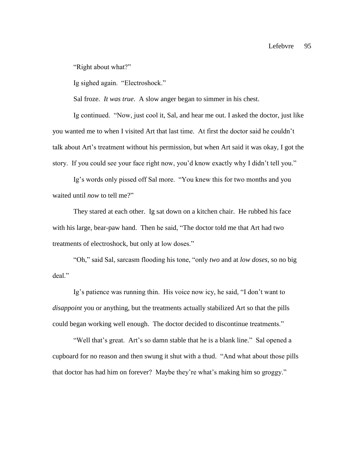"Right about what?"

Ig sighed again. "Electroshock."

Sal froze. *It was true*. A slow anger began to simmer in his chest.

Ig continued. "Now, just cool it, Sal, and hear me out. I asked the doctor, just like you wanted me to when I visited Art that last time. At first the doctor said he couldn't talk about Art's treatment without his permission, but when Art said it was okay, I got the story. If you could see your face right now, you'd know exactly why I didn't tell you."

Ig's words only pissed off Sal more. "You knew this for two months and you waited until *now* to tell me?"

They stared at each other. Ig sat down on a kitchen chair. He rubbed his face with his large, bear-paw hand. Then he said, "The doctor told me that Art had two treatments of electroshock, but only at low doses."

"Oh," said Sal, sarcasm flooding his tone, "only *two* and at *low doses*, so no big deal."

Ig's patience was running thin. His voice now icy, he said, "I don't want to *disappoint* you or anything, but the treatments actually stabilized Art so that the pills could began working well enough. The doctor decided to discontinue treatments."

"Well that's great. Art's so damn stable that he is a blank line." Sal opened a cupboard for no reason and then swung it shut with a thud. "And what about those pills that doctor has had him on forever? Maybe they're what's making him so groggy."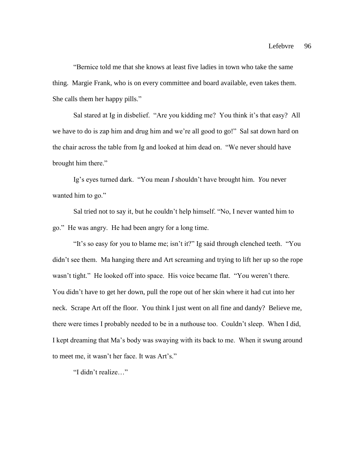"Bernice told me that she knows at least five ladies in town who take the same thing. Margie Frank, who is on every committee and board available, even takes them. She calls them her happy pills."

Sal stared at Ig in disbelief. "Are you kidding me? You think it's that easy? All we have to do is zap him and drug him and we're all good to go!" Sal sat down hard on the chair across the table from Ig and looked at him dead on. "We never should have brought him there."

Ig's eyes turned dark. "You mean *I* shouldn't have brought him. *You* never wanted him to go."

Sal tried not to say it, but he couldn't help himself. "No, I never wanted him to go." He was angry. He had been angry for a long time.

"It's so easy for you to blame me; isn't it?" Ig said through clenched teeth. "You didn't see them. Ma hanging there and Art screaming and trying to lift her up so the rope wasn't tight." He looked off into space. His voice became flat. "You weren't there. You didn't have to get her down, pull the rope out of her skin where it had cut into her neck. Scrape Art off the floor. You think I just went on all fine and dandy? Believe me, there were times I probably needed to be in a nuthouse too. Couldn't sleep. When I did, I kept dreaming that Ma's body was swaying with its back to me. When it swung around to meet me, it wasn't her face. It was Art's."

"I didn't realize…"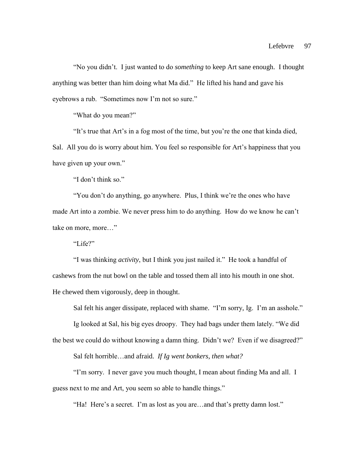"No you didn't. I just wanted to do *something* to keep Art sane enough. I thought anything was better than him doing what Ma did." He lifted his hand and gave his eyebrows a rub. "Sometimes now I'm not so sure."

"What do you mean?"

"It's true that Art's in a fog most of the time, but you're the one that kinda died, Sal. All you do is worry about him. You feel so responsible for Art's happiness that you have given up your own."

"I don't think so."

"You don't do anything, go anywhere. Plus, I think we're the ones who have made Art into a zombie. We never press him to do anything. How do we know he can't take on more, more…"

"Life?"

"I was thinking *activity*, but I think you just nailed it." He took a handful of cashews from the nut bowl on the table and tossed them all into his mouth in one shot. He chewed them vigorously, deep in thought.

Sal felt his anger dissipate, replaced with shame. "I'm sorry, Ig. I'm an asshole."

Ig looked at Sal, his big eyes droopy. They had bags under them lately. "We did

the best we could do without knowing a damn thing. Didn't we? Even if we disagreed?"

Sal felt horrible…and afraid. *If Ig went bonkers, then what?*

"I'm sorry. I never gave you much thought, I mean about finding Ma and all. I guess next to me and Art, you seem so able to handle things."

"Ha! Here's a secret. I'm as lost as you are…and that's pretty damn lost."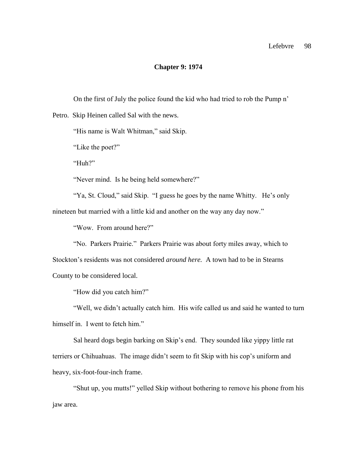### Lefebvre 98

## **Chapter 9: 1974**

On the first of July the police found the kid who had tried to rob the Pump n'

Petro. Skip Heinen called Sal with the news.

"His name is Walt Whitman," said Skip.

"Like the poet?"

"Huh?"

"Never mind. Is he being held somewhere?"

"Ya, St. Cloud," said Skip. "I guess he goes by the name Whitty. He's only nineteen but married with a little kid and another on the way any day now."

"Wow. From around here?"

"No. Parkers Prairie." Parkers Prairie was about forty miles away, which to Stockton's residents was not considered *around here.* A town had to be in Stearns County to be considered local.

"How did you catch him?"

"Well, we didn't actually catch him. His wife called us and said he wanted to turn himself in. I went to fetch him."

Sal heard dogs begin barking on Skip's end. They sounded like yippy little rat terriers or Chihuahuas. The image didn't seem to fit Skip with his cop's uniform and heavy, six-foot-four-inch frame.

"Shut up, you mutts!" yelled Skip without bothering to remove his phone from his jaw area.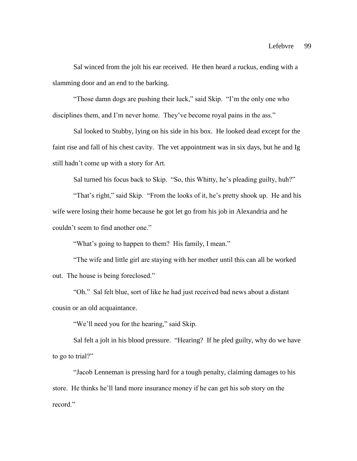Sal winced from the jolt his ear received. He then heard a ruckus, ending with a slamming door and an end to the barking.

"Those damn dogs are pushing their luck," said Skip. "I'm the only one who disciplines them, and I'm never home. They've become royal pains in the ass."

Sal looked to Stubby, lying on his side in his box. He looked dead except for the faint rise and fall of his chest cavity. The vet appointment was in six days, but he and Ig still hadn't come up with a story for Art.

Sal turned his focus back to Skip. "So, this Whitty, he's pleading guilty, huh?"

"That's right," said Skip. "From the looks of it, he's pretty shook up. He and his wife were losing their home because he got let go from his job in Alexandria and he couldn't seem to find another one."

"What's going to happen to them? His family, I mean."

"The wife and little girl are staying with her mother until this can all be worked out. The house is being foreclosed."

"Oh." Sal felt blue, sort of like he had just received bad news about a distant cousin or an old acquaintance.

"We'll need you for the hearing," said Skip.

Sal felt a jolt in his blood pressure. "Hearing? If he pled guilty, why do we have to go to trial?"

"Jacob Lenneman is pressing hard for a tough penalty, claiming damages to his store. He thinks he'll land more insurance money if he can get his sob story on the record."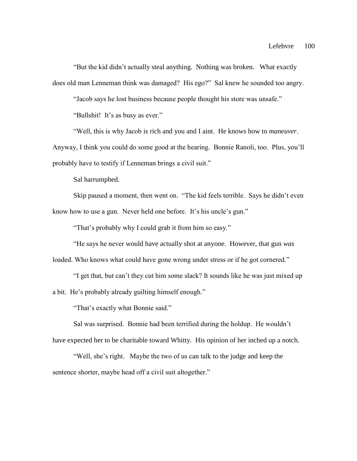"But the kid didn't actually steal anything. Nothing was broken. What exactly does old man Lenneman think was damaged? His ego?" Sal knew he sounded too angry.

"Jacob says he lost business because people thought his store was unsafe."

"Bullshit! It's as busy as ever."

"Well, this is why Jacob is rich and you and I aint. He knows how to *maneuver*.

Anyway, I think you could do some good at the hearing. Bonnie Ranoli, too. Plus, you'll probably have to testify if Lenneman brings a civil suit."

Sal harrumphed.

Skip paused a moment, then went on. "The kid feels terrible. Says he didn't even know how to use a gun. Never held one before. It's his uncle's gun."

"That's probably why I could grab it from him so easy."

"He says he never would have actually shot at anyone. However, that gun *was* loaded. Who knows what could have gone wrong under stress or if he got cornered."

"I get that, but can't they cut him some slack? It sounds like he was just mixed up a bit. He's probably already guilting himself enough."

"That's exactly what Bonnie said."

Sal was surprised. Bonnie had been terrified during the holdup. He wouldn't have expected her to be charitable toward Whitty. His opinion of her inched up a notch.

"Well, she's right. Maybe the two of us can talk to the judge and keep the sentence shorter, maybe head off a civil suit altogether."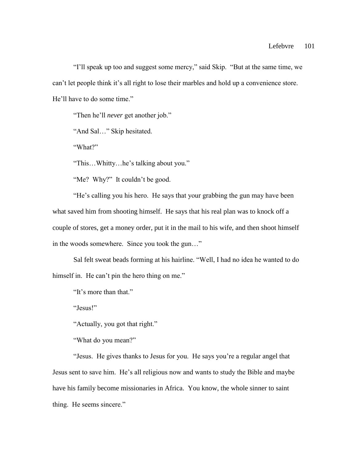"I'll speak up too and suggest some mercy," said Skip. "But at the same time, we can't let people think it's all right to lose their marbles and hold up a convenience store. He'll have to do some time."

"Then he'll *never* get another job."

"And Sal…" Skip hesitated.

"What?"

"This…Whitty…he's talking about you."

"Me? Why?" It couldn't be good.

"He's calling you his hero. He says that your grabbing the gun may have been what saved him from shooting himself. He says that his real plan was to knock off a couple of stores, get a money order, put it in the mail to his wife, and then shoot himself in the woods somewhere. Since you took the gun…"

Sal felt sweat beads forming at his hairline. "Well, I had no idea he wanted to do himself in. He can't pin the hero thing on me."

"It's more than that."

"Jesus!"

"Actually, you got that right."

"What do you mean?"

"Jesus. He gives thanks to Jesus for you. He says you're a regular angel that Jesus sent to save him. He's all religious now and wants to study the Bible and maybe have his family become missionaries in Africa. You know, the whole sinner to saint thing. He seems sincere."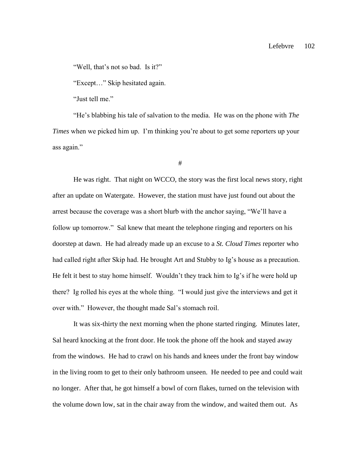"Well, that's not so bad. Is it?"

"Except…" Skip hesitated again.

"Just tell me."

"He's blabbing his tale of salvation to the media. He was on the phone with *The Times* when we picked him up. I'm thinking you're about to get some reporters up your ass again."

#

He was right. That night on WCCO, the story was the first local news story, right after an update on Watergate. However, the station must have just found out about the arrest because the coverage was a short blurb with the anchor saying, "We'll have a follow up tomorrow." Sal knew that meant the telephone ringing and reporters on his doorstep at dawn. He had already made up an excuse to a *St. Cloud Times* reporter who had called right after Skip had. He brought Art and Stubby to Ig's house as a precaution. He felt it best to stay home himself. Wouldn't they track him to Ig's if he were hold up there? Ig rolled his eyes at the whole thing. "I would just give the interviews and get it over with." However, the thought made Sal's stomach roil.

It was six-thirty the next morning when the phone started ringing. Minutes later, Sal heard knocking at the front door. He took the phone off the hook and stayed away from the windows. He had to crawl on his hands and knees under the front bay window in the living room to get to their only bathroom unseen. He needed to pee and could wait no longer. After that, he got himself a bowl of corn flakes, turned on the television with the volume down low, sat in the chair away from the window, and waited them out. As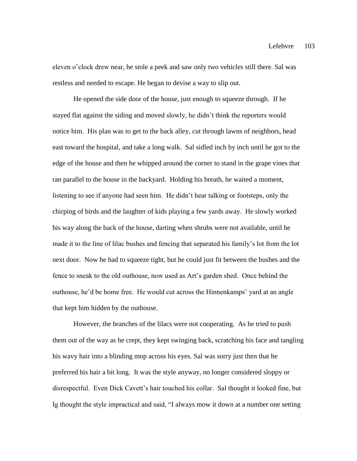eleven o'clock drew near, he stole a peek and saw only two vehicles still there. Sal was restless and needed to escape. He began to devise a way to slip out.

He opened the side door of the house, just enough to squeeze through. If he stayed flat against the siding and moved slowly, he didn't think the reporters would notice him. His plan was to get to the back alley, cut through lawns of neighbors, head east toward the hospital, and take a long walk. Sal sidled inch by inch until he got to the edge of the house and then he whipped around the corner to stand in the grape vines that ran parallel to the house in the backyard. Holding his breath, he waited a moment, listening to see if anyone had seen him. He didn't hear talking or footsteps, only the chirping of birds and the laughter of kids playing a few yards away. He slowly worked his way along the back of the house, darting when shrubs were not available, until he made it to the line of lilac bushes and fencing that separated his family's lot from the lot next door. Now he had to squeeze tight, but he could just fit between the bushes and the fence to sneak to the old outhouse, now used as Art's garden shed. Once behind the outhouse, he'd be home free. He would cut across the Hinnenkamps' yard at an angle that kept him hidden by the outhouse.

However, the branches of the lilacs were not cooperating. As he tried to push them out of the way as he crept, they kept swinging back, scratching his face and tangling his wavy hair into a blinding mop across his eyes. Sal was sorry just then that he preferred his hair a bit long. It was the style anyway, no longer considered sloppy or disrespectful. Even Dick Cavett's hair touched his collar. Sal thought it looked fine, but Ig thought the style impractical and said, "I always mow it down at a number one setting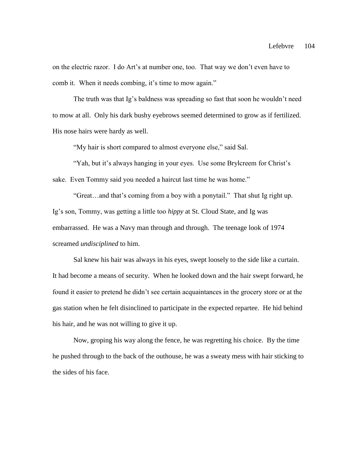on the electric razor. I do Art's at number one, too. That way we don't even have to comb it. When it needs combing, it's time to mow again."

The truth was that Ig's baldness was spreading so fast that soon he wouldn't need to mow at all. Only his dark bushy eyebrows seemed determined to grow as if fertilized. His nose hairs were hardy as well.

"My hair is short compared to almost everyone else," said Sal.

"Yah, but it's always hanging in your eyes. Use some Brylcreem for Christ's sake. Even Tommy said you needed a haircut last time he was home."

"Great…and that's coming from a boy with a ponytail." That shut Ig right up. Ig's son, Tommy, was getting a little too *hippy* at St. Cloud State, and Ig was embarrassed. He was a Navy man through and through. The teenage look of 1974 screamed *undisciplined* to him.

Sal knew his hair was always in his eyes, swept loosely to the side like a curtain. It had become a means of security. When he looked down and the hair swept forward, he found it easier to pretend he didn't see certain acquaintances in the grocery store or at the gas station when he felt disinclined to participate in the expected repartee. He hid behind his hair, and he was not willing to give it up.

Now, groping his way along the fence, he was regretting his choice. By the time he pushed through to the back of the outhouse, he was a sweaty mess with hair sticking to the sides of his face.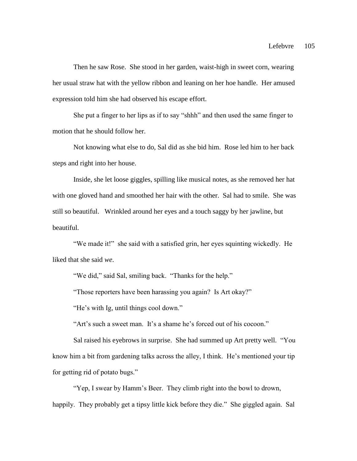Then he saw Rose. She stood in her garden, waist-high in sweet corn, wearing her usual straw hat with the yellow ribbon and leaning on her hoe handle. Her amused expression told him she had observed his escape effort.

She put a finger to her lips as if to say "shhh" and then used the same finger to motion that he should follow her.

Not knowing what else to do, Sal did as she bid him. Rose led him to her back steps and right into her house.

Inside, she let loose giggles, spilling like musical notes, as she removed her hat with one gloved hand and smoothed her hair with the other. Sal had to smile. She was still so beautiful. Wrinkled around her eyes and a touch saggy by her jawline, but beautiful.

"We made it!" she said with a satisfied grin, her eyes squinting wickedly. He liked that she said *we*.

"We did," said Sal, smiling back. "Thanks for the help."

"Those reporters have been harassing you again? Is Art okay?"

"He's with Ig, until things cool down."

"Art's such a sweet man. It's a shame he's forced out of his cocoon."

Sal raised his eyebrows in surprise. She had summed up Art pretty well. "You know him a bit from gardening talks across the alley, I think. He's mentioned your tip for getting rid of potato bugs."

"Yep, I swear by Hamm's Beer. They climb right into the bowl to drown, happily. They probably get a tipsy little kick before they die." She giggled again. Sal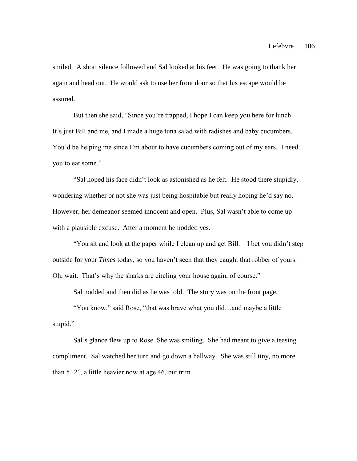smiled. A short silence followed and Sal looked at his feet. He was going to thank her again and head out. He would ask to use her front door so that his escape would be assured.

But then she said, "Since you're trapped, I hope I can keep you here for lunch. It's just Bill and me, and I made a huge tuna salad with radishes and baby cucumbers. You'd be helping me since I'm about to have cucumbers coming out of my ears. I need you to eat some."

"Sal hoped his face didn't look as astonished as he felt. He stood there stupidly, wondering whether or not she was just being hospitable but really hoping he'd say no. However, her demeanor seemed innocent and open. Plus, Sal wasn't able to come up with a plausible excuse. After a moment he nodded yes.

"You sit and look at the paper while I clean up and get Bill. I bet you didn't step outside for your *Times* today, so you haven't seen that they caught that robber of yours. Oh, wait. That's why the sharks are circling your house again, of course."

Sal nodded and then did as he was told. The story was on the front page.

"You know," said Rose, "that was brave what you did…and maybe a little stupid."

Sal's glance flew up to Rose. She was smiling. She had meant to give a teasing compliment. Sal watched her turn and go down a hallway. She was still tiny, no more than 5' 2", a little heavier now at age 46, but trim.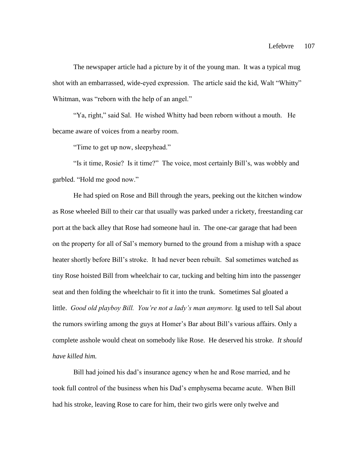The newspaper article had a picture by it of the young man. It was a typical mug shot with an embarrassed, wide-eyed expression. The article said the kid, Walt "Whitty" Whitman, was "reborn with the help of an angel."

"Ya, right," said Sal. He wished Whitty had been reborn without a mouth. He became aware of voices from a nearby room.

"Time to get up now, sleepyhead."

"Is it time, Rosie? Is it time?" The voice, most certainly Bill's, was wobbly and garbled. "Hold me good now."

He had spied on Rose and Bill through the years, peeking out the kitchen window as Rose wheeled Bill to their car that usually was parked under a rickety, freestanding car port at the back alley that Rose had someone haul in. The one-car garage that had been on the property for all of Sal's memory burned to the ground from a mishap with a space heater shortly before Bill's stroke. It had never been rebuilt. Sal sometimes watched as tiny Rose hoisted Bill from wheelchair to car, tucking and belting him into the passenger seat and then folding the wheelchair to fit it into the trunk. Sometimes Sal gloated a little. *Good old playboy Bill. You're not a lady's man anymore.* Ig used to tell Sal about the rumors swirling among the guys at Homer's Bar about Bill's various affairs. Only a complete asshole would cheat on somebody like Rose. He deserved his stroke. *It should have killed him.*

Bill had joined his dad's insurance agency when he and Rose married, and he took full control of the business when his Dad's emphysema became acute. When Bill had his stroke, leaving Rose to care for him, their two girls were only twelve and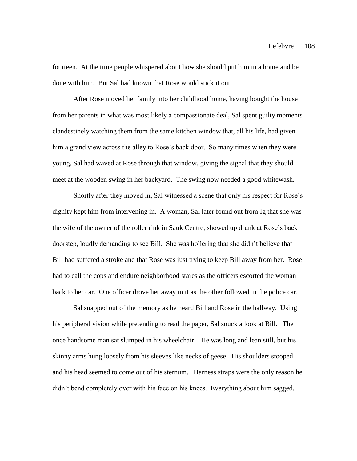fourteen. At the time people whispered about how she should put him in a home and be done with him. But Sal had known that Rose would stick it out.

After Rose moved her family into her childhood home, having bought the house from her parents in what was most likely a compassionate deal, Sal spent guilty moments clandestinely watching them from the same kitchen window that, all his life, had given him a grand view across the alley to Rose's back door. So many times when they were young, Sal had waved at Rose through that window, giving the signal that they should meet at the wooden swing in her backyard. The swing now needed a good whitewash.

Shortly after they moved in, Sal witnessed a scene that only his respect for Rose's dignity kept him from intervening in. A woman, Sal later found out from Ig that she was the wife of the owner of the roller rink in Sauk Centre, showed up drunk at Rose's back doorstep, loudly demanding to see Bill. She was hollering that she didn't believe that Bill had suffered a stroke and that Rose was just trying to keep Bill away from her. Rose had to call the cops and endure neighborhood stares as the officers escorted the woman back to her car. One officer drove her away in it as the other followed in the police car.

Sal snapped out of the memory as he heard Bill and Rose in the hallway. Using his peripheral vision while pretending to read the paper, Sal snuck a look at Bill. The once handsome man sat slumped in his wheelchair. He was long and lean still, but his skinny arms hung loosely from his sleeves like necks of geese. His shoulders stooped and his head seemed to come out of his sternum. Harness straps were the only reason he didn't bend completely over with his face on his knees. Everything about him sagged.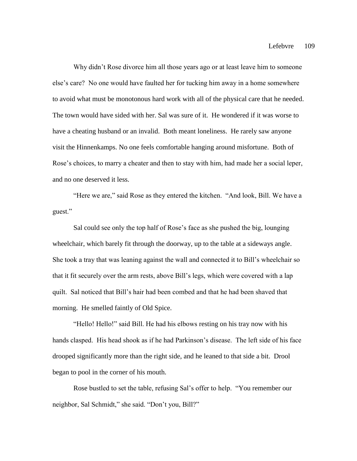Why didn't Rose divorce him all those years ago or at least leave him to someone else's care? No one would have faulted her for tucking him away in a home somewhere to avoid what must be monotonous hard work with all of the physical care that he needed. The town would have sided with her. Sal was sure of it. He wondered if it was worse to have a cheating husband or an invalid. Both meant loneliness. He rarely saw anyone visit the Hinnenkamps. No one feels comfortable hanging around misfortune. Both of Rose's choices, to marry a cheater and then to stay with him, had made her a social leper, and no one deserved it less.

"Here we are," said Rose as they entered the kitchen. "And look, Bill. We have a guest."

Sal could see only the top half of Rose's face as she pushed the big, lounging wheelchair, which barely fit through the doorway, up to the table at a sideways angle. She took a tray that was leaning against the wall and connected it to Bill's wheelchair so that it fit securely over the arm rests, above Bill's legs, which were covered with a lap quilt. Sal noticed that Bill's hair had been combed and that he had been shaved that morning. He smelled faintly of Old Spice.

"Hello! Hello!" said Bill. He had his elbows resting on his tray now with his hands clasped. His head shook as if he had Parkinson's disease. The left side of his face drooped significantly more than the right side, and he leaned to that side a bit. Drool began to pool in the corner of his mouth.

Rose bustled to set the table, refusing Sal's offer to help. "You remember our neighbor, Sal Schmidt," she said. "Don't you, Bill?"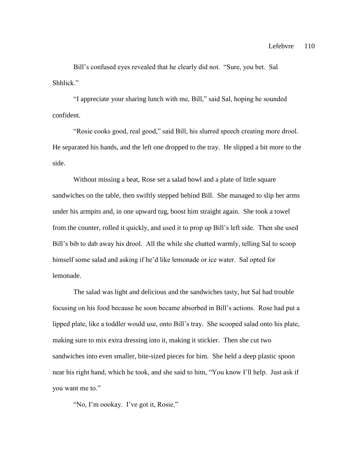Bill's confused eyes revealed that he clearly did not. "Sure, you bet. Sal Shhlick."

"I appreciate your sharing lunch with me, Bill," said Sal, hoping he sounded confident.

"Rosie cooks good, real good," said Bill, his slurred speech creating more drool. He separated his hands, and the left one dropped to the tray. He slipped a bit more to the side.

Without missing a beat, Rose set a salad bowl and a plate of little square sandwiches on the table, then swiftly stepped behind Bill. She managed to slip her arms under his armpits and, in one upward tug, boost him straight again. She took a towel from the counter, rolled it quickly, and used it to prop up Bill's left side. Then she used Bill's bib to dab away his drool. All the while she chatted warmly, telling Sal to scoop himself some salad and asking if he'd like lemonade or ice water. Sal opted for lemonade.

The salad was light and delicious and the sandwiches tasty, but Sal had trouble focusing on his food because he soon became absorbed in Bill's actions. Rose had put a lipped plate, like a toddler would use, onto Bill's tray. She scooped salad onto his plate, making sure to mix extra dressing into it, making it stickier. Then she cut two sandwiches into even smaller, bite-sized pieces for him. She held a deep plastic spoon near his right hand, which he took, and she said to him, "You know I'll help. Just ask if you want me to."

"No, I'm oookay. I've got it, Rosie."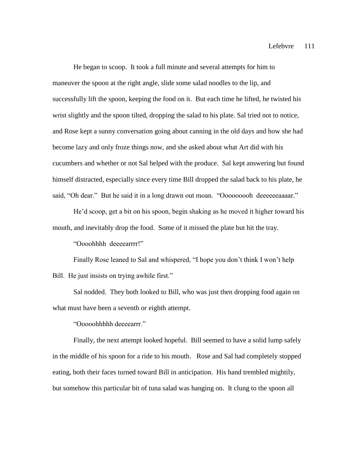He began to scoop. It took a full minute and several attempts for him to maneuver the spoon at the right angle, slide some salad noodles to the lip, and successfully lift the spoon, keeping the food on it. But each time he lifted, he twisted his wrist slightly and the spoon tilted, dropping the salad to his plate. Sal tried not to notice, and Rose kept a sunny conversation going about canning in the old days and how she had become lazy and only froze things now, and she asked about what Art did with his cucumbers and whether or not Sal helped with the produce. Sal kept answering but found himself distracted, especially since every time Bill dropped the salad back to his plate, he said, "Oh dear." But he said it in a long drawn out moan. "Ooooooooh deeeeeeaaaar."

He'd scoop, get a bit on his spoon, begin shaking as he moved it higher toward his mouth, and inevitably drop the food. Some of it missed the plate but hit the tray.

"Oooohhhh deeeearrrr!"

Finally Rose leaned to Sal and whispered, "I hope you don't think I won't help Bill. He just insists on trying awhile first."

Sal nodded. They both looked to Bill, who was just then dropping food again on what must have been a seventh or eighth attempt.

"Ooooohhhhh deeeearrr."

Finally, the next attempt looked hopeful. Bill seemed to have a solid lump safely in the middle of his spoon for a ride to his mouth. Rose and Sal had completely stopped eating, both their faces turned toward Bill in anticipation. His hand trembled mightily, but somehow this particular bit of tuna salad was hanging on. It clung to the spoon all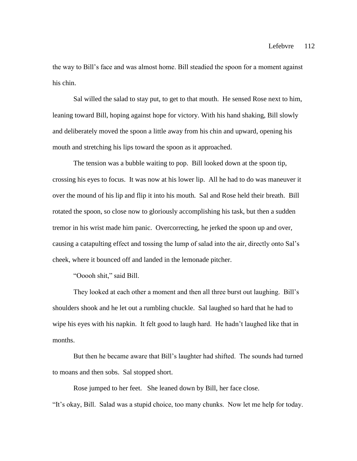the way to Bill's face and was almost home. Bill steadied the spoon for a moment against his chin.

Sal willed the salad to stay put, to get to that mouth. He sensed Rose next to him, leaning toward Bill, hoping against hope for victory. With his hand shaking, Bill slowly and deliberately moved the spoon a little away from his chin and upward, opening his mouth and stretching his lips toward the spoon as it approached.

The tension was a bubble waiting to pop. Bill looked down at the spoon tip, crossing his eyes to focus. It was now at his lower lip. All he had to do was maneuver it over the mound of his lip and flip it into his mouth. Sal and Rose held their breath. Bill rotated the spoon, so close now to gloriously accomplishing his task, but then a sudden tremor in his wrist made him panic. Overcorrecting, he jerked the spoon up and over, causing a catapulting effect and tossing the lump of salad into the air, directly onto Sal's cheek, where it bounced off and landed in the lemonade pitcher.

"Ooooh shit," said Bill.

They looked at each other a moment and then all three burst out laughing. Bill's shoulders shook and he let out a rumbling chuckle. Sal laughed so hard that he had to wipe his eyes with his napkin. It felt good to laugh hard. He hadn't laughed like that in months.

But then he became aware that Bill's laughter had shifted. The sounds had turned to moans and then sobs. Sal stopped short.

Rose jumped to her feet. She leaned down by Bill, her face close. "It's okay, Bill. Salad was a stupid choice, too many chunks. Now let me help for today.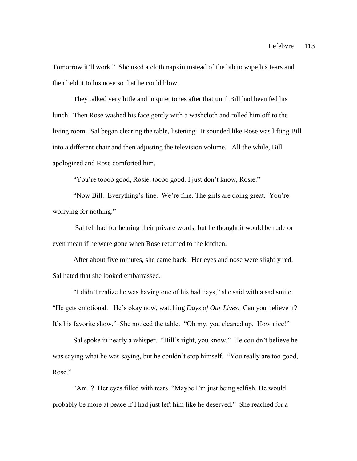Tomorrow it'll work." She used a cloth napkin instead of the bib to wipe his tears and then held it to his nose so that he could blow.

They talked very little and in quiet tones after that until Bill had been fed his lunch. Then Rose washed his face gently with a washcloth and rolled him off to the living room. Sal began clearing the table, listening. It sounded like Rose was lifting Bill into a different chair and then adjusting the television volume. All the while, Bill apologized and Rose comforted him.

"You're toooo good, Rosie, toooo good. I just don't know, Rosie."

"Now Bill. Everything's fine. We're fine. The girls are doing great. You're worrying for nothing."

Sal felt bad for hearing their private words, but he thought it would be rude or even mean if he were gone when Rose returned to the kitchen.

After about five minutes, she came back. Her eyes and nose were slightly red. Sal hated that she looked embarrassed.

"I didn't realize he was having one of his bad days," she said with a sad smile. "He gets emotional. He's okay now, watching *Days of Our Lives*. Can you believe it? It's his favorite show." She noticed the table. "Oh my, you cleaned up. How nice!"

Sal spoke in nearly a whisper. "Bill's right, you know." He couldn't believe he was saying what he was saying, but he couldn't stop himself. "You really are too good, Rose."

"Am I? Her eyes filled with tears. "Maybe I'm just being selfish. He would probably be more at peace if I had just left him like he deserved." She reached for a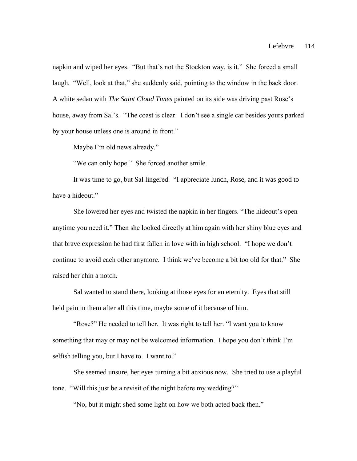napkin and wiped her eyes. "But that's not the Stockton way, is it." She forced a small laugh. "Well, look at that," she suddenly said, pointing to the window in the back door. A white sedan with *The Saint Cloud Times* painted on its side was driving past Rose's house, away from Sal's. "The coast is clear. I don't see a single car besides yours parked by your house unless one is around in front."

Maybe I'm old news already."

"We can only hope." She forced another smile.

It was time to go, but Sal lingered. "I appreciate lunch, Rose, and it was good to have a hideout."

She lowered her eyes and twisted the napkin in her fingers. "The hideout's open anytime you need it." Then she looked directly at him again with her shiny blue eyes and that brave expression he had first fallen in love with in high school. "I hope we don't continue to avoid each other anymore. I think we've become a bit too old for that." She raised her chin a notch.

Sal wanted to stand there, looking at those eyes for an eternity. Eyes that still held pain in them after all this time, maybe some of it because of him.

"Rose?" He needed to tell her. It was right to tell her. "I want you to know something that may or may not be welcomed information. I hope you don't think I'm selfish telling you, but I have to. I want to."

She seemed unsure, her eyes turning a bit anxious now. She tried to use a playful tone. "Will this just be a revisit of the night before my wedding?"

"No, but it might shed some light on how we both acted back then."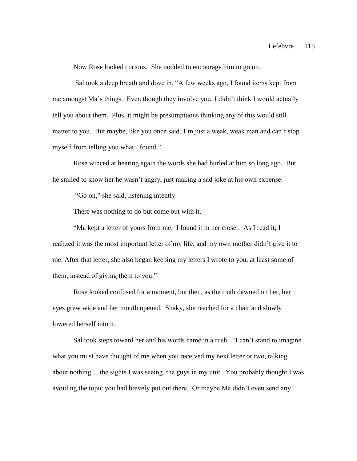Now Rose looked curious. She nodded to encourage him to go on.

Sal took a deep breath and dove in. "A few weeks ago, I found items kept from me amongst Ma's things. Even though they involve you, I didn't think I would actually tell you about them. Plus, it might be presumptuous thinking any of this would still matter to you. But maybe, like you once said, I'm just a weak, weak man and can't stop myself from telling you what I found."

Rose winced at hearing again the words she had hurled at him so long ago. But he smiled to show her he wasn't angry, just making a sad joke at his own expense.

"Go on," she said, listening intently.

There was nothing to do but come out with it.

"Ma kept a letter of yours from me. I found it in her closet. As I read it, I realized it was the most important letter of my life, and my own mother didn't give it to me. After that letter, she also began keeping my letters I wrote to you, at least some of them, instead of giving them to you."

Rose looked confused for a moment, but then, as the truth dawned on her, her eyes grew wide and her mouth opened. Shaky, she reached for a chair and slowly lowered herself into it.

Sal took steps toward her and his words came in a rush. "I can't stand to imagine what you must have thought of me when you received my next letter or two, talking about nothing… the sights I was seeing, the guys in my unit. You probably thought I was avoiding the topic you had bravely put out there. Or maybe Ma didn't even send any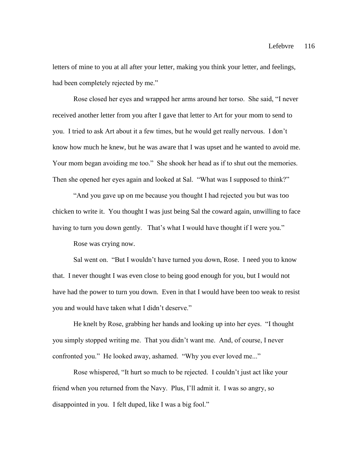letters of mine to you at all after your letter, making you think your letter, and feelings, had been completely rejected by me."

Rose closed her eyes and wrapped her arms around her torso. She said, "I never received another letter from you after I gave that letter to Art for your mom to send to you. I tried to ask Art about it a few times, but he would get really nervous. I don't know how much he knew, but he was aware that I was upset and he wanted to avoid me. Your mom began avoiding me too." She shook her head as if to shut out the memories. Then she opened her eyes again and looked at Sal. "What was I supposed to think?"

"And you gave up on me because you thought I had rejected you but was too chicken to write it. You thought I was just being Sal the coward again, unwilling to face having to turn you down gently. That's what I would have thought if I were you."

Rose was crying now.

Sal went on. "But I wouldn't have turned you down, Rose. I need you to know that. I never thought I was even close to being good enough for you, but I would not have had the power to turn you down. Even in that I would have been too weak to resist you and would have taken what I didn't deserve."

He knelt by Rose, grabbing her hands and looking up into her eyes. "I thought you simply stopped writing me. That you didn't want me. And, of course, I never confronted you." He looked away, ashamed. "Why you ever loved me..."

Rose whispered, "It hurt so much to be rejected. I couldn't just act like your friend when you returned from the Navy. Plus, I'll admit it. I was so angry, so disappointed in you. I felt duped, like I was a big fool."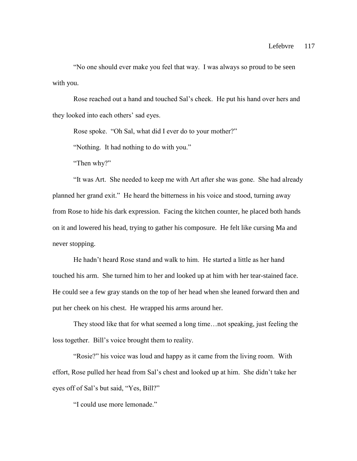"No one should ever make you feel that way. I was always so proud to be seen with you.

Rose reached out a hand and touched Sal's cheek. He put his hand over hers and they looked into each others' sad eyes.

Rose spoke. "Oh Sal, what did I ever do to your mother?"

"Nothing. It had nothing to do with you."

"Then why?"

"It was Art. She needed to keep me with Art after she was gone. She had already planned her grand exit." He heard the bitterness in his voice and stood, turning away from Rose to hide his dark expression. Facing the kitchen counter, he placed both hands on it and lowered his head, trying to gather his composure. He felt like cursing Ma and never stopping.

He hadn't heard Rose stand and walk to him. He started a little as her hand touched his arm. She turned him to her and looked up at him with her tear-stained face. He could see a few gray stands on the top of her head when she leaned forward then and put her cheek on his chest. He wrapped his arms around her.

They stood like that for what seemed a long time…not speaking, just feeling the loss together. Bill's voice brought them to reality.

"Rosie?" his voice was loud and happy as it came from the living room. With effort, Rose pulled her head from Sal's chest and looked up at him. She didn't take her eyes off of Sal's but said, "Yes, Bill?"

"I could use more lemonade."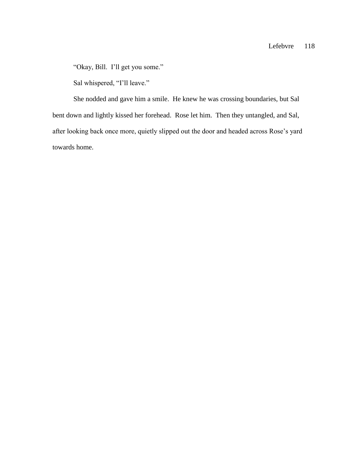"Okay, Bill. I'll get you some."

Sal whispered, "I'll leave."

She nodded and gave him a smile. He knew he was crossing boundaries, but Sal bent down and lightly kissed her forehead. Rose let him. Then they untangled, and Sal, after looking back once more, quietly slipped out the door and headed across Rose's yard towards home.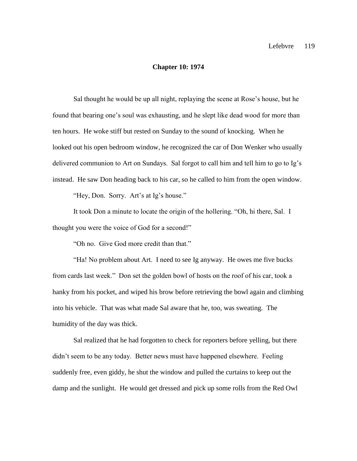## **Chapter 10: 1974**

Sal thought he would be up all night, replaying the scene at Rose's house, but he found that bearing one's soul was exhausting, and he slept like dead wood for more than ten hours. He woke stiff but rested on Sunday to the sound of knocking. When he looked out his open bedroom window, he recognized the car of Don Wenker who usually delivered communion to Art on Sundays. Sal forgot to call him and tell him to go to Ig's instead. He saw Don heading back to his car, so he called to him from the open window.

"Hey, Don. Sorry. Art's at Ig's house."

It took Don a minute to locate the origin of the hollering. "Oh, hi there, Sal. I thought you were the voice of God for a second!"

"Oh no. Give God more credit than that."

"Ha! No problem about Art. I need to see Ig anyway. He owes me five bucks from cards last week." Don set the golden bowl of hosts on the roof of his car, took a hanky from his pocket, and wiped his brow before retrieving the bowl again and climbing into his vehicle. That was what made Sal aware that he, too, was sweating. The humidity of the day was thick.

Sal realized that he had forgotten to check for reporters before yelling, but there didn't seem to be any today. Better news must have happened elsewhere. Feeling suddenly free, even giddy, he shut the window and pulled the curtains to keep out the damp and the sunlight. He would get dressed and pick up some rolls from the Red Owl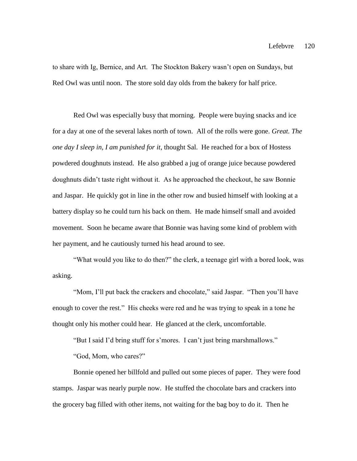to share with Ig, Bernice, and Art. The Stockton Bakery wasn't open on Sundays, but Red Owl was until noon. The store sold day olds from the bakery for half price.

Red Owl was especially busy that morning. People were buying snacks and ice for a day at one of the several lakes north of town. All of the rolls were gone. *Great. The one day I sleep in, I am punished for it*, thought Sal. He reached for a box of Hostess powdered doughnuts instead. He also grabbed a jug of orange juice because powdered doughnuts didn't taste right without it. As he approached the checkout, he saw Bonnie and Jaspar. He quickly got in line in the other row and busied himself with looking at a battery display so he could turn his back on them. He made himself small and avoided movement. Soon he became aware that Bonnie was having some kind of problem with her payment, and he cautiously turned his head around to see.

"What would you like to do then?" the clerk, a teenage girl with a bored look, was asking.

"Mom, I'll put back the crackers and chocolate," said Jaspar. "Then you'll have enough to cover the rest." His cheeks were red and he was trying to speak in a tone he thought only his mother could hear. He glanced at the clerk, uncomfortable.

"But I said I'd bring stuff for s'mores. I can't just bring marshmallows."

"God, Mom, who cares?"

Bonnie opened her billfold and pulled out some pieces of paper. They were food stamps. Jaspar was nearly purple now. He stuffed the chocolate bars and crackers into the grocery bag filled with other items, not waiting for the bag boy to do it. Then he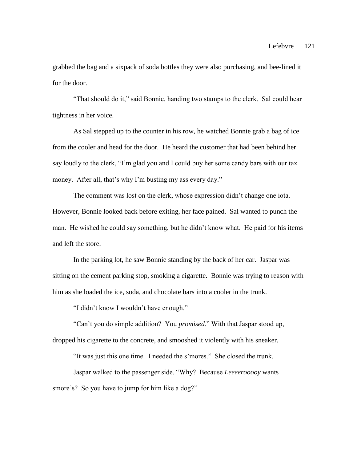grabbed the bag and a sixpack of soda bottles they were also purchasing, and bee-lined it for the door.

"That should do it," said Bonnie, handing two stamps to the clerk. Sal could hear tightness in her voice.

As Sal stepped up to the counter in his row, he watched Bonnie grab a bag of ice from the cooler and head for the door. He heard the customer that had been behind her say loudly to the clerk, "I'm glad you and I could buy her some candy bars with our tax money. After all, that's why I'm busting my ass every day."

The comment was lost on the clerk, whose expression didn't change one iota. However, Bonnie looked back before exiting, her face pained. Sal wanted to punch the man. He wished he could say something, but he didn't know what. He paid for his items and left the store.

In the parking lot, he saw Bonnie standing by the back of her car. Jaspar was sitting on the cement parking stop, smoking a cigarette. Bonnie was trying to reason with him as she loaded the ice, soda, and chocolate bars into a cooler in the trunk.

"I didn't know I wouldn't have enough."

"Can't you do simple addition? You *promised*." With that Jaspar stood up, dropped his cigarette to the concrete, and smooshed it violently with his sneaker.

"It was just this one time. I needed the s'mores." She closed the trunk.

Jaspar walked to the passenger side. "Why? Because *Leeeerooooy* wants smore's? So you have to jump for him like a dog?"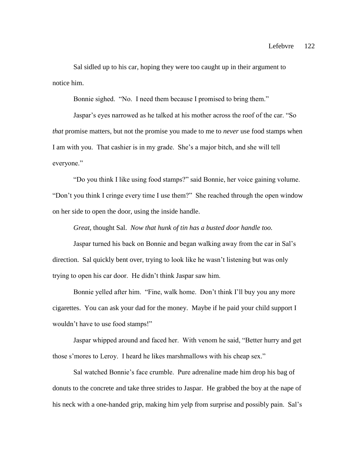Sal sidled up to his car, hoping they were too caught up in their argument to notice him.

Bonnie sighed. "No. I need them because I promised to bring them."

Jaspar's eyes narrowed as he talked at his mother across the roof of the car. "So *that* promise matters, but not the promise you made to me to *never* use food stamps when I am with you. That cashier is in my grade. She's a major bitch, and she will tell everyone."

"Do you think I like using food stamps?" said Bonnie, her voice gaining volume. "Don't you think I cringe every time I use them?" She reached through the open window on her side to open the door, using the inside handle.

*Great,* thought Sal. *Now that hunk of tin has a busted door handle too.*

Jaspar turned his back on Bonnie and began walking away from the car in Sal's direction. Sal quickly bent over, trying to look like he wasn't listening but was only trying to open his car door. He didn't think Jaspar saw him.

Bonnie yelled after him. "Fine, walk home. Don't think I'll buy you any more cigarettes. You can ask your dad for the money. Maybe if he paid your child support I wouldn't have to use food stamps!"

Jaspar whipped around and faced her. With venom he said, "Better hurry and get those s'mores to Leroy. I heard he likes marshmallows with his cheap sex."

Sal watched Bonnie's face crumble. Pure adrenaline made him drop his bag of donuts to the concrete and take three strides to Jaspar. He grabbed the boy at the nape of his neck with a one-handed grip, making him yelp from surprise and possibly pain. Sal's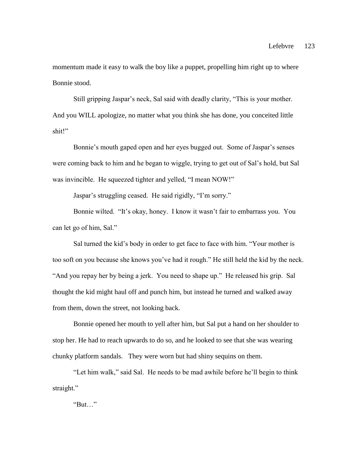momentum made it easy to walk the boy like a puppet, propelling him right up to where Bonnie stood.

Still gripping Jaspar's neck, Sal said with deadly clarity, "This is your mother. And you WILL apologize, no matter what you think she has done, you conceited little shit!"

Bonnie's mouth gaped open and her eyes bugged out. Some of Jaspar's senses were coming back to him and he began to wiggle, trying to get out of Sal's hold, but Sal was invincible. He squeezed tighter and yelled, "I mean NOW!"

Jaspar's struggling ceased. He said rigidly, "I'm sorry."

Bonnie wilted. "It's okay, honey. I know it wasn't fair to embarrass you. You can let go of him, Sal."

Sal turned the kid's body in order to get face to face with him. "Your mother is too soft on you because she knows you've had it rough." He still held the kid by the neck. "And you repay her by being a jerk. You need to shape up." He released his grip. Sal thought the kid might haul off and punch him, but instead he turned and walked away from them, down the street, not looking back.

Bonnie opened her mouth to yell after him, but Sal put a hand on her shoulder to stop her. He had to reach upwards to do so, and he looked to see that she was wearing chunky platform sandals. They were worn but had shiny sequins on them.

"Let him walk," said Sal. He needs to be mad awhile before he'll begin to think straight."

"But…"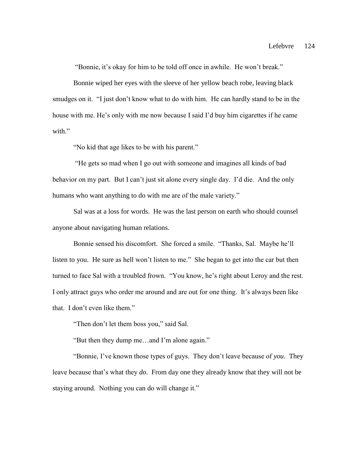"Bonnie, it's okay for him to be told off once in awhile. He won't break."

Bonnie wiped her eyes with the sleeve of her yellow beach robe, leaving black smudges on it. "I just don't know what to do with him. He can hardly stand to be in the house with me. He's only with me now because I said I'd buy him cigarettes if he came with."

"No kid that age likes to be with his parent."

"He gets so mad when I go out with someone and imagines all kinds of bad behavior on my part. But I can't just sit alone every single day. I'd die. And the only humans who want anything to do with me are of the male variety."

Sal was at a loss for words. He was the last person on earth who should counsel anyone about navigating human relations.

Bonnie sensed his discomfort. She forced a smile. "Thanks, Sal. Maybe he'll listen to you. He sure as hell won't listen to me." She began to get into the car but then turned to face Sal with a troubled frown. "You know, he's right about Leroy and the rest. I only attract guys who order me around and are out for one thing. It's always been like that. I don't even like them."

"Then don't let them boss you," said Sal.

"But then they dump me…and I'm alone again."

"Bonnie, I've known those types of guys. They don't leave because of *you*. They leave because that's what they *do*. From day one they already know that they will not be staying around. Nothing you can do will change it."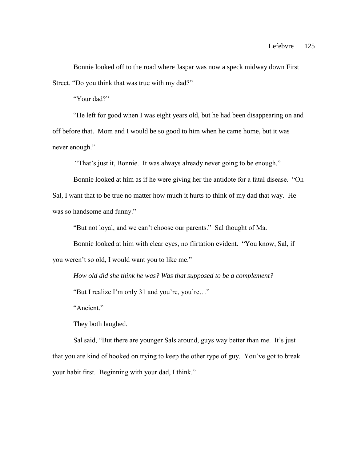Bonnie looked off to the road where Jaspar was now a speck midway down First Street. "Do you think that was true with my dad?"

"Your dad?"

"He left for good when I was eight years old, but he had been disappearing on and off before that. Mom and I would be so good to him when he came home, but it was never enough."

"That's just it, Bonnie. It was always already never going to be enough."

Bonnie looked at him as if he were giving her the antidote for a fatal disease. "Oh Sal, I want that to be true no matter how much it hurts to think of my dad that way. He was so handsome and funny."

"But not loyal, and we can't choose our parents." Sal thought of Ma.

Bonnie looked at him with clear eyes, no flirtation evident. "You know, Sal, if you weren't so old, I would want you to like me."

*How old did she think he was? Was that supposed to be a complement?*

"But I realize I'm only 31 and you're, you're…"

"Ancient."

They both laughed.

Sal said, "But there are younger Sals around, guys way better than me. It's just that you are kind of hooked on trying to keep the other type of guy. You've got to break your habit first. Beginning with your dad, I think."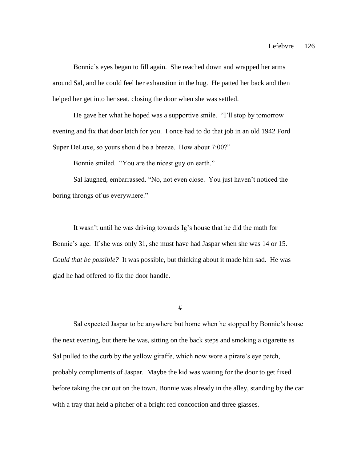Bonnie's eyes began to fill again. She reached down and wrapped her arms around Sal, and he could feel her exhaustion in the hug. He patted her back and then helped her get into her seat, closing the door when she was settled.

He gave her what he hoped was a supportive smile. "I'll stop by tomorrow evening and fix that door latch for you. I once had to do that job in an old 1942 Ford Super DeLuxe, so yours should be a breeze. How about 7:00?"

Bonnie smiled. "You are the nicest guy on earth."

Sal laughed, embarrassed. "No, not even close. You just haven't noticed the boring throngs of us everywhere."

It wasn't until he was driving towards Ig's house that he did the math for Bonnie's age. If she was only 31, she must have had Jaspar when she was 14 or 15. *Could that be possible?* It was possible, but thinking about it made him sad. He was glad he had offered to fix the door handle.

#

Sal expected Jaspar to be anywhere but home when he stopped by Bonnie's house the next evening, but there he was, sitting on the back steps and smoking a cigarette as Sal pulled to the curb by the yellow giraffe, which now wore a pirate's eye patch, probably compliments of Jaspar. Maybe the kid was waiting for the door to get fixed before taking the car out on the town. Bonnie was already in the alley, standing by the car with a tray that held a pitcher of a bright red concoction and three glasses.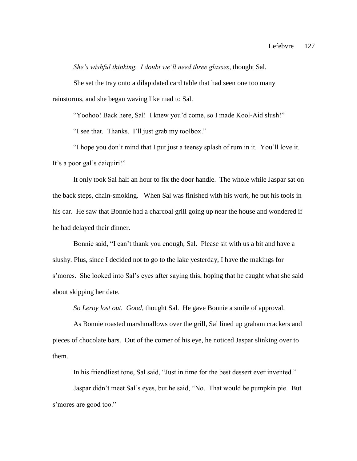*She's wishful thinking. I doubt we'll need three glasses*, thought Sal*.*

She set the tray onto a dilapidated card table that had seen one too many rainstorms, and she began waving like mad to Sal.

"Yoohoo! Back here, Sal! I knew you'd come, so I made Kool-Aid slush!"

"I see that. Thanks. I'll just grab my toolbox."

"I hope you don't mind that I put just a teensy splash of rum in it. You'll love it. It's a poor gal's daiquiri!"

It only took Sal half an hour to fix the door handle. The whole while Jaspar sat on the back steps, chain-smoking. When Sal was finished with his work, he put his tools in his car. He saw that Bonnie had a charcoal grill going up near the house and wondered if he had delayed their dinner.

Bonnie said, "I can't thank you enough, Sal. Please sit with us a bit and have a slushy. Plus, since I decided not to go to the lake yesterday, I have the makings for s'mores. She looked into Sal's eyes after saying this, hoping that he caught what she said about skipping her date.

*So Leroy lost out. Good*, thought Sal. He gave Bonnie a smile of approval.

As Bonnie roasted marshmallows over the grill, Sal lined up graham crackers and pieces of chocolate bars. Out of the corner of his eye, he noticed Jaspar slinking over to them.

In his friendliest tone, Sal said, "Just in time for the best dessert ever invented."

Jaspar didn't meet Sal's eyes, but he said, "No. That would be pumpkin pie. But s'mores are good too."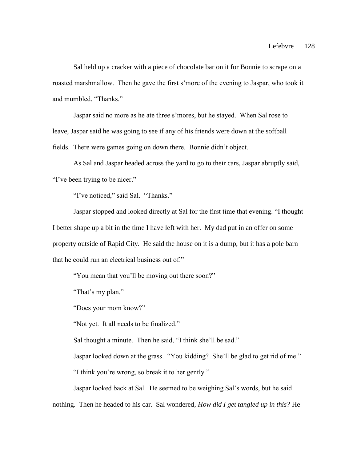Sal held up a cracker with a piece of chocolate bar on it for Bonnie to scrape on a roasted marshmallow. Then he gave the first s'more of the evening to Jaspar, who took it and mumbled, "Thanks."

Jaspar said no more as he ate three s'mores, but he stayed. When Sal rose to leave, Jaspar said he was going to see if any of his friends were down at the softball fields. There were games going on down there. Bonnie didn't object.

As Sal and Jaspar headed across the yard to go to their cars, Jaspar abruptly said, "I've been trying to be nicer."

"I've noticed," said Sal. "Thanks."

Jaspar stopped and looked directly at Sal for the first time that evening. "I thought I better shape up a bit in the time I have left with her. My dad put in an offer on some property outside of Rapid City. He said the house on it is a dump, but it has a pole barn that he could run an electrical business out of."

"You mean that you'll be moving out there soon?"

"That's my plan."

"Does your mom know?"

"Not yet. It all needs to be finalized."

Sal thought a minute. Then he said, "I think she'll be sad."

Jaspar looked down at the grass. "You kidding? She'll be glad to get rid of me."

"I think you're wrong, so break it to her gently."

Jaspar looked back at Sal. He seemed to be weighing Sal's words, but he said nothing. Then he headed to his car. Sal wondered, *How did I get tangled up in this?* He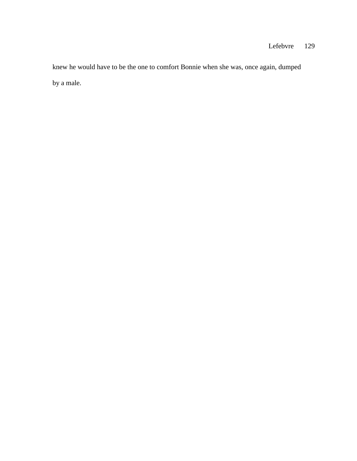knew he would have to be the one to comfort Bonnie when she was, once again, dumped by a male.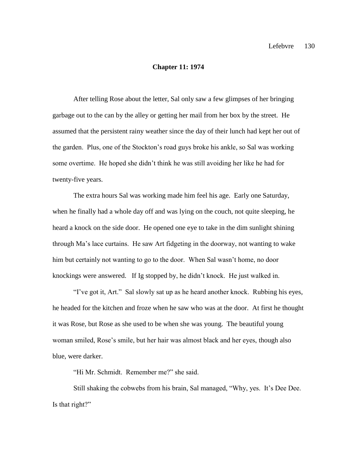## **Chapter 11: 1974**

After telling Rose about the letter, Sal only saw a few glimpses of her bringing garbage out to the can by the alley or getting her mail from her box by the street. He assumed that the persistent rainy weather since the day of their lunch had kept her out of the garden. Plus, one of the Stockton's road guys broke his ankle, so Sal was working some overtime. He hoped she didn't think he was still avoiding her like he had for twenty-five years.

The extra hours Sal was working made him feel his age. Early one Saturday, when he finally had a whole day off and was lying on the couch, not quite sleeping, he heard a knock on the side door. He opened one eye to take in the dim sunlight shining through Ma's lace curtains. He saw Art fidgeting in the doorway, not wanting to wake him but certainly not wanting to go to the door. When Sal wasn't home, no door knockings were answered. If Ig stopped by, he didn't knock. He just walked in.

"I've got it, Art." Sal slowly sat up as he heard another knock. Rubbing his eyes, he headed for the kitchen and froze when he saw who was at the door. At first he thought it was Rose, but Rose as she used to be when she was young. The beautiful young woman smiled, Rose's smile, but her hair was almost black and her eyes, though also blue, were darker.

"Hi Mr. Schmidt. Remember me?" she said.

Still shaking the cobwebs from his brain, Sal managed, "Why, yes. It's Dee Dee. Is that right?"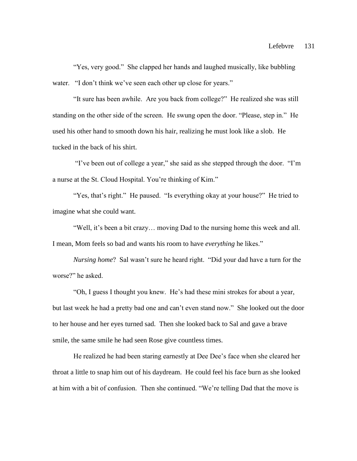"Yes, very good." She clapped her hands and laughed musically, like bubbling water. "I don't think we've seen each other up close for years."

"It sure has been awhile. Are you back from college?" He realized she was still standing on the other side of the screen. He swung open the door. "Please, step in." He used his other hand to smooth down his hair, realizing he must look like a slob. He tucked in the back of his shirt.

"I've been out of college a year," she said as she stepped through the door. "I'm a nurse at the St. Cloud Hospital. You're thinking of Kim."

"Yes, that's right." He paused. "Is everything okay at your house?" He tried to imagine what she could want.

"Well, it's been a bit crazy… moving Dad to the nursing home this week and all. I mean, Mom feels so bad and wants his room to have *everything* he likes."

*Nursing home*? Sal wasn't sure he heard right. "Did your dad have a turn for the worse?" he asked.

"Oh, I guess I thought you knew. He's had these mini strokes for about a year, but last week he had a pretty bad one and can't even stand now." She looked out the door to her house and her eyes turned sad. Then she looked back to Sal and gave a brave smile, the same smile he had seen Rose give countless times.

He realized he had been staring earnestly at Dee Dee's face when she cleared her throat a little to snap him out of his daydream. He could feel his face burn as she looked at him with a bit of confusion. Then she continued. "We're telling Dad that the move is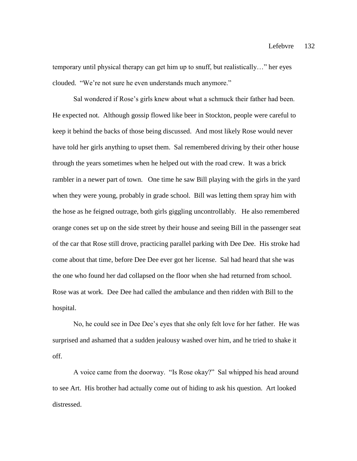temporary until physical therapy can get him up to snuff, but realistically…" her eyes clouded. "We're not sure he even understands much anymore."

Sal wondered if Rose's girls knew about what a schmuck their father had been. He expected not. Although gossip flowed like beer in Stockton, people were careful to keep it behind the backs of those being discussed. And most likely Rose would never have told her girls anything to upset them. Sal remembered driving by their other house through the years sometimes when he helped out with the road crew. It was a brick rambler in a newer part of town. One time he saw Bill playing with the girls in the yard when they were young, probably in grade school. Bill was letting them spray him with the hose as he feigned outrage, both girls giggling uncontrollably. He also remembered orange cones set up on the side street by their house and seeing Bill in the passenger seat of the car that Rose still drove, practicing parallel parking with Dee Dee. His stroke had come about that time, before Dee Dee ever got her license. Sal had heard that she was the one who found her dad collapsed on the floor when she had returned from school. Rose was at work. Dee Dee had called the ambulance and then ridden with Bill to the hospital.

No, he could see in Dee Dee's eyes that she only felt love for her father. He was surprised and ashamed that a sudden jealousy washed over him, and he tried to shake it off.

A voice came from the doorway. "Is Rose okay?" Sal whipped his head around to see Art. His brother had actually come out of hiding to ask his question. Art looked distressed.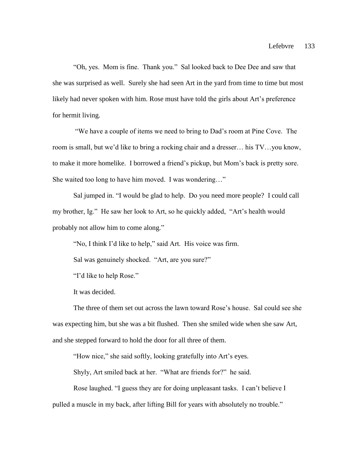"Oh, yes. Mom is fine. Thank you." Sal looked back to Dee Dee and saw that she was surprised as well. Surely she had seen Art in the yard from time to time but most likely had never spoken with him. Rose must have told the girls about Art's preference for hermit living.

"We have a couple of items we need to bring to Dad's room at Pine Cove. The room is small, but we'd like to bring a rocking chair and a dresser… his TV…you know, to make it more homelike. I borrowed a friend's pickup, but Mom's back is pretty sore. She waited too long to have him moved. I was wondering…"

Sal jumped in. "I would be glad to help. Do you need more people? I could call my brother, Ig." He saw her look to Art, so he quickly added, "Art's health would probably not allow him to come along."

"No, I think I'd like to help," said Art. His voice was firm.

Sal was genuinely shocked. "Art, are you sure?"

"I'd like to help Rose."

It was decided.

The three of them set out across the lawn toward Rose's house. Sal could see she was expecting him, but she was a bit flushed. Then she smiled wide when she saw Art, and she stepped forward to hold the door for all three of them.

"How nice," she said softly, looking gratefully into Art's eyes.

Shyly, Art smiled back at her. "What are friends for?" he said.

Rose laughed. "I guess they are for doing unpleasant tasks. I can't believe I pulled a muscle in my back, after lifting Bill for years with absolutely no trouble."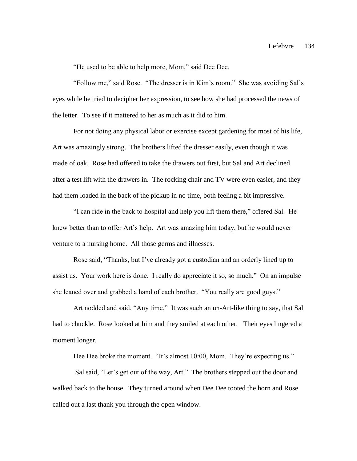"He used to be able to help more, Mom," said Dee Dee.

"Follow me," said Rose. "The dresser is in Kim's room." She was avoiding Sal's eyes while he tried to decipher her expression, to see how she had processed the news of the letter. To see if it mattered to her as much as it did to him.

For not doing any physical labor or exercise except gardening for most of his life, Art was amazingly strong. The brothers lifted the dresser easily, even though it was made of oak. Rose had offered to take the drawers out first, but Sal and Art declined after a test lift with the drawers in. The rocking chair and TV were even easier, and they had them loaded in the back of the pickup in no time, both feeling a bit impressive.

"I can ride in the back to hospital and help you lift them there," offered Sal. He knew better than to offer Art's help. Art was amazing him today, but he would never venture to a nursing home. All those germs and illnesses.

Rose said, "Thanks, but I've already got a custodian and an orderly lined up to assist us. Your work here is done. I really do appreciate it so, so much." On an impulse she leaned over and grabbed a hand of each brother. "You really are good guys."

Art nodded and said, "Any time." It was such an un-Art-like thing to say, that Sal had to chuckle. Rose looked at him and they smiled at each other. Their eyes lingered a moment longer.

Dee Dee broke the moment. "It's almost 10:00, Mom. They're expecting us."

Sal said, "Let's get out of the way, Art." The brothers stepped out the door and walked back to the house. They turned around when Dee Dee tooted the horn and Rose called out a last thank you through the open window.